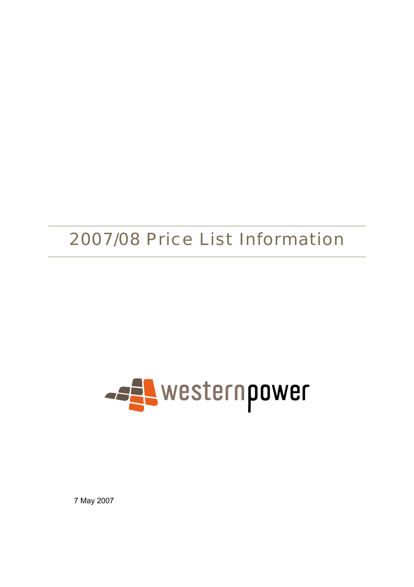# 2007/08 Price List Information



7 May 2007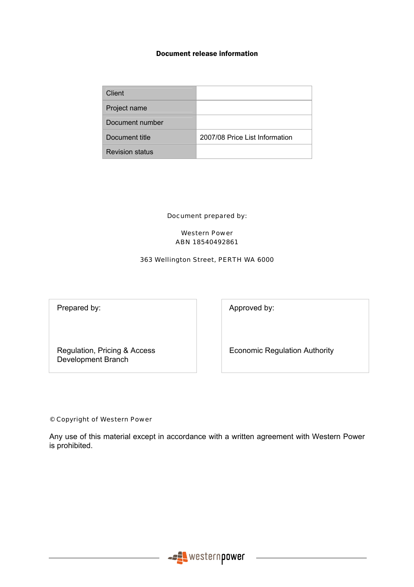#### Document release information

| Client                 |                                |
|------------------------|--------------------------------|
| Project name           |                                |
| Document number        |                                |
| Document title         | 2007/08 Price List Information |
| <b>Revision status</b> |                                |

Document prepared by:

#### Western Power ABN 18540492861

#### 363 Wellington Street, PERTH WA 6000

Prepared by:  $\qquad \qquad$  Approved by:

Regulation, Pricing & Access Development Branch

Economic Regulation Authority

#### © Copyright of Western Power

Any use of this material except in accordance with a written agreement with Western Power is prohibited.

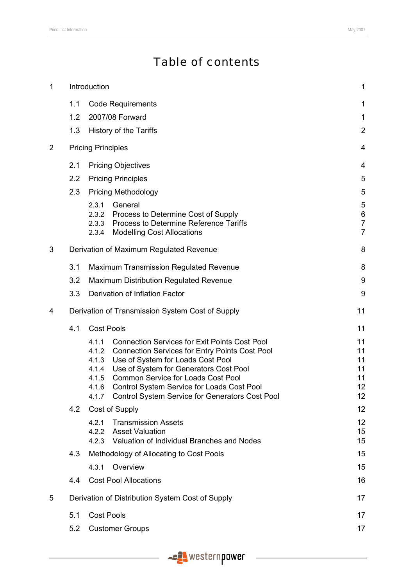# Table of contents

| $\mathbf 1$    | Introduction                  |                                                    | $\mathbf 1$                                                                                                                                                                                                                                                                                                                                      |                                                      |
|----------------|-------------------------------|----------------------------------------------------|--------------------------------------------------------------------------------------------------------------------------------------------------------------------------------------------------------------------------------------------------------------------------------------------------------------------------------------------------|------------------------------------------------------|
|                | 1.1                           |                                                    | <b>Code Requirements</b>                                                                                                                                                                                                                                                                                                                         | 1                                                    |
|                | 1.2                           |                                                    | 2007/08 Forward                                                                                                                                                                                                                                                                                                                                  | 1                                                    |
|                | 1.3                           |                                                    | History of the Tariffs                                                                                                                                                                                                                                                                                                                           | $\overline{2}$                                       |
| $\overline{2}$ |                               | <b>Pricing Principles</b>                          |                                                                                                                                                                                                                                                                                                                                                  | 4                                                    |
|                | 2.1                           |                                                    | <b>Pricing Objectives</b>                                                                                                                                                                                                                                                                                                                        | 4                                                    |
|                | 2.2                           |                                                    | <b>Pricing Principles</b>                                                                                                                                                                                                                                                                                                                        | 5                                                    |
|                | 2.3                           |                                                    | <b>Pricing Methodology</b>                                                                                                                                                                                                                                                                                                                       | 5                                                    |
|                |                               | 2.3.1<br>2.3.3<br>2.3.4                            | General<br>2.3.2 Process to Determine Cost of Supply<br>Process to Determine Reference Tariffs<br><b>Modelling Cost Allocations</b>                                                                                                                                                                                                              | 5<br>$\,$ 6 $\,$<br>$\overline{7}$<br>$\overline{7}$ |
| 3              |                               |                                                    | Derivation of Maximum Regulated Revenue                                                                                                                                                                                                                                                                                                          | 8                                                    |
|                | 3.1                           |                                                    | <b>Maximum Transmission Regulated Revenue</b>                                                                                                                                                                                                                                                                                                    | 8                                                    |
|                | 3.2                           |                                                    | <b>Maximum Distribution Regulated Revenue</b>                                                                                                                                                                                                                                                                                                    | 9                                                    |
|                | 3.3                           |                                                    | Derivation of Inflation Factor                                                                                                                                                                                                                                                                                                                   | 9                                                    |
| 4              |                               |                                                    | Derivation of Transmission System Cost of Supply                                                                                                                                                                                                                                                                                                 | 11                                                   |
|                | 4.1                           | <b>Cost Pools</b>                                  |                                                                                                                                                                                                                                                                                                                                                  | 11                                                   |
|                |                               | 4.1.1<br>4.1.2<br>4.1.3<br>4.1.4<br>4.1.5<br>4.1.6 | <b>Connection Services for Exit Points Cost Pool</b><br><b>Connection Services for Entry Points Cost Pool</b><br>Use of System for Loads Cost Pool<br>Use of System for Generators Cost Pool<br><b>Common Service for Loads Cost Pool</b><br>Control System Service for Loads Cost Pool<br>4.1.7 Control System Service for Generators Cost Pool | 11<br>11<br>11<br>11<br>11<br>12<br>12               |
|                | 4.2                           |                                                    | Cost of Supply                                                                                                                                                                                                                                                                                                                                   | 12                                                   |
|                |                               | 4.2.1<br>4.2.2                                     | <b>Transmission Assets</b><br><b>Asset Valuation</b><br>4.2.3 Valuation of Individual Branches and Nodes                                                                                                                                                                                                                                         | 12<br>15<br>15                                       |
|                | 4.3                           |                                                    | Methodology of Allocating to Cost Pools                                                                                                                                                                                                                                                                                                          | 15                                                   |
|                |                               | 4.3.1                                              | Overview                                                                                                                                                                                                                                                                                                                                         | 15                                                   |
|                | 4.4                           |                                                    | <b>Cost Pool Allocations</b>                                                                                                                                                                                                                                                                                                                     | 16                                                   |
| 5              |                               |                                                    | Derivation of Distribution System Cost of Supply                                                                                                                                                                                                                                                                                                 | 17                                                   |
|                | 5.1                           | 17                                                 |                                                                                                                                                                                                                                                                                                                                                  |                                                      |
|                | 5.2<br><b>Customer Groups</b> |                                                    |                                                                                                                                                                                                                                                                                                                                                  | 17                                                   |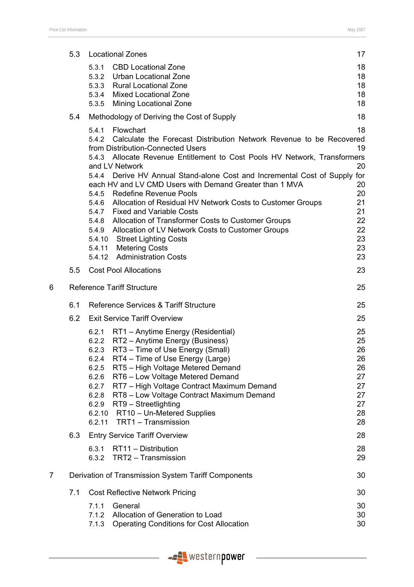|   | 5.3 |                                                                                | <b>Locational Zones</b>                                                                                                                                                                                                                                                                                                                                                                                                                                                                                                                                                                                                                                                                                        | 17                                                                          |
|---|-----|--------------------------------------------------------------------------------|----------------------------------------------------------------------------------------------------------------------------------------------------------------------------------------------------------------------------------------------------------------------------------------------------------------------------------------------------------------------------------------------------------------------------------------------------------------------------------------------------------------------------------------------------------------------------------------------------------------------------------------------------------------------------------------------------------------|-----------------------------------------------------------------------------|
|   |     | 5.3.1<br>5.3.4<br>5.3.5                                                        | <b>CBD Locational Zone</b><br>5.3.2 Urban Locational Zone<br>5.3.3 Rural Locational Zone<br><b>Mixed Locational Zone</b><br><b>Mining Locational Zone</b>                                                                                                                                                                                                                                                                                                                                                                                                                                                                                                                                                      | 18<br>18<br>18<br>18<br>18                                                  |
|   | 5.4 |                                                                                | Methodology of Deriving the Cost of Supply                                                                                                                                                                                                                                                                                                                                                                                                                                                                                                                                                                                                                                                                     | 18                                                                          |
|   |     | 5.4.1<br>5.4.4                                                                 | Flowchart<br>5.4.2 Calculate the Forecast Distribution Network Revenue to be Recovered<br>from Distribution-Connected Users<br>5.4.3 Allocate Revenue Entitlement to Cost Pools HV Network, Transformers<br>and LV Network<br>Derive HV Annual Stand-alone Cost and Incremental Cost of Supply<br>each HV and LV CMD Users with Demand Greater than 1 MVA<br>5.4.5 Redefine Revenue Pools<br>5.4.6 Allocation of Residual HV Network Costs to Customer Groups<br>5.4.7 Fixed and Variable Costs<br>5.4.8 Allocation of Transformer Costs to Customer Groups<br>5.4.9 Allocation of LV Network Costs to Customer Groups<br>5.4.10 Street Lighting Costs<br>5.4.11 Metering Costs<br>5.4.12 Administration Costs | 18<br>19<br>20<br>for<br>20<br>20<br>21<br>21<br>22<br>22<br>23<br>23<br>23 |
|   | 5.5 |                                                                                | <b>Cost Pool Allocations</b>                                                                                                                                                                                                                                                                                                                                                                                                                                                                                                                                                                                                                                                                                   | 23                                                                          |
| 6 |     |                                                                                | <b>Reference Tariff Structure</b>                                                                                                                                                                                                                                                                                                                                                                                                                                                                                                                                                                                                                                                                              | 25                                                                          |
|   | 6.1 |                                                                                | Reference Services & Tariff Structure                                                                                                                                                                                                                                                                                                                                                                                                                                                                                                                                                                                                                                                                          | 25                                                                          |
|   | 6.2 |                                                                                | <b>Exit Service Tariff Overview</b>                                                                                                                                                                                                                                                                                                                                                                                                                                                                                                                                                                                                                                                                            | 25                                                                          |
|   |     | 6.2.1<br>6.2.3<br>6.2.4<br>6.2.5<br>6.2.6<br>6.2.7<br>6.2.8<br>6.2.9<br>6.2.11 | RT1 - Anytime Energy (Residential)<br>6.2.2 RT2 - Anytime Energy (Business)<br>RT3 - Time of Use Energy (Small)<br>RT4 - Time of Use Energy (Large)<br>RT5 - High Voltage Metered Demand<br>RT6 - Low Voltage Metered Demand<br>RT7 - High Voltage Contract Maximum Demand<br>RT8 - Low Voltage Contract Maximum Demand<br>RT9 - Streetlighting<br>6.2.10 RT10 - Un-Metered Supplies<br>TRT1 - Transmission                                                                                                                                                                                                                                                                                                    | 25<br>25<br>26<br>26<br>26<br>27<br>27<br>27<br>27<br>28<br>28              |
|   | 6.3 |                                                                                | <b>Entry Service Tariff Overview</b>                                                                                                                                                                                                                                                                                                                                                                                                                                                                                                                                                                                                                                                                           | 28                                                                          |
|   |     | 6.3.1                                                                          | RT11 - Distribution<br>6.3.2 TRT2 - Transmission                                                                                                                                                                                                                                                                                                                                                                                                                                                                                                                                                                                                                                                               | 28<br>29                                                                    |
| 7 |     |                                                                                | Derivation of Transmission System Tariff Components                                                                                                                                                                                                                                                                                                                                                                                                                                                                                                                                                                                                                                                            | 30                                                                          |
|   | 7.1 |                                                                                | <b>Cost Reflective Network Pricing</b>                                                                                                                                                                                                                                                                                                                                                                                                                                                                                                                                                                                                                                                                         | 30                                                                          |
|   |     | 7.1.1<br>7.1.2                                                                 | General<br>Allocation of Generation to Load                                                                                                                                                                                                                                                                                                                                                                                                                                                                                                                                                                                                                                                                    | 30<br>30                                                                    |

7.1.3 Operating Conditions for Cost Allocation 30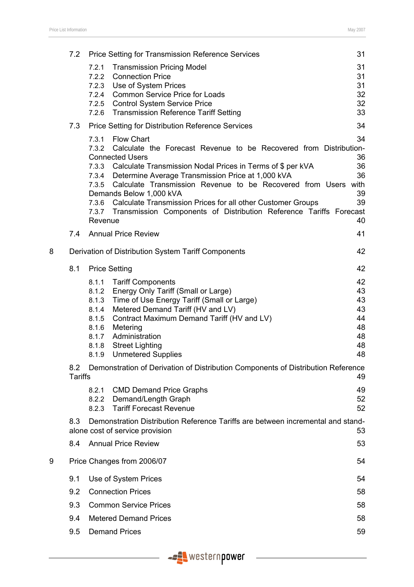|   | 7.2                   |                                                                               | <b>Price Setting for Transmission Reference Services</b>                                                                                                                                                                                                                                                                                                                                                                                                                                | 31                                                 |
|---|-----------------------|-------------------------------------------------------------------------------|-----------------------------------------------------------------------------------------------------------------------------------------------------------------------------------------------------------------------------------------------------------------------------------------------------------------------------------------------------------------------------------------------------------------------------------------------------------------------------------------|----------------------------------------------------|
|   |                       | 7.2.1<br>7.2.4<br>7.2.5<br>7.2.6                                              | <b>Transmission Pricing Model</b><br>7.2.2 Connection Price<br>7.2.3 Use of System Prices<br><b>Common Service Price for Loads</b><br><b>Control System Service Price</b><br><b>Transmission Reference Tariff Setting</b>                                                                                                                                                                                                                                                               | 31<br>31<br>31<br>32<br>32<br>33                   |
|   | 7.3                   |                                                                               | <b>Price Setting for Distribution Reference Services</b>                                                                                                                                                                                                                                                                                                                                                                                                                                | 34                                                 |
|   |                       | 7.3.1<br>7.3.2<br>7.3.3<br>7.3.5<br>Revenue                                   | <b>Flow Chart</b><br>Calculate the Forecast Revenue to be Recovered from Distribution-<br><b>Connected Users</b><br>Calculate Transmission Nodal Prices in Terms of \$ per kVA<br>7.3.4 Determine Average Transmission Price at 1,000 kVA<br>Calculate Transmission Revenue to be Recovered from Users with<br>Demands Below 1,000 kVA<br>7.3.6 Calculate Transmission Prices for all other Customer Groups<br>7.3.7 Transmission Components of Distribution Reference Tariffs Forecast | 34<br>36<br>36<br>36<br>39<br>39<br>40             |
|   | 7.4                   |                                                                               | <b>Annual Price Review</b>                                                                                                                                                                                                                                                                                                                                                                                                                                                              | 41                                                 |
| 8 |                       |                                                                               | Derivation of Distribution System Tariff Components                                                                                                                                                                                                                                                                                                                                                                                                                                     | 42                                                 |
|   | 8.1                   |                                                                               | <b>Price Setting</b>                                                                                                                                                                                                                                                                                                                                                                                                                                                                    | 42                                                 |
|   |                       | 8.1.1<br>8.1.2<br>8.1.3<br>8.1.4<br>8.1.5<br>8.1.6<br>8.1.7<br>8.1.8<br>8.1.9 | <b>Tariff Components</b><br>Energy Only Tariff (Small or Large)<br>Time of Use Energy Tariff (Small or Large)<br>Metered Demand Tariff (HV and LV)<br>Contract Maximum Demand Tariff (HV and LV)<br>Metering<br>Administration<br><b>Street Lighting</b><br><b>Unmetered Supplies</b>                                                                                                                                                                                                   | 42<br>43<br>43<br>43<br>44<br>48<br>48<br>48<br>48 |
|   | 8.2<br><b>Tariffs</b> |                                                                               | Demonstration of Derivation of Distribution Components of Distribution Reference                                                                                                                                                                                                                                                                                                                                                                                                        | 49                                                 |
|   |                       | 8.2.1<br>8.2.2<br>8.2.3                                                       | <b>CMD Demand Price Graphs</b><br>Demand/Length Graph<br><b>Tariff Forecast Revenue</b>                                                                                                                                                                                                                                                                                                                                                                                                 | 49<br>52<br>52                                     |
|   | 8.3                   |                                                                               | Demonstration Distribution Reference Tariffs are between incremental and stand-<br>alone cost of service provision                                                                                                                                                                                                                                                                                                                                                                      | 53                                                 |
|   | 8.4                   |                                                                               | <b>Annual Price Review</b>                                                                                                                                                                                                                                                                                                                                                                                                                                                              | 53                                                 |
| 9 |                       |                                                                               | Price Changes from 2006/07                                                                                                                                                                                                                                                                                                                                                                                                                                                              | 54                                                 |
|   | 9.1                   |                                                                               | Use of System Prices                                                                                                                                                                                                                                                                                                                                                                                                                                                                    | 54                                                 |
|   | 9.2                   |                                                                               | <b>Connection Prices</b>                                                                                                                                                                                                                                                                                                                                                                                                                                                                | 58                                                 |
|   | 9.3                   |                                                                               | <b>Common Service Prices</b>                                                                                                                                                                                                                                                                                                                                                                                                                                                            | 58                                                 |
|   | 9.4                   |                                                                               | <b>Metered Demand Prices</b>                                                                                                                                                                                                                                                                                                                                                                                                                                                            | 58                                                 |
|   | 9.5                   |                                                                               | <b>Demand Prices</b>                                                                                                                                                                                                                                                                                                                                                                                                                                                                    | 59                                                 |
|   |                       |                                                                               |                                                                                                                                                                                                                                                                                                                                                                                                                                                                                         |                                                    |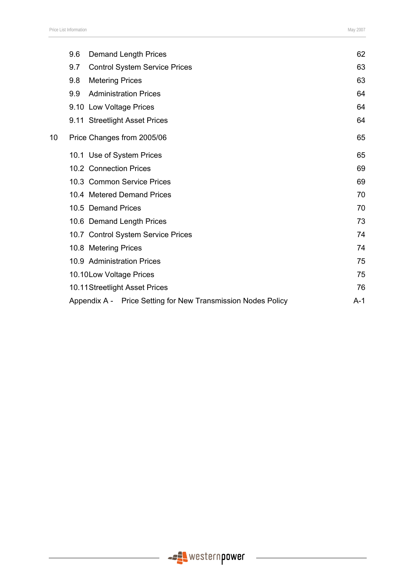|    | 9.6<br>Demand Length Prices                                  | 62    |
|----|--------------------------------------------------------------|-------|
|    | 9.7<br><b>Control System Service Prices</b>                  | 63    |
|    | 9.8<br><b>Metering Prices</b>                                | 63    |
|    | 9.9<br><b>Administration Prices</b>                          | 64    |
|    | 9.10 Low Voltage Prices                                      | 64    |
|    | 9.11 Streetlight Asset Prices                                | 64    |
| 10 | Price Changes from 2005/06                                   | 65    |
|    | 10.1 Use of System Prices                                    | 65    |
|    | 10.2 Connection Prices                                       | 69    |
|    | 10.3 Common Service Prices                                   | 69    |
|    | 10.4 Metered Demand Prices                                   | 70    |
|    | 10.5 Demand Prices                                           | 70    |
|    | 10.6 Demand Length Prices                                    | 73    |
|    | 10.7 Control System Service Prices                           | 74    |
|    | 10.8 Metering Prices                                         | 74    |
|    | 10.9 Administration Prices                                   | 75    |
|    | 10.10 Low Voltage Prices                                     | 75    |
|    | 10.11 Streetlight Asset Prices                               | 76    |
|    | Appendix A - Price Setting for New Transmission Nodes Policy | $A-1$ |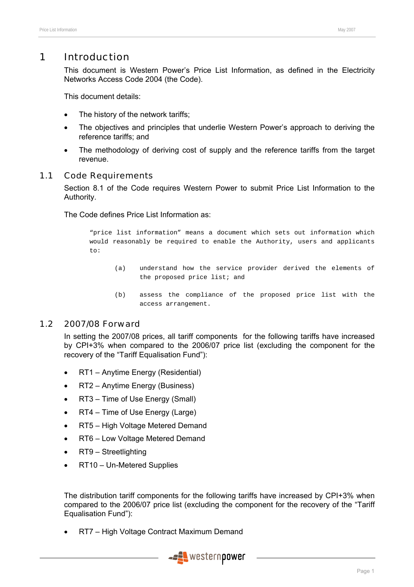# 1 Introduction

This document is Western Power's Price List Information, as defined in the Electricity Networks Access Code 2004 (the Code).

This document details:

- The history of the network tariffs;
- The objectives and principles that underlie Western Power's approach to deriving the reference tariffs; and
- The methodology of deriving cost of supply and the reference tariffs from the target revenue.

# 1.1 Code Requirements

Section 8.1 of the Code requires Western Power to submit Price List Information to the Authority.

The Code defines Price List Information as:

"price list information" means a document which sets out information which would reasonably be required to enable the Authority, users and applicants to:

- (a) understand how the service provider derived the elements of the proposed price list; and
- (b) assess the compliance of the proposed price list with the access arrangement.

# 1.2 2007/08 Forward

In setting the 2007/08 prices, all tariff components for the following tariffs have increased by CPI+3% when compared to the 2006/07 price list (excluding the component for the recovery of the "Tariff Equalisation Fund"):

- RT1 Anytime Energy (Residential)
- RT2 Anytime Energy (Business)
- RT3 Time of Use Energy (Small)
- RT4 Time of Use Energy (Large)
- RT5 High Voltage Metered Demand
- RT6 Low Voltage Metered Demand
- RT9 Streetlighting
- RT10 Un-Metered Supplies

The distribution tariff components for the following tariffs have increased by CPI+3% when compared to the 2006/07 price list (excluding the component for the recovery of the "Tariff Equalisation Fund"):

• RT7 – High Voltage Contract Maximum Demand

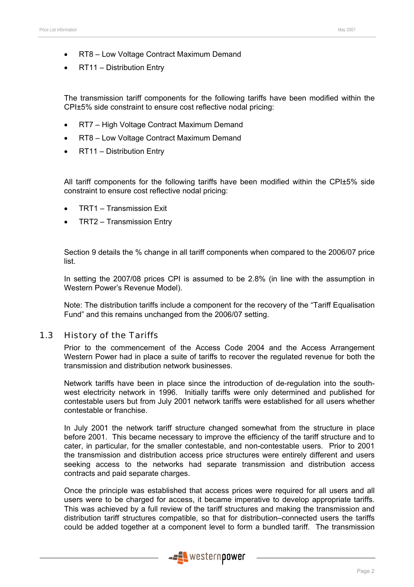- RT8 Low Voltage Contract Maximum Demand
- RT11 Distribution Entry

The transmission tariff components for the following tariffs have been modified within the CPI±5% side constraint to ensure cost reflective nodal pricing:

- RT7 High Voltage Contract Maximum Demand
- RT8 Low Voltage Contract Maximum Demand
- RT11 Distribution Entry

All tariff components for the following tariffs have been modified within the CPI±5% side constraint to ensure cost reflective nodal pricing:

- TRT1 Transmission Exit
- TRT2 Transmission Entry

Section 9 details the % change in all tariff components when compared to the 2006/07 price list.

In setting the 2007/08 prices CPI is assumed to be 2.8% (in line with the assumption in Western Power's Revenue Model).

Note: The distribution tariffs include a component for the recovery of the "Tariff Equalisation Fund" and this remains unchanged from the 2006/07 setting.

# 1.3 History of the Tariffs

Prior to the commencement of the Access Code 2004 and the Access Arrangement Western Power had in place a suite of tariffs to recover the regulated revenue for both the transmission and distribution network businesses.

Network tariffs have been in place since the introduction of de-regulation into the southwest electricity network in 1996. Initially tariffs were only determined and published for contestable users but from July 2001 network tariffs were established for all users whether contestable or franchise.

In July 2001 the network tariff structure changed somewhat from the structure in place before 2001. This became necessary to improve the efficiency of the tariff structure and to cater, in particular, for the smaller contestable, and non-contestable users. Prior to 2001 the transmission and distribution access price structures were entirely different and users seeking access to the networks had separate transmission and distribution access contracts and paid separate charges.

Once the principle was established that access prices were required for all users and all users were to be charged for access, it became imperative to develop appropriate tariffs. This was achieved by a full review of the tariff structures and making the transmission and distribution tariff structures compatible, so that for distribution–connected users the tariffs could be added together at a component level to form a bundled tariff. The transmission

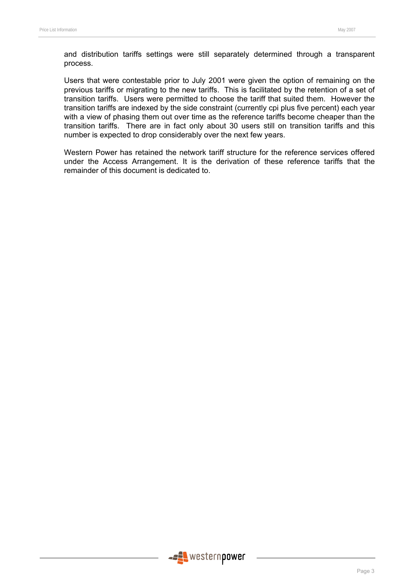and distribution tariffs settings were still separately determined through a transparent process.

Users that were contestable prior to July 2001 were given the option of remaining on the previous tariffs or migrating to the new tariffs. This is facilitated by the retention of a set of transition tariffs. Users were permitted to choose the tariff that suited them. However the transition tariffs are indexed by the side constraint (currently cpi plus five percent) each year with a view of phasing them out over time as the reference tariffs become cheaper than the transition tariffs. There are in fact only about 30 users still on transition tariffs and this number is expected to drop considerably over the next few years.

Western Power has retained the network tariff structure for the reference services offered under the Access Arrangement. It is the derivation of these reference tariffs that the remainder of this document is dedicated to.

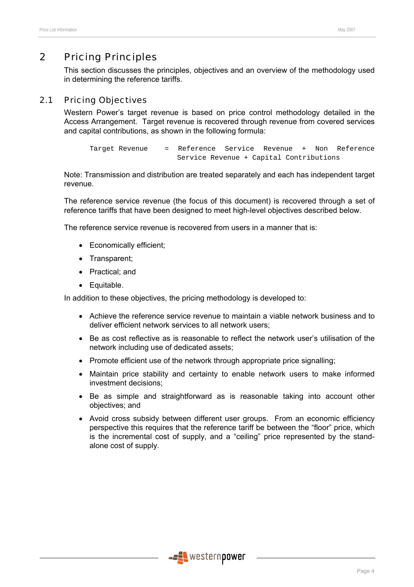# 2 Pricing Principles

This section discusses the principles, objectives and an overview of the methodology used in determining the reference tariffs.

# 2.1 Pricing Objectives

Western Power's target revenue is based on price control methodology detailed in the Access Arrangement. Target revenue is recovered through revenue from covered services and capital contributions, as shown in the following formula:

```
Target Revenue = Reference Service Revenue + Non Reference 
       Service Revenue + Capital Contributions
```
Note: Transmission and distribution are treated separately and each has independent target revenue.

The reference service revenue (the focus of this document) is recovered through a set of reference tariffs that have been designed to meet high-level objectives described below.

The reference service revenue is recovered from users in a manner that is:

- Economically efficient;
- Transparent;
- Practical; and
- Equitable.

In addition to these objectives, the pricing methodology is developed to:

- Achieve the reference service revenue to maintain a viable network business and to deliver efficient network services to all network users;
- Be as cost reflective as is reasonable to reflect the network user's utilisation of the network including use of dedicated assets;
- Promote efficient use of the network through appropriate price signalling;
- Maintain price stability and certainty to enable network users to make informed investment decisions;
- Be as simple and straightforward as is reasonable taking into account other objectives; and
- Avoid cross subsidy between different user groups. From an economic efficiency perspective this requires that the reference tariff be between the "floor" price, which is the incremental cost of supply, and a "ceiling" price represented by the standalone cost of supply.

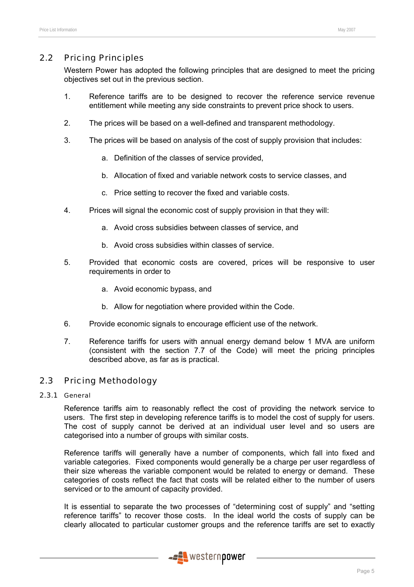# 2.2 Pricing Principles

Western Power has adopted the following principles that are designed to meet the pricing objectives set out in the previous section.

- 1. Reference tariffs are to be designed to recover the reference service revenue entitlement while meeting any side constraints to prevent price shock to users.
- 2. The prices will be based on a well-defined and transparent methodology.
- 3. The prices will be based on analysis of the cost of supply provision that includes:
	- a. Definition of the classes of service provided,
	- b. Allocation of fixed and variable network costs to service classes, and
	- c. Price setting to recover the fixed and variable costs.
- 4. Prices will signal the economic cost of supply provision in that they will:
	- a. Avoid cross subsidies between classes of service, and
	- b. Avoid cross subsidies within classes of service.
- 5. Provided that economic costs are covered, prices will be responsive to user requirements in order to
	- a. Avoid economic bypass, and
	- b. Allow for negotiation where provided within the Code.
- 6. Provide economic signals to encourage efficient use of the network.
- 7. Reference tariffs for users with annual energy demand below 1 MVA are uniform (consistent with the section 7.7 of the Code) will meet the pricing principles described above, as far as is practical.

# 2.3 Pricing Methodology

### 2.3.1 General

Reference tariffs aim to reasonably reflect the cost of providing the network service to users. The first step in developing reference tariffs is to model the cost of supply for users. The cost of supply cannot be derived at an individual user level and so users are categorised into a number of groups with similar costs.

Reference tariffs will generally have a number of components, which fall into fixed and variable categories. Fixed components would generally be a charge per user regardless of their size whereas the variable component would be related to energy or demand. These categories of costs reflect the fact that costs will be related either to the number of users serviced or to the amount of capacity provided.

It is essential to separate the two processes of "determining cost of supply" and "setting reference tariffs" to recover those costs. In the ideal world the costs of supply can be clearly allocated to particular customer groups and the reference tariffs are set to exactly

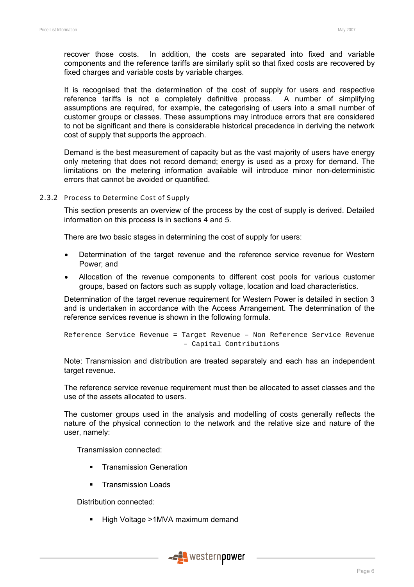recover those costs. In addition, the costs are separated into fixed and variable components and the reference tariffs are similarly split so that fixed costs are recovered by fixed charges and variable costs by variable charges.

It is recognised that the determination of the cost of supply for users and respective reference tariffs is not a completely definitive process. A number of simplifying assumptions are required, for example, the categorising of users into a small number of customer groups or classes. These assumptions may introduce errors that are considered to not be significant and there is considerable historical precedence in deriving the network cost of supply that supports the approach.

Demand is the best measurement of capacity but as the vast majority of users have energy only metering that does not record demand; energy is used as a proxy for demand. The limitations on the metering information available will introduce minor non-deterministic errors that cannot be avoided or quantified.

#### 2.3.2 Process to Determine Cost of Supply

This section presents an overview of the process by the cost of supply is derived. Detailed information on this process is in sections 4 and 5.

There are two basic stages in determining the cost of supply for users:

- Determination of the target revenue and the reference service revenue for Western Power; and
- Allocation of the revenue components to different cost pools for various customer groups, based on factors such as supply voltage, location and load characteristics.

Determination of the target revenue requirement for Western Power is detailed in section 3 and is undertaken in accordance with the Access Arrangement. The determination of the reference services revenue is shown in the following formula.

```
Reference Service Revenue = Target Revenue – Non Reference Service Revenue 
                 – Capital Contributions
```
Note: Transmission and distribution are treated separately and each has an independent target revenue.

The reference service revenue requirement must then be allocated to asset classes and the use of the assets allocated to users.

The customer groups used in the analysis and modelling of costs generally reflects the nature of the physical connection to the network and the relative size and nature of the user, namely:

Transmission connected:

- **Transmission Generation**
- **Transmission Loads**

Distribution connected:

■ High Voltage >1MVA maximum demand

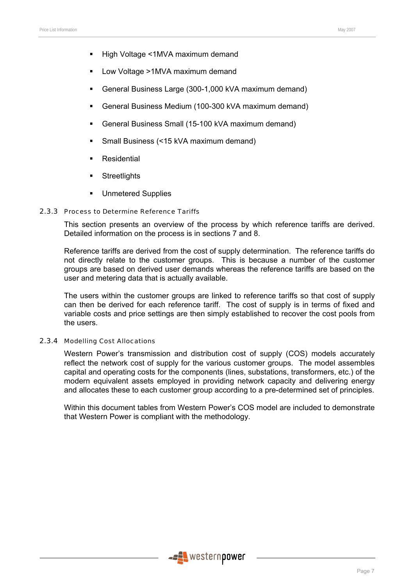- High Voltage <1MVA maximum demand
- Low Voltage >1MVA maximum demand
- General Business Large (300-1,000 kVA maximum demand)
- General Business Medium (100-300 kVA maximum demand)
- General Business Small (15-100 kVA maximum demand)
- Small Business (<15 kVA maximum demand)
- **Residential**
- **Streetlights**
- **Unmetered Supplies**

#### 2.3.3 Process to Determine Reference Tariffs

This section presents an overview of the process by which reference tariffs are derived. Detailed information on the process is in sections 7 and 8.

Reference tariffs are derived from the cost of supply determination. The reference tariffs do not directly relate to the customer groups. This is because a number of the customer groups are based on derived user demands whereas the reference tariffs are based on the user and metering data that is actually available.

The users within the customer groups are linked to reference tariffs so that cost of supply can then be derived for each reference tariff. The cost of supply is in terms of fixed and variable costs and price settings are then simply established to recover the cost pools from the users.

#### 2.3.4 Modelling Cost Allocations

Western Power's transmission and distribution cost of supply (COS) models accurately reflect the network cost of supply for the various customer groups. The model assembles capital and operating costs for the components (lines, substations, transformers, etc.) of the modern equivalent assets employed in providing network capacity and delivering energy and allocates these to each customer group according to a pre-determined set of principles.

Within this document tables from Western Power's COS model are included to demonstrate that Western Power is compliant with the methodology.

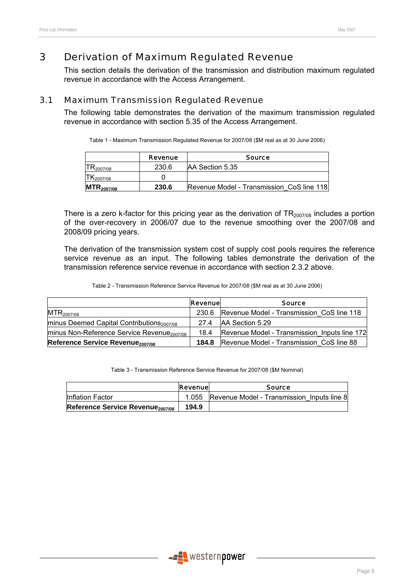# 3 Derivation of Maximum Regulated Revenue

This section details the derivation of the transmission and distribution maximum regulated revenue in accordance with the Access Arrangement.

# 3.1 Maximum Transmission Regulated Revenue

The following table demonstrates the derivation of the maximum transmission regulated revenue in accordance with section 5.35 of the Access Arrangement.

| Table 1 - Maximum Transmission Regulated Revenue for 2007/08 (\$M real as at 30 June 2006) |  |  |  |
|--------------------------------------------------------------------------------------------|--|--|--|
|--------------------------------------------------------------------------------------------|--|--|--|

|                 | Revenue | <b>Source</b>                             |
|-----------------|---------|-------------------------------------------|
| -2007/08        | 230.6   | AA Section 5.35                           |
| 2007/08         |         |                                           |
| $MTR_{2007/08}$ | 230.6   | Revenue Model - Transmission CoS line 118 |

There is a zero k-factor for this pricing year as the derivation of  $TR<sub>2007/08</sub>$  includes a portion of the over-recovery in 2006/07 due to the revenue smoothing over the 2007/08 and 2008/09 pricing years.

The derivation of the transmission system cost of supply cost pools requires the reference service revenue as an input. The following tables demonstrate the derivation of the transmission reference service revenue in accordance with section 2.3.2 above.

Table 2 - Transmission Reference Service Revenue for 2007/08 (\$M real as at 30 June 2006)

|                                                                | <b>Revenue</b> | <b>Source</b>                                |
|----------------------------------------------------------------|----------------|----------------------------------------------|
| $MTR_{2007/08}$                                                | 230.6          | Revenue Model - Transmission CoS line 118    |
| $\text{minus}$ Deemed Capital Contributions <sub>2007/08</sub> | 274            | IAA Section 5.29                             |
| minus Non-Reference Service Revenue <sub>2007/08</sub>         | 18.4           | Revenue Model - Transmission Inputs line 172 |
| Reference Service Revenue <sub>2007/08</sub>                   | 184.8          | Revenue Model - Transmission CoS line 88     |

Table 3 - Transmission Reference Service Revenue for 2007/08 (\$M Nominal)

|                                              | <b>Revenuel</b> | <b>Source</b>                                    |
|----------------------------------------------|-----------------|--------------------------------------------------|
| <b>Inflation Factor</b>                      |                 | 1.055 Revenue Model - Transmission Inputs line 8 |
| Reference Service Revenue <sub>2007/08</sub> | 194.9           |                                                  |

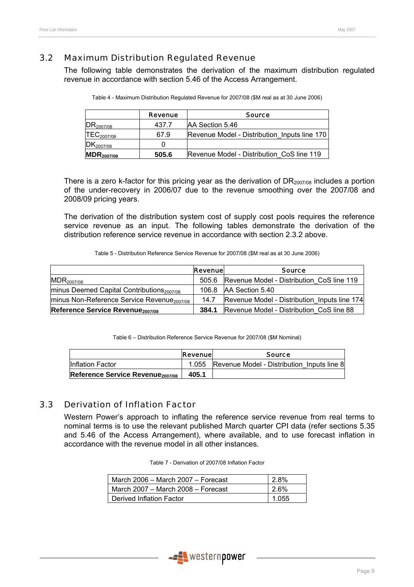# 3.2 Maximum Distribution Regulated Revenue

The following table demonstrates the derivation of the maximum distribution regulated revenue in accordance with section 5.46 of the Access Arrangement.

|                          | <b>Revenue</b> | <b>Source</b>                                |
|--------------------------|----------------|----------------------------------------------|
| IDR <sub>2007/08</sub>   | 437.7          | AA Section 5.46                              |
| TEC <sub>2007/08</sub>   | 67.9           | Revenue Model - Distribution Inputs line 170 |
| $DK_{2007/08}$           |                |                                              |
| $\mathsf{MDR}_{2007/08}$ | 505.6          | Revenue Model - Distribution CoS line 119    |

|  | Table 4 - Maximum Distribution Regulated Revenue for 2007/08 (\$M real as at 30 June 2006) |  |
|--|--------------------------------------------------------------------------------------------|--|
|--|--------------------------------------------------------------------------------------------|--|

There is a zero k-factor for this pricing year as the derivation of  $DR<sub>2007/08</sub>$  includes a portion of the under-recovery in 2006/07 due to the revenue smoothing over the 2007/08 and 2008/09 pricing years.

The derivation of the distribution system cost of supply cost pools requires the reference service revenue as an input. The following tables demonstrate the derivation of the distribution reference service revenue in accordance with section 2.3.2 above.

Table 5 - Distribution Reference Service Revenue for 2007/08 (\$M real as at 30 June 2006)

|                                                        | <b>Revenue</b> | <b>Source</b>                                |
|--------------------------------------------------------|----------------|----------------------------------------------|
| $MDR_{2007/08}$                                        | 505.6          | Revenue Model - Distribution CoS line 119    |
| minus Deemed Capital Contributions <sub>2007/08</sub>  | 106.8          | AA Section 5.40                              |
| minus Non-Reference Service Revenue <sub>2007/08</sub> | 14.7           | Revenue Model - Distribution Inputs line 174 |
| Reference Service Revenue <sub>2007/08</sub>           | 384.1          | Revenue Model - Distribution CoS line 88     |

Table 6 – Distribution Reference Service Revenue for 2007/08 (\$M Nominal)

|                                              | Revenuel | <b>Source</b>                              |
|----------------------------------------------|----------|--------------------------------------------|
| <b>Inflation Factor</b>                      | 1.055    | Revenue Model - Distribution Inputs line 8 |
| Reference Service Revenue <sub>2007/08</sub> | 405.1    |                                            |

# 3.3 Derivation of Inflation Factor

Western Power's approach to inflating the reference service revenue from real terms to nominal terms is to use the relevant published March quarter CPI data (refer sections 5.35 and 5.46 of the Access Arrangement), where available, and to use forecast inflation in accordance with the revenue model in all other instances.

| Table 7 - Derivation of 2007/08 Inflation Factor |  |
|--------------------------------------------------|--|
|--------------------------------------------------|--|

| March 2006 - March 2007 - Forecast | 2.8%  |
|------------------------------------|-------|
| March 2007 – March 2008 – Forecast | 2.6%  |
| Derived Inflation Factor           | 1.055 |

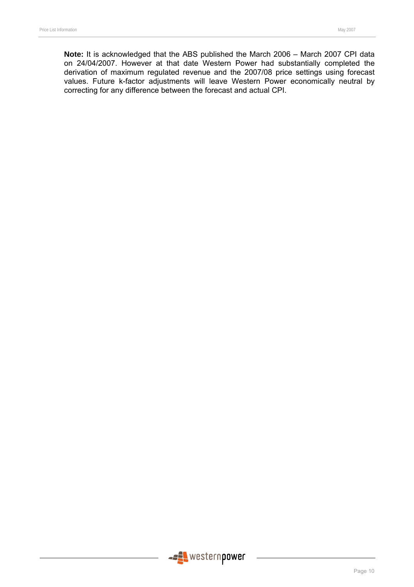**Note:** It is acknowledged that the ABS published the March 2006 – March 2007 CPI data on 24/04/2007. However at that date Western Power had substantially completed the derivation of maximum regulated revenue and the 2007/08 price settings using forecast values. Future k-factor adjustments will leave Western Power economically neutral by correcting for any difference between the forecast and actual CPI.

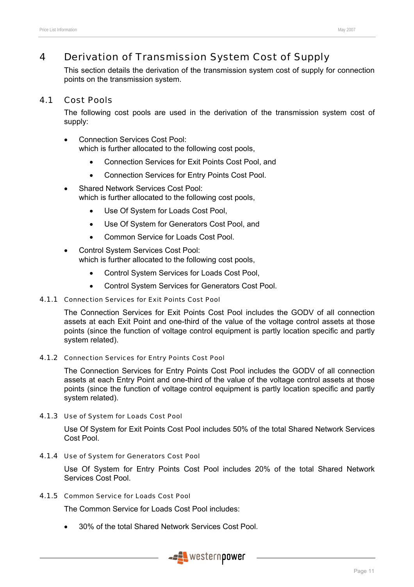# 4 Derivation of Transmission System Cost of Supply

This section details the derivation of the transmission system cost of supply for connection points on the transmission system.

# 4.1 Cost Pools

The following cost pools are used in the derivation of the transmission system cost of supply:

- Connection Services Cost Pool: which is further allocated to the following cost pools,
	- Connection Services for Exit Points Cost Pool, and
	- Connection Services for Entry Points Cost Pool.
- Shared Network Services Cost Pool: which is further allocated to the following cost pools,
	- Use Of System for Loads Cost Pool,
	- Use Of System for Generators Cost Pool, and
	- Common Service for Loads Cost Pool.
- Control System Services Cost Pool: which is further allocated to the following cost pools,
	- Control System Services for Loads Cost Pool,
	- Control System Services for Generators Cost Pool.

# 4.1.1 Connection Services for Exit Points Cost Pool

The Connection Services for Exit Points Cost Pool includes the GODV of all connection assets at each Exit Point and one-third of the value of the voltage control assets at those points (since the function of voltage control equipment is partly location specific and partly system related).

# 4.1.2 Connection Services for Entry Points Cost Pool

The Connection Services for Entry Points Cost Pool includes the GODV of all connection assets at each Entry Point and one-third of the value of the voltage control assets at those points (since the function of voltage control equipment is partly location specific and partly system related).

#### 4.1.3 Use of System for Loads Cost Pool

Use Of System for Exit Points Cost Pool includes 50% of the total Shared Network Services Cost Pool.

#### 4.1.4 Use of System for Generators Cost Pool

Use Of System for Entry Points Cost Pool includes 20% of the total Shared Network Services Cost Pool.

### 4.1.5 Common Service for Loads Cost Pool

The Common Service for Loads Cost Pool includes:

• 30% of the total Shared Network Services Cost Pool.

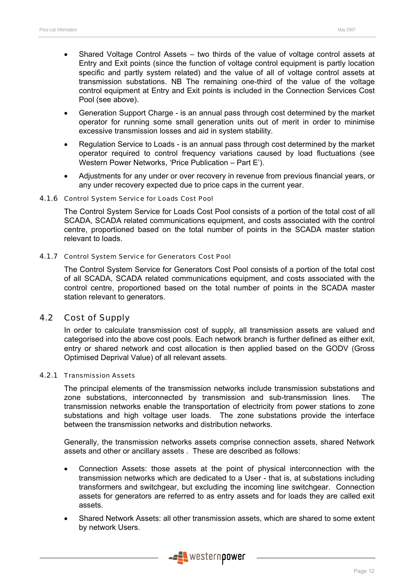- Shared Voltage Control Assets two thirds of the value of voltage control assets at Entry and Exit points (since the function of voltage control equipment is partly location specific and partly system related) and the value of all of voltage control assets at transmission substations. NB The remaining one-third of the value of the voltage control equipment at Entry and Exit points is included in the Connection Services Cost Pool (see above).
- Generation Support Charge is an annual pass through cost determined by the market operator for running some small generation units out of merit in order to minimise excessive transmission losses and aid in system stability.
- Regulation Service to Loads is an annual pass through cost determined by the market operator required to control frequency variations caused by load fluctuations (see Western Power Networks, 'Price Publication – Part E').
- Adjustments for any under or over recovery in revenue from previous financial years, or any under recovery expected due to price caps in the current year.

#### 4.1.6 Control System Service for Loads Cost Pool

The Control System Service for Loads Cost Pool consists of a portion of the total cost of all SCADA, SCADA related communications equipment, and costs associated with the control centre, proportioned based on the total number of points in the SCADA master station relevant to loads.

#### 4.1.7 Control System Service for Generators Cost Pool

The Control System Service for Generators Cost Pool consists of a portion of the total cost of all SCADA, SCADA related communications equipment, and costs associated with the control centre, proportioned based on the total number of points in the SCADA master station relevant to generators.

# 4.2 Cost of Supply

In order to calculate transmission cost of supply, all transmission assets are valued and categorised into the above cost pools. Each network branch is further defined as either exit, entry or shared network and cost allocation is then applied based on the GODV (Gross Optimised Deprival Value) of all relevant assets.

#### 4.2.1 Transmission Assets

The principal elements of the transmission networks include transmission substations and zone substations, interconnected by transmission and sub-transmission lines. The transmission networks enable the transportation of electricity from power stations to zone substations and high voltage user loads. The zone substations provide the interface between the transmission networks and distribution networks.

Generally, the transmission networks assets comprise connection assets, shared Network assets and other or ancillary assets . These are described as follows:

- Connection Assets: those assets at the point of physical interconnection with the transmission networks which are dedicated to a User - that is, at substations including transformers and switchgear, but excluding the incoming line switchgear. Connection assets for generators are referred to as entry assets and for loads they are called exit assets.
- Shared Network Assets: all other transmission assets, which are shared to some extent by network Users.

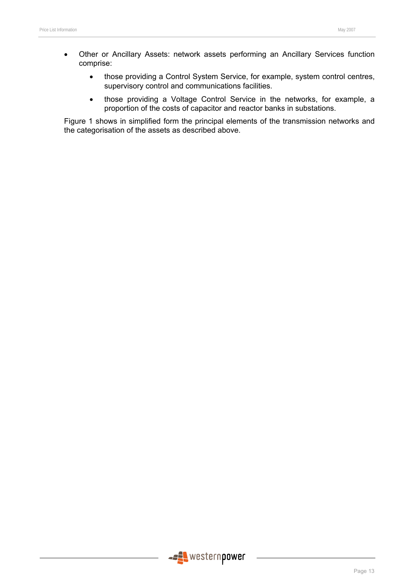- Other or Ancillary Assets: network assets performing an Ancillary Services function comprise:
	- those providing a Control System Service, for example, system control centres, supervisory control and communications facilities.
	- those providing a Voltage Control Service in the networks, for example, a proportion of the costs of capacitor and reactor banks in substations.

Figure 1 shows in simplified form the principal elements of the transmission networks and the categorisation of the assets as described above.

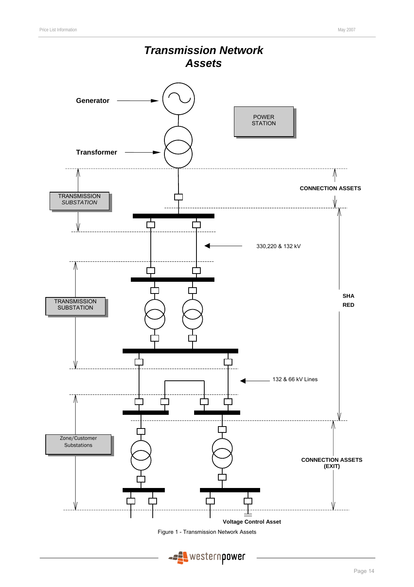



**ASSES** western power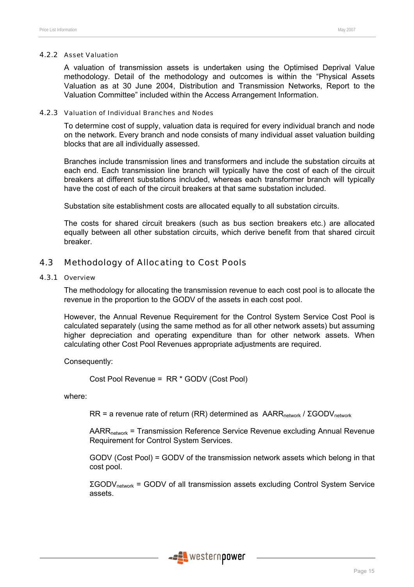#### 4.2.2 Asset Valuation

A valuation of transmission assets is undertaken using the Optimised Deprival Value methodology. Detail of the methodology and outcomes is within the "Physical Assets Valuation as at 30 June 2004, Distribution and Transmission Networks, Report to the Valuation Committee" included within the Access Arrangement Information.

#### 4.2.3 Valuation of Individual Branches and Nodes

To determine cost of supply, valuation data is required for every individual branch and node on the network. Every branch and node consists of many individual asset valuation building blocks that are all individually assessed.

Branches include transmission lines and transformers and include the substation circuits at each end. Each transmission line branch will typically have the cost of each of the circuit breakers at different substations included, whereas each transformer branch will typically have the cost of each of the circuit breakers at that same substation included.

Substation site establishment costs are allocated equally to all substation circuits.

The costs for shared circuit breakers (such as bus section breakers etc.) are allocated equally between all other substation circuits, which derive benefit from that shared circuit breaker.

# 4.3 Methodology of Allocating to Cost Pools

#### 4.3.1 Overview

The methodology for allocating the transmission revenue to each cost pool is to allocate the revenue in the proportion to the GODV of the assets in each cost pool.

However, the Annual Revenue Requirement for the Control System Service Cost Pool is calculated separately (using the same method as for all other network assets) but assuming higher depreciation and operating expenditure than for other network assets. When calculating other Cost Pool Revenues appropriate adjustments are required.

Consequently:

Cost Pool Revenue = RR \* GODV (Cost Pool)

where:

 $RR = a$  revenue rate of return (RR) determined as  $AARR_{network} / \Sigma GODV_{network}$ 

AARR<sub>network</sub> = Transmission Reference Service Revenue excluding Annual Revenue Requirement for Control System Services.

GODV (Cost Pool) = GODV of the transmission network assets which belong in that cost pool.

ΣGODVnetwork = GODV of all transmission assets excluding Control System Service assets.

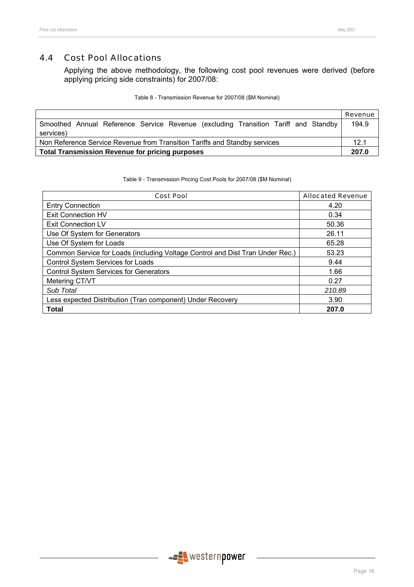# 4.4 Cost Pool Allocations

Applying the above methodology, the following cost pool revenues were derived (before applying pricing side constraints) for 2007/08:

| Table 8 - Transmission Revenue for 2007/08 (\$M Nominal) |
|----------------------------------------------------------|
|----------------------------------------------------------|

|                                                                                                 | Revenue |  |
|-------------------------------------------------------------------------------------------------|---------|--|
| Smoothed Annual Reference Service Revenue (excluding Transition Tariff and Standby<br>services) | 194.9   |  |
| Non Reference Service Revenue from Transition Tariffs and Standby services                      |         |  |
| Total Transmission Revenue for pricing purposes                                                 |         |  |

Table 9 - Transmission Pricing Cost Pools for 2007/08 (\$M Nominal)

| <b>Cost Pool</b>                                                              | <b>Allocated Revenue</b> |  |  |
|-------------------------------------------------------------------------------|--------------------------|--|--|
| <b>Entry Connection</b>                                                       | 4.20                     |  |  |
| Exit Connection HV                                                            | 0.34                     |  |  |
| <b>Exit Connection LV</b>                                                     | 50.36                    |  |  |
| Use Of System for Generators                                                  | 26.11                    |  |  |
| Use Of System for Loads                                                       | 65.28                    |  |  |
| Common Service for Loads (including Voltage Control and Dist Tran Under Rec.) | 53.23                    |  |  |
| Control System Services for Loads                                             | 9.44                     |  |  |
| <b>Control System Services for Generators</b>                                 | 1.66                     |  |  |
| Metering CT/VT                                                                | 0.27                     |  |  |
| Sub Total                                                                     | 210.89                   |  |  |
| Less expected Distribution (Tran component) Under Recovery                    | 3.90                     |  |  |
| <b>Total</b>                                                                  | 207.0                    |  |  |

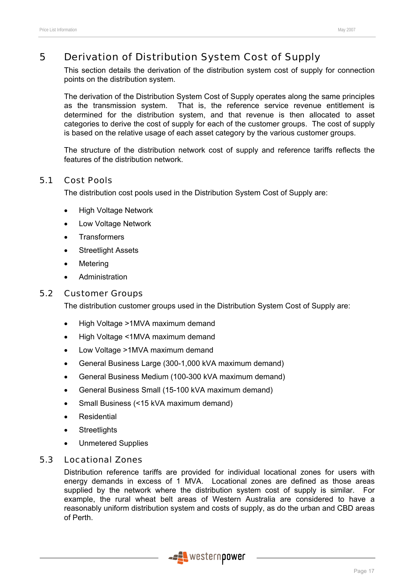# 5 Derivation of Distribution System Cost of Supply

This section details the derivation of the distribution system cost of supply for connection points on the distribution system.

The derivation of the Distribution System Cost of Supply operates along the same principles as the transmission system. That is, the reference service revenue entitlement is determined for the distribution system, and that revenue is then allocated to asset categories to derive the cost of supply for each of the customer groups. The cost of supply is based on the relative usage of each asset category by the various customer groups.

The structure of the distribution network cost of supply and reference tariffs reflects the features of the distribution network.

# 5.1 Cost Pools

The distribution cost pools used in the Distribution System Cost of Supply are:

- High Voltage Network
- Low Voltage Network
- **Transformers**
- **Streetlight Assets**
- **Metering**
- **Administration**

# 5.2 Customer Groups

The distribution customer groups used in the Distribution System Cost of Supply are:

- High Voltage >1MVA maximum demand
- High Voltage <1MVA maximum demand
- Low Voltage >1MVA maximum demand
- General Business Large (300-1,000 kVA maximum demand)
- General Business Medium (100-300 kVA maximum demand)
- General Business Small (15-100 kVA maximum demand)
- Small Business (<15 kVA maximum demand)
- **Residential**
- **Streetlights**
- Unmetered Supplies

# 5.3 Locational Zones

Distribution reference tariffs are provided for individual locational zones for users with energy demands in excess of 1 MVA. Locational zones are defined as those areas supplied by the network where the distribution system cost of supply is similar. For example, the rural wheat belt areas of Western Australia are considered to have a reasonably uniform distribution system and costs of supply, as do the urban and CBD areas of Perth.

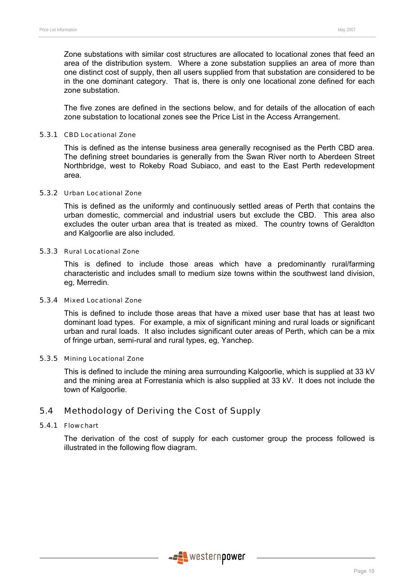Zone substations with similar cost structures are allocated to locational zones that feed an area of the distribution system. Where a zone substation supplies an area of more than one distinct cost of supply, then all users supplied from that substation are considered to be in the one dominant category. That is, there is only one locational zone defined for each zone substation.

The five zones are defined in the sections below, and for details of the allocation of each zone substation to locational zones see the Price List in the Access Arrangement.

#### 5.3.1 CBD Locational Zone

This is defined as the intense business area generally recognised as the Perth CBD area. The defining street boundaries is generally from the Swan River north to Aberdeen Street Northbridge, west to Rokeby Road Subiaco, and east to the East Perth redevelopment area.

# 5.3.2 Urban Locational Zone

This is defined as the uniformly and continuously settled areas of Perth that contains the urban domestic, commercial and industrial users but exclude the CBD. This area also excludes the outer urban area that is treated as mixed. The country towns of Geraldton and Kalgoorlie are also included.

#### 5.3.3 Rural Locational Zone

This is defined to include those areas which have a predominantly rural/farming characteristic and includes small to medium size towns within the southwest land division, eg, Merredin.

#### 5.3.4 Mixed Locational Zone

This is defined to include those areas that have a mixed user base that has at least two dominant load types. For example, a mix of significant mining and rural loads or significant urban and rural loads. It also includes significant outer areas of Perth, which can be a mix of fringe urban, semi-rural and rural types, eg, Yanchep.

#### 5.3.5 Mining Locational Zone

This is defined to include the mining area surrounding Kalgoorlie, which is supplied at 33 kV and the mining area at Forrestania which is also supplied at 33 kV. It does not include the town of Kalgoorlie.

# 5.4 Methodology of Deriving the Cost of Supply

#### 5.4.1 Flowchart

The derivation of the cost of supply for each customer group the process followed is illustrated in the following flow diagram.

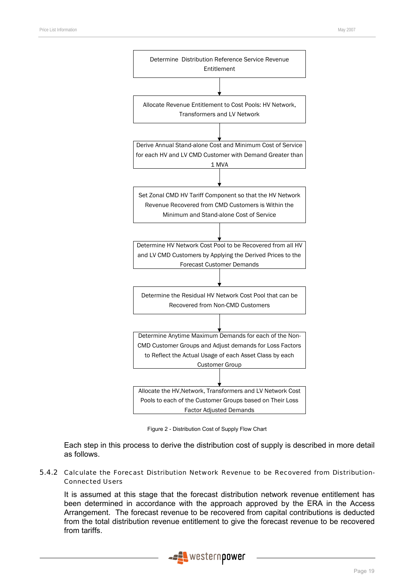

Figure 2 - Distribution Cost of Supply Flow Chart

Each step in this process to derive the distribution cost of supply is described in more detail as follows.

#### 5.4.2 Calculate the Forecast Distribution Network Revenue to be Recovered from Distribution-Connected Users

It is assumed at this stage that the forecast distribution network revenue entitlement has been determined in accordance with the approach approved by the ERA in the Access Arrangement. The forecast revenue to be recovered from capital contributions is deducted from the total distribution revenue entitlement to give the forecast revenue to be recovered from tariffs.

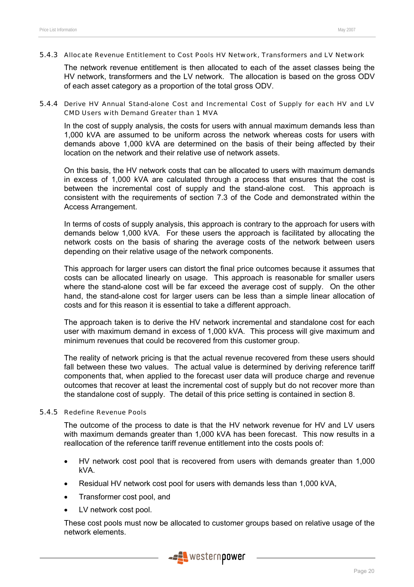#### 5.4.3 Allocate Revenue Entitlement to Cost Pools HV Network, Transformers and LV Network

The network revenue entitlement is then allocated to each of the asset classes being the HV network, transformers and the LV network. The allocation is based on the gross ODV of each asset category as a proportion of the total gross ODV.

#### 5.4.4 Derive HV Annual Stand-alone Cost and Incremental Cost of Supply for each HV and LV CMD Users with Demand Greater than 1 MVA

In the cost of supply analysis, the costs for users with annual maximum demands less than 1,000 kVA are assumed to be uniform across the network whereas costs for users with demands above 1,000 kVA are determined on the basis of their being affected by their location on the network and their relative use of network assets.

On this basis, the HV network costs that can be allocated to users with maximum demands in excess of 1,000 kVA are calculated through a process that ensures that the cost is between the incremental cost of supply and the stand-alone cost. This approach is consistent with the requirements of section 7.3 of the Code and demonstrated within the Access Arrangement.

In terms of costs of supply analysis, this approach is contrary to the approach for users with demands below 1,000 kVA. For these users the approach is facilitated by allocating the network costs on the basis of sharing the average costs of the network between users depending on their relative usage of the network components.

This approach for larger users can distort the final price outcomes because it assumes that costs can be allocated linearly on usage. This approach is reasonable for smaller users where the stand-alone cost will be far exceed the average cost of supply. On the other hand, the stand-alone cost for larger users can be less than a simple linear allocation of costs and for this reason it is essential to take a different approach.

The approach taken is to derive the HV network incremental and standalone cost for each user with maximum demand in excess of 1,000 kVA. This process will give maximum and minimum revenues that could be recovered from this customer group.

The reality of network pricing is that the actual revenue recovered from these users should fall between these two values. The actual value is determined by deriving reference tariff components that, when applied to the forecast user data will produce charge and revenue outcomes that recover at least the incremental cost of supply but do not recover more than the standalone cost of supply. The detail of this price setting is contained in section 8.

#### 5.4.5 Redefine Revenue Pools

The outcome of the process to date is that the HV network revenue for HV and LV users with maximum demands greater than 1,000 kVA has been forecast. This now results in a reallocation of the reference tariff revenue entitlement into the costs pools of:

- HV network cost pool that is recovered from users with demands greater than 1,000 kVA.
- Residual HV network cost pool for users with demands less than 1,000 kVA,
- Transformer cost pool, and
- LV network cost pool.

These cost pools must now be allocated to customer groups based on relative usage of the network elements.

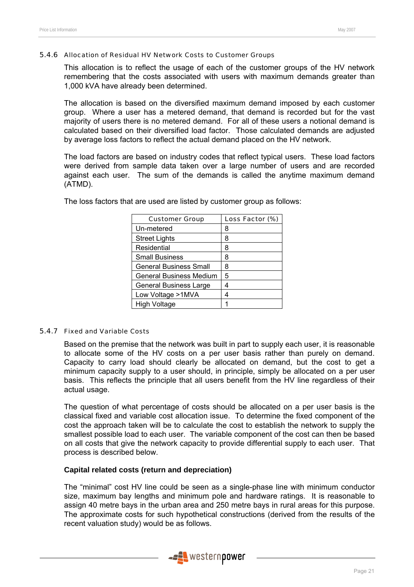#### 5.4.6 Allocation of Residual HV Network Costs to Customer Groups

This allocation is to reflect the usage of each of the customer groups of the HV network remembering that the costs associated with users with maximum demands greater than 1,000 kVA have already been determined.

The allocation is based on the diversified maximum demand imposed by each customer group. Where a user has a metered demand, that demand is recorded but for the vast majority of users there is no metered demand. For all of these users a notional demand is calculated based on their diversified load factor. Those calculated demands are adjusted by average loss factors to reflect the actual demand placed on the HV network.

The load factors are based on industry codes that reflect typical users. These load factors were derived from sample data taken over a large number of users and are recorded against each user. The sum of the demands is called the anytime maximum demand (ATMD).

| <b>Customer Group</b>         | Loss Factor (%) |
|-------------------------------|-----------------|
| Un-metered                    | 8               |
| <b>Street Lights</b>          | 8               |
| Residential                   | 8               |
| <b>Small Business</b>         | 8               |
| <b>General Business Small</b> | 8               |
| General Business Medium       | 5               |
| <b>General Business Large</b> | 4               |
| Low Voltage >1MVA             | 4               |
| <b>High Voltage</b>           |                 |

The loss factors that are used are listed by customer group as follows:

#### 5.4.7 Fixed and Variable Costs

Based on the premise that the network was built in part to supply each user, it is reasonable to allocate some of the HV costs on a per user basis rather than purely on demand. Capacity to carry load should clearly be allocated on demand, but the cost to get a minimum capacity supply to a user should, in principle, simply be allocated on a per user basis. This reflects the principle that all users benefit from the HV line regardless of their actual usage.

The question of what percentage of costs should be allocated on a per user basis is the classical fixed and variable cost allocation issue. To determine the fixed component of the cost the approach taken will be to calculate the cost to establish the network to supply the smallest possible load to each user. The variable component of the cost can then be based on all costs that give the network capacity to provide differential supply to each user. That process is described below.

#### **Capital related costs (return and depreciation)**

The "minimal" cost HV line could be seen as a single-phase line with minimum conductor size, maximum bay lengths and minimum pole and hardware ratings. It is reasonable to assign 40 metre bays in the urban area and 250 metre bays in rural areas for this purpose. The approximate costs for such hypothetical constructions (derived from the results of the recent valuation study) would be as follows.

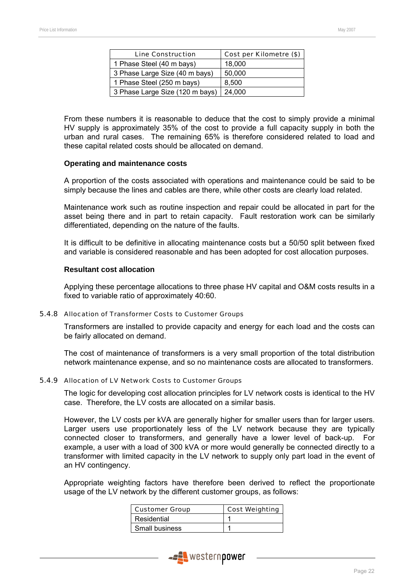| <b>Line Construction</b>        | Cost per Kilometre (\$) |
|---------------------------------|-------------------------|
| 1 Phase Steel (40 m bays)       | 18,000                  |
| 3 Phase Large Size (40 m bays)  | 50,000                  |
| 1 Phase Steel (250 m bays)      | 8.500                   |
| 3 Phase Large Size (120 m bays) | 24,000                  |

From these numbers it is reasonable to deduce that the cost to simply provide a minimal HV supply is approximately 35% of the cost to provide a full capacity supply in both the urban and rural cases. The remaining 65% is therefore considered related to load and these capital related costs should be allocated on demand.

#### **Operating and maintenance costs**

A proportion of the costs associated with operations and maintenance could be said to be simply because the lines and cables are there, while other costs are clearly load related.

Maintenance work such as routine inspection and repair could be allocated in part for the asset being there and in part to retain capacity. Fault restoration work can be similarly differentiated, depending on the nature of the faults.

It is difficult to be definitive in allocating maintenance costs but a 50/50 split between fixed and variable is considered reasonable and has been adopted for cost allocation purposes.

#### **Resultant cost allocation**

Applying these percentage allocations to three phase HV capital and O&M costs results in a fixed to variable ratio of approximately 40:60.

#### 5.4.8 Allocation of Transformer Costs to Customer Groups

Transformers are installed to provide capacity and energy for each load and the costs can be fairly allocated on demand.

The cost of maintenance of transformers is a very small proportion of the total distribution network maintenance expense, and so no maintenance costs are allocated to transformers.

#### 5.4.9 Allocation of LV Network Costs to Customer Groups

The logic for developing cost allocation principles for LV network costs is identical to the HV case. Therefore, the LV costs are allocated on a similar basis.

However, the LV costs per kVA are generally higher for smaller users than for larger users. Larger users use proportionately less of the LV network because they are typically connected closer to transformers, and generally have a lower level of back-up. For example, a user with a load of 300 kVA or more would generally be connected directly to a transformer with limited capacity in the LV network to supply only part load in the event of an HV contingency.

Appropriate weighting factors have therefore been derived to reflect the proportionate usage of the LV network by the different customer groups, as follows:

| <b>Customer Group</b> | <b>Cost Weighting</b> |
|-----------------------|-----------------------|
| Residential           |                       |
| Small business        |                       |

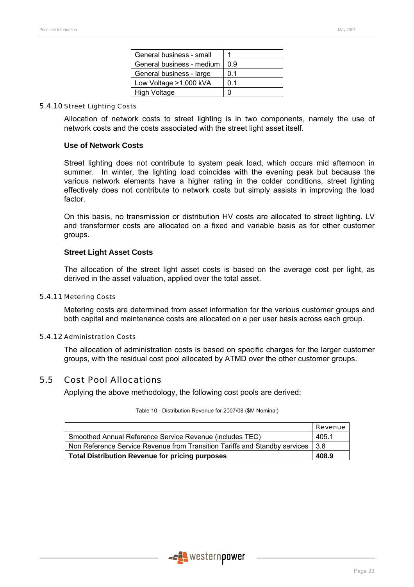| General business - small  |     |
|---------------------------|-----|
| General business - medium | 0.9 |
| General business - large  | 0.1 |
| Low Voltage >1,000 kVA    | 0.1 |
| <b>High Voltage</b>       |     |

#### 5.4.10 Street Lighting Costs

Allocation of network costs to street lighting is in two components, namely the use of network costs and the costs associated with the street light asset itself.

#### **Use of Network Costs**

Street lighting does not contribute to system peak load, which occurs mid afternoon in summer. In winter, the lighting load coincides with the evening peak but because the various network elements have a higher rating in the colder conditions, street lighting effectively does not contribute to network costs but simply assists in improving the load factor.

On this basis, no transmission or distribution HV costs are allocated to street lighting. LV and transformer costs are allocated on a fixed and variable basis as for other customer groups.

#### **Street Light Asset Costs**

The allocation of the street light asset costs is based on the average cost per light, as derived in the asset valuation, applied over the total asset.

#### 5.4.11 Metering Costs

Metering costs are determined from asset information for the various customer groups and both capital and maintenance costs are allocated on a per user basis across each group.

#### 5.4.12 Administration Costs

The allocation of administration costs is based on specific charges for the larger customer groups, with the residual cost pool allocated by ATMD over the other customer groups.

# 5.5 Cost Pool Allocations

Applying the above methodology, the following cost pools are derived:

|                                                                            | Revenue |
|----------------------------------------------------------------------------|---------|
| Smoothed Annual Reference Service Revenue (includes TEC)                   | 405.1   |
| Non Reference Service Revenue from Transition Tariffs and Standby services | l 3.8   |
| <b>Total Distribution Revenue for pricing purposes</b>                     |         |

#### Table 10 - Distribution Revenue for 2007/08 (\$M Nominal)

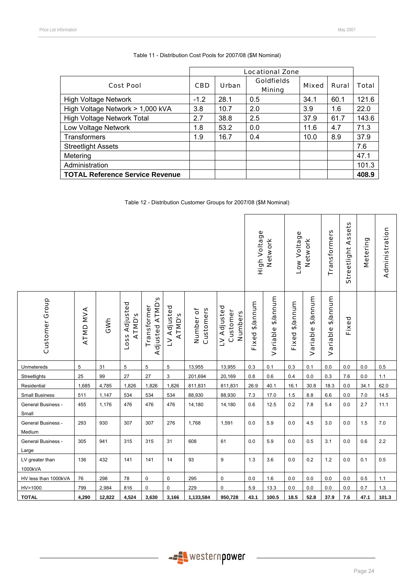|                                        | <b>Locational Zone</b> |              |                                    |              |       |              |
|----------------------------------------|------------------------|--------------|------------------------------------|--------------|-------|--------------|
| <b>Cost Pool</b>                       | <b>CBD</b>             | <b>Urban</b> | <b>Goldfields</b><br><b>Mining</b> | <b>Mixed</b> | Rural | <b>Total</b> |
| <b>High Voltage Network</b>            | $-1.2$                 | 28.1         | 0.5                                | 34.1         | 60.1  | 121.6        |
| High Voltage Network > 1,000 kVA       | 3.8                    | 10.7         | 2.0                                | 3.9          | 1.6   | 22.0         |
| High Voltage Network Total             | 2.7                    | 38.8         | 2.5                                | 37.9         | 61.7  | 143.6        |
| Low Voltage Network                    | 1.8                    | 53.2         | 0.0                                | 11.6         | 4.7   | 71.3         |
| Transformers                           | 1.9                    | 16.7         | 0.4                                | 10.0         | 8.9   | 37.9         |
| <b>Streetlight Assets</b>              |                        |              |                                    |              |       | 7.6          |
| Metering                               |                        |              |                                    |              |       | 47.1         |
| Administration                         |                        |              |                                    |              |       | 101.3        |
| <b>TOTAL Reference Service Revenue</b> |                        |              |                                    |              |       | 408.9        |

|  |  | Table 11 - Distribution Cost Pools for 2007/08 (\$M Nominal) |
|--|--|--------------------------------------------------------------|
|  |  |                                                              |

Table 12 - Distribution Customer Groups for 2007/08 (\$M Nominal)

|                              |          |        |                         |                                       |                              | High Voltage           | Network                            | Low Voltage    | Network           | Transformers   | Assets<br>Streetlight | Metering          | Administration |         |         |
|------------------------------|----------|--------|-------------------------|---------------------------------------|------------------------------|------------------------|------------------------------------|----------------|-------------------|----------------|-----------------------|-------------------|----------------|---------|---------|
| <b>Customer Group</b>        | ATMD MVA | GWh    | Loss Adjusted<br>ATMD's | <b>Adjusted ATMD's</b><br>Transformer | LV Adjusted<br><b>ATMD's</b> | Customers<br>Number of | LV Adjusted<br>Customer<br>Numbers | Fixed \$/annum | Variable \$/annum | Fixed \$/annum | Variable \$/annum     | Variable \$/annum | Fixed          |         |         |
| Unmetereds                   | 5        | 31     | 5                       | 5                                     | $\overline{5}$               | 13,955                 | 13,955                             | $0.3\,$        | 0.1               | $0.3\,$        | 0.1                   | $0.0\,$           | $0.0\,$        | $0.0\,$ | 0.5     |
| Streetlights                 | 25       | 99     | 27                      | 27                                    | 3                            | 201,694                | 20,169                             | 0.8            | $0.6\,$           | $0.4\,$        | $0.0\,$               | 0.3               | 7.6            | $0.0\,$ | 1.1     |
| Residential                  | 1,685    | 4,785  | 1,826                   | 1,826                                 | 1,826                        | 811,831                | 811,831                            | 26.9           | 40.1              | 16.1           | 30.8                  | 18.3              | 0.0            | 34.1    | 62.0    |
| <b>Small Business</b>        | 511      | 1,147  | 534                     | 534                                   | 534                          | 88,930                 | 88,930                             | 7.3            | 17.0              | $1.5$          | $8.8\,$               | $6.6\,$           | $0.0\,$        | $7.0\,$ | 14.5    |
| General Business -<br>Small  | 455      | 1,176  | 476                     | 476                                   | 476                          | 14,180                 | 14,180                             | $0.6\,$        | 12.5              | $0.2\,$        | $7.8$                 | 5.4               | 0.0            | 2.7     | 11.1    |
| General Business -<br>Medium | 293      | 930    | 307                     | 307                                   | 276                          | 1,768                  | 1,591                              | 0.0            | $5.9\,$           | $0.0\,$        | 4.5                   | 3.0               | 0.0            | $1.5\,$ | $7.0\,$ |
| General Business -<br>Large  | 305      | 941    | 315                     | 315                                   | 31                           | 608                    | 61                                 | $0.0\,$        | 5.9               | $0.0\,$        | 0.5                   | 3.1               | 0.0            | 0.6     | $2.2\,$ |
| LV greater than<br>1000kVA   | 136      | 432    | 141                     | 141                                   | 14                           | 93                     | 9                                  | 1.3            | 3.6               | $0.0\,$        | 0.2                   | $1.2$             | 0.0            | 0.1     | 0.5     |
| HV less than 1000kVA         | 76       | 298    | 78                      | 0                                     | 0                            | 295                    | 0                                  | 0.0            | 1.6               | 0.0            | 0.0                   | $0.0\,$           | $0.0\,$        | 0.5     | $1.1$   |
| HV>1000                      | 799      | 2,984  | 816                     | 0                                     | 0                            | 229                    | 0                                  | 5.9            | 13.3              | $0.0\,$        | 0.0                   | $0.0\,$           | 0.0            | 0.7     | 1.3     |
| <b>TOTAL</b>                 | 4,290    | 12,822 | 4,524                   | 3,630                                 | 3,166                        | 1,133,584              | 950,728                            | 43.1           | 100.5             | 18.5           | 52.8                  | 37.9              | 7.6            | 47.1    | 101.3   |

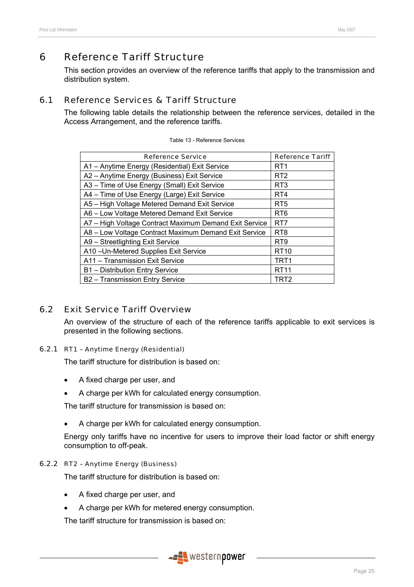This section provides an overview of the reference tariffs that apply to the transmission and distribution system.

# 6.1 Reference Services & Tariff Structure

The following table details the relationship between the reference services, detailed in the Access Arrangement, and the reference tariffs.

| <b>Reference Service</b>                               | <b>Reference Tariff</b> |
|--------------------------------------------------------|-------------------------|
| A1 - Anytime Energy (Residential) Exit Service         | RT <sub>1</sub>         |
| A2 - Anytime Energy (Business) Exit Service            | RT <sub>2</sub>         |
| A3 - Time of Use Energy (Small) Exit Service           | RT <sub>3</sub>         |
| A4 - Time of Use Energy (Large) Exit Service           | RT4                     |
| A5 - High Voltage Metered Demand Exit Service          | RT <sub>5</sub>         |
| A6 - Low Voltage Metered Demand Exit Service           | RT <sub>6</sub>         |
| A7 - High Voltage Contract Maximum Demand Exit Service | RT <sub>7</sub>         |
| A8 - Low Voltage Contract Maximum Demand Exit Service  | RT <sub>8</sub>         |
| A9 - Streetlighting Exit Service                       | RT <sub>9</sub>         |
| A10-Un-Metered Supplies Exit Service                   | RT <sub>10</sub>        |
| A11 - Transmission Exit Service                        | TRT1                    |
| B1 - Distribution Entry Service                        | <b>RT11</b>             |
| B2 - Transmission Entry Service                        | TRT2                    |

# 6.2 Exit Service Tariff Overview

An overview of the structure of each of the reference tariffs applicable to exit services is presented in the following sections.

# 6.2.1 RT1 – Anytime Energy (Residential)

The tariff structure for distribution is based on:

- A fixed charge per user, and
- A charge per kWh for calculated energy consumption.

The tariff structure for transmission is based on:

• A charge per kWh for calculated energy consumption.

Energy only tariffs have no incentive for users to improve their load factor or shift energy consumption to off-peak.

#### 6.2.2 RT2 – Anytime Energy (Business)

The tariff structure for distribution is based on:

- A fixed charge per user, and
- A charge per kWh for metered energy consumption.

The tariff structure for transmission is based on:

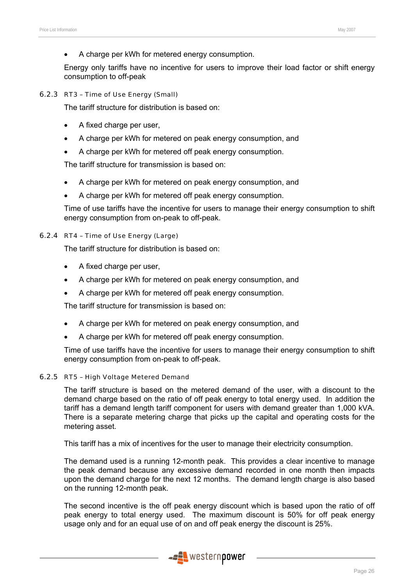• A charge per kWh for metered energy consumption.

Energy only tariffs have no incentive for users to improve their load factor or shift energy consumption to off-peak

#### 6.2.3 RT3 – Time of Use Energy (Small)

The tariff structure for distribution is based on:

- A fixed charge per user,
- A charge per kWh for metered on peak energy consumption, and
- A charge per kWh for metered off peak energy consumption.

The tariff structure for transmission is based on:

- A charge per kWh for metered on peak energy consumption, and
- A charge per kWh for metered off peak energy consumption.

Time of use tariffs have the incentive for users to manage their energy consumption to shift energy consumption from on-peak to off-peak.

#### 6.2.4 RT4 – Time of Use Energy (Large)

The tariff structure for distribution is based on:

- A fixed charge per user,
- A charge per kWh for metered on peak energy consumption, and
- A charge per kWh for metered off peak energy consumption.

The tariff structure for transmission is based on:

- A charge per kWh for metered on peak energy consumption, and
- A charge per kWh for metered off peak energy consumption.

Time of use tariffs have the incentive for users to manage their energy consumption to shift energy consumption from on-peak to off-peak.

#### 6.2.5 RT5 – High Voltage Metered Demand

The tariff structure is based on the metered demand of the user, with a discount to the demand charge based on the ratio of off peak energy to total energy used. In addition the tariff has a demand length tariff component for users with demand greater than 1,000 kVA. There is a separate metering charge that picks up the capital and operating costs for the metering asset.

This tariff has a mix of incentives for the user to manage their electricity consumption.

The demand used is a running 12-month peak. This provides a clear incentive to manage the peak demand because any excessive demand recorded in one month then impacts upon the demand charge for the next 12 months. The demand length charge is also based on the running 12-month peak.

The second incentive is the off peak energy discount which is based upon the ratio of off peak energy to total energy used. The maximum discount is 50% for off peak energy usage only and for an equal use of on and off peak energy the discount is 25%.

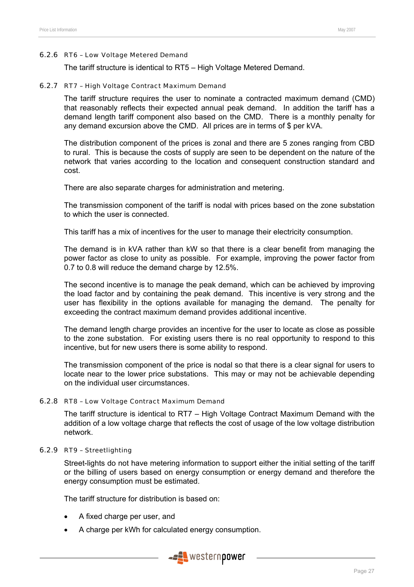#### 6.2.6 RT6 – Low Voltage Metered Demand

The tariff structure is identical to RT5 – High Voltage Metered Demand.

#### 6.2.7 RT7 – High Voltage Contract Maximum Demand

The tariff structure requires the user to nominate a contracted maximum demand (CMD) that reasonably reflects their expected annual peak demand. In addition the tariff has a demand length tariff component also based on the CMD. There is a monthly penalty for any demand excursion above the CMD. All prices are in terms of \$ per kVA.

The distribution component of the prices is zonal and there are 5 zones ranging from CBD to rural. This is because the costs of supply are seen to be dependent on the nature of the network that varies according to the location and consequent construction standard and cost.

There are also separate charges for administration and metering.

The transmission component of the tariff is nodal with prices based on the zone substation to which the user is connected.

This tariff has a mix of incentives for the user to manage their electricity consumption.

The demand is in kVA rather than kW so that there is a clear benefit from managing the power factor as close to unity as possible. For example, improving the power factor from 0.7 to 0.8 will reduce the demand charge by 12.5%.

The second incentive is to manage the peak demand, which can be achieved by improving the load factor and by containing the peak demand. This incentive is very strong and the user has flexibility in the options available for managing the demand. The penalty for exceeding the contract maximum demand provides additional incentive.

The demand length charge provides an incentive for the user to locate as close as possible to the zone substation. For existing users there is no real opportunity to respond to this incentive, but for new users there is some ability to respond.

The transmission component of the price is nodal so that there is a clear signal for users to locate near to the lower price substations. This may or may not be achievable depending on the individual user circumstances.

#### 6.2.8 RT8 – Low Voltage Contract Maximum Demand

The tariff structure is identical to RT7 – High Voltage Contract Maximum Demand with the addition of a low voltage charge that reflects the cost of usage of the low voltage distribution network.

#### 6.2.9 RT9 – Streetlighting

Street-lights do not have metering information to support either the initial setting of the tariff or the billing of users based on energy consumption or energy demand and therefore the energy consumption must be estimated.

The tariff structure for distribution is based on:

- A fixed charge per user, and
- A charge per kWh for calculated energy consumption.

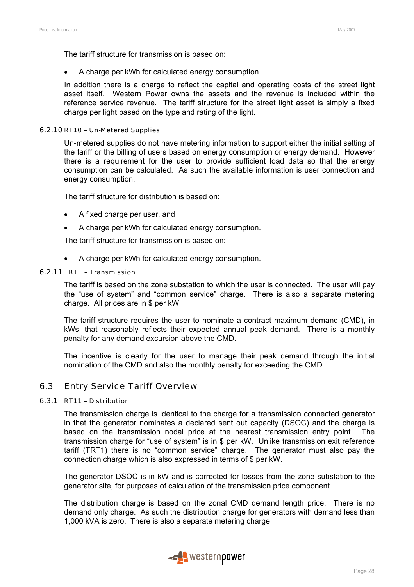The tariff structure for transmission is based on:

• A charge per kWh for calculated energy consumption.

In addition there is a charge to reflect the capital and operating costs of the street light asset itself. Western Power owns the assets and the revenue is included within the reference service revenue. The tariff structure for the street light asset is simply a fixed charge per light based on the type and rating of the light.

#### 6.2.10 RT10 – Un-Metered Supplies

Un-metered supplies do not have metering information to support either the initial setting of the tariff or the billing of users based on energy consumption or energy demand. However there is a requirement for the user to provide sufficient load data so that the energy consumption can be calculated. As such the available information is user connection and energy consumption.

The tariff structure for distribution is based on:

- A fixed charge per user, and
- A charge per kWh for calculated energy consumption.

The tariff structure for transmission is based on:

• A charge per kWh for calculated energy consumption.

# 6.2.11 TRT1 – Transmission

The tariff is based on the zone substation to which the user is connected. The user will pay the "use of system" and "common service" charge. There is also a separate metering charge. All prices are in \$ per kW.

The tariff structure requires the user to nominate a contract maximum demand (CMD), in kWs, that reasonably reflects their expected annual peak demand. There is a monthly penalty for any demand excursion above the CMD.

The incentive is clearly for the user to manage their peak demand through the initial nomination of the CMD and also the monthly penalty for exceeding the CMD.

# 6.3 Entry Service Tariff Overview

#### 6.3.1 RT11 – Distribution

The transmission charge is identical to the charge for a transmission connected generator in that the generator nominates a declared sent out capacity (DSOC) and the charge is based on the transmission nodal price at the nearest transmission entry point. The transmission charge for "use of system" is in \$ per kW. Unlike transmission exit reference tariff (TRT1) there is no "common service" charge. The generator must also pay the connection charge which is also expressed in terms of \$ per kW.

The generator DSOC is in kW and is corrected for losses from the zone substation to the generator site, for purposes of calculation of the transmission price component.

The distribution charge is based on the zonal CMD demand length price. There is no demand only charge. As such the distribution charge for generators with demand less than 1,000 kVA is zero. There is also a separate metering charge.

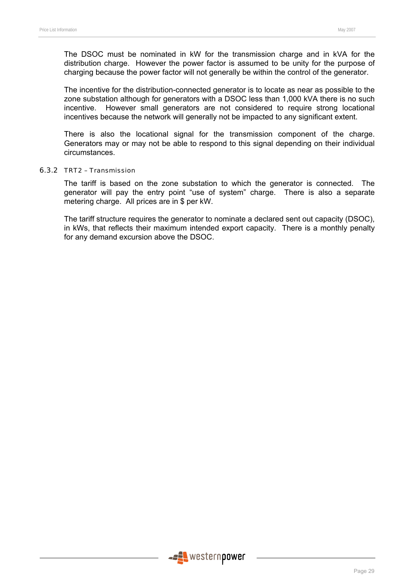The DSOC must be nominated in kW for the transmission charge and in kVA for the distribution charge. However the power factor is assumed to be unity for the purpose of charging because the power factor will not generally be within the control of the generator.

The incentive for the distribution-connected generator is to locate as near as possible to the zone substation although for generators with a DSOC less than 1,000 kVA there is no such incentive. However small generators are not considered to require strong locational incentives because the network will generally not be impacted to any significant extent.

There is also the locational signal for the transmission component of the charge. Generators may or may not be able to respond to this signal depending on their individual circumstances.

#### 6.3.2 TRT2 – Transmission

The tariff is based on the zone substation to which the generator is connected. The generator will pay the entry point "use of system" charge. There is also a separate metering charge. All prices are in \$ per kW.

The tariff structure requires the generator to nominate a declared sent out capacity (DSOC), in kWs, that reflects their maximum intended export capacity. There is a monthly penalty for any demand excursion above the DSOC.

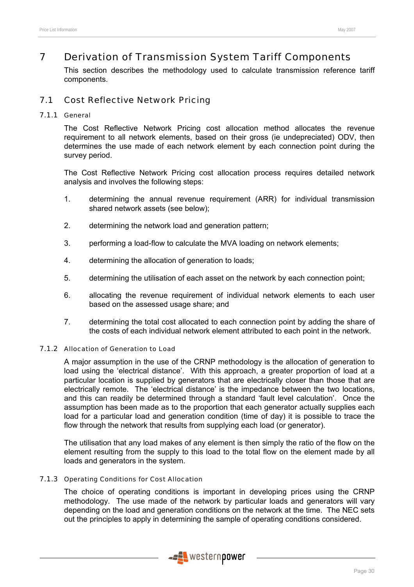# 7 Derivation of Transmission System Tariff Components

This section describes the methodology used to calculate transmission reference tariff components.

# 7.1 Cost Reflective Network Pricing

#### 7.1.1 General

The Cost Reflective Network Pricing cost allocation method allocates the revenue requirement to all network elements, based on their gross (ie undepreciated) ODV, then determines the use made of each network element by each connection point during the survey period.

The Cost Reflective Network Pricing cost allocation process requires detailed network analysis and involves the following steps:

- 1. determining the annual revenue requirement (ARR) for individual transmission shared network assets (see below);
- 2. determining the network load and generation pattern;
- 3. performing a load-flow to calculate the MVA loading on network elements;
- 4. determining the allocation of generation to loads;
- 5. determining the utilisation of each asset on the network by each connection point;
- 6. allocating the revenue requirement of individual network elements to each user based on the assessed usage share; and
- 7. determining the total cost allocated to each connection point by adding the share of the costs of each individual network element attributed to each point in the network.

### 7.1.2 Allocation of Generation to Load

A major assumption in the use of the CRNP methodology is the allocation of generation to load using the 'electrical distance'. With this approach, a greater proportion of load at a particular location is supplied by generators that are electrically closer than those that are electrically remote. The 'electrical distance' is the impedance between the two locations, and this can readily be determined through a standard 'fault level calculation'. Once the assumption has been made as to the proportion that each generator actually supplies each load for a particular load and generation condition (time of day) it is possible to trace the flow through the network that results from supplying each load (or generator).

The utilisation that any load makes of any element is then simply the ratio of the flow on the element resulting from the supply to this load to the total flow on the element made by all loads and generators in the system.

#### 7.1.3 Operating Conditions for Cost Allocation

The choice of operating conditions is important in developing prices using the CRNP methodology. The use made of the network by particular loads and generators will vary depending on the load and generation conditions on the network at the time. The NEC sets out the principles to apply in determining the sample of operating conditions considered.

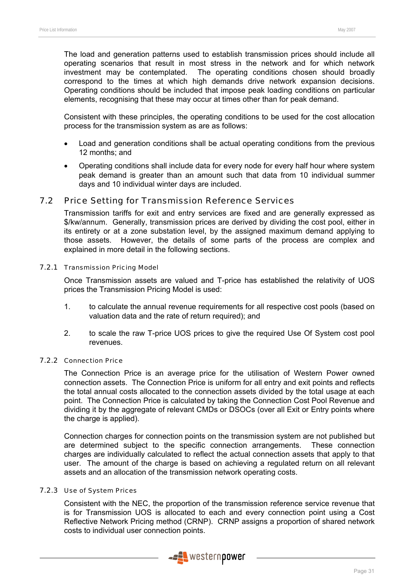The load and generation patterns used to establish transmission prices should include all operating scenarios that result in most stress in the network and for which network investment may be contemplated. The operating conditions chosen should broadly correspond to the times at which high demands drive network expansion decisions. Operating conditions should be included that impose peak loading conditions on particular elements, recognising that these may occur at times other than for peak demand.

Consistent with these principles, the operating conditions to be used for the cost allocation process for the transmission system as are as follows:

- Load and generation conditions shall be actual operating conditions from the previous 12 months; and
- Operating conditions shall include data for every node for every half hour where system peak demand is greater than an amount such that data from 10 individual summer days and 10 individual winter days are included.

### 7.2 Price Setting for Transmission Reference Services

Transmission tariffs for exit and entry services are fixed and are generally expressed as \$/kw/annum. Generally, transmission prices are derived by dividing the cost pool, either in its entirety or at a zone substation level, by the assigned maximum demand applying to those assets. However, the details of some parts of the process are complex and explained in more detail in the following sections.

#### 7.2.1 Transmission Pricing Model

Once Transmission assets are valued and T-price has established the relativity of UOS prices the Transmission Pricing Model is used:

- 1. to calculate the annual revenue requirements for all respective cost pools (based on valuation data and the rate of return required); and
- 2. to scale the raw T-price UOS prices to give the required Use Of System cost pool revenues.

#### 7.2.2 Connection Price

The Connection Price is an average price for the utilisation of Western Power owned connection assets. The Connection Price is uniform for all entry and exit points and reflects the total annual costs allocated to the connection assets divided by the total usage at each point. The Connection Price is calculated by taking the Connection Cost Pool Revenue and dividing it by the aggregate of relevant CMDs or DSOCs (over all Exit or Entry points where the charge is applied).

Connection charges for connection points on the transmission system are not published but are determined subject to the specific connection arrangements. These connection charges are individually calculated to reflect the actual connection assets that apply to that user. The amount of the charge is based on achieving a regulated return on all relevant assets and an allocation of the transmission network operating costs.

### 7.2.3 Use of System Prices

Consistent with the NEC, the proportion of the transmission reference service revenue that is for Transmission UOS is allocated to each and every connection point using a Cost Reflective Network Pricing method (CRNP). CRNP assigns a proportion of shared network costs to individual user connection points.

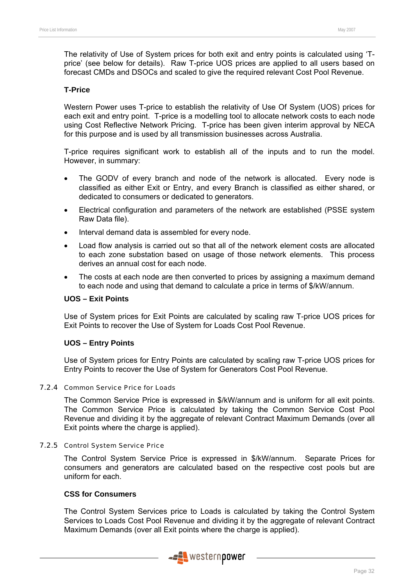The relativity of Use of System prices for both exit and entry points is calculated using 'Tprice' (see below for details). Raw T-price UOS prices are applied to all users based on forecast CMDs and DSOCs and scaled to give the required relevant Cost Pool Revenue.

#### **T-Price**

Western Power uses T-price to establish the relativity of Use Of System (UOS) prices for each exit and entry point. T-price is a modelling tool to allocate network costs to each node using Cost Reflective Network Pricing. T-price has been given interim approval by NECA for this purpose and is used by all transmission businesses across Australia.

T-price requires significant work to establish all of the inputs and to run the model. However, in summary:

- The GODV of every branch and node of the network is allocated. Every node is classified as either Exit or Entry, and every Branch is classified as either shared, or dedicated to consumers or dedicated to generators.
- Electrical configuration and parameters of the network are established (PSSE system Raw Data file).
- Interval demand data is assembled for every node.
- Load flow analysis is carried out so that all of the network element costs are allocated to each zone substation based on usage of those network elements. This process derives an annual cost for each node.
- The costs at each node are then converted to prices by assigning a maximum demand to each node and using that demand to calculate a price in terms of \$/kW/annum.

#### **UOS – Exit Points**

Use of System prices for Exit Points are calculated by scaling raw T-price UOS prices for Exit Points to recover the Use of System for Loads Cost Pool Revenue.

#### **UOS – Entry Points**

Use of System prices for Entry Points are calculated by scaling raw T-price UOS prices for Entry Points to recover the Use of System for Generators Cost Pool Revenue.

#### 7.2.4 Common Service Price for Loads

The Common Service Price is expressed in \$/kW/annum and is uniform for all exit points. The Common Service Price is calculated by taking the Common Service Cost Pool Revenue and dividing it by the aggregate of relevant Contract Maximum Demands (over all Exit points where the charge is applied).

#### 7.2.5 Control System Service Price

The Control System Service Price is expressed in \$/kW/annum. Separate Prices for consumers and generators are calculated based on the respective cost pools but are uniform for each.

### **CSS for Consumers**

The Control System Services price to Loads is calculated by taking the Control System Services to Loads Cost Pool Revenue and dividing it by the aggregate of relevant Contract Maximum Demands (over all Exit points where the charge is applied).

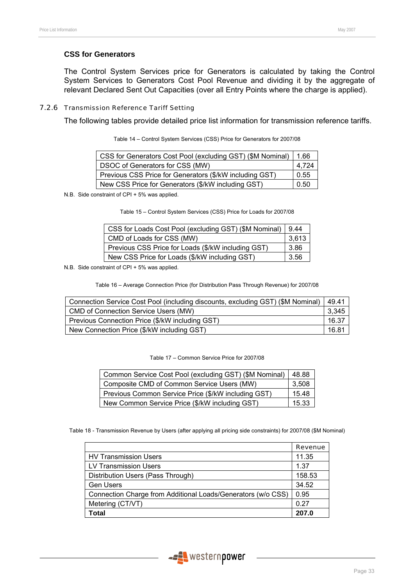#### **CSS for Generators**

The Control System Services price for Generators is calculated by taking the Control System Services to Generators Cost Pool Revenue and dividing it by the aggregate of relevant Declared Sent Out Capacities (over all Entry Points where the charge is applied).

#### 7.2.6 Transmission Reference Tariff Setting

The following tables provide detailed price list information for transmission reference tariffs.

| CSS for Generators Cost Pool (excluding GST) (\$M Nominal) | 1.66  |
|------------------------------------------------------------|-------|
| DSOC of Generators for CSS (MW)                            | 4.724 |
| Previous CSS Price for Generators (\$/kW including GST)    | 0.55  |
| New CSS Price for Generators (\$/kW including GST)         | 0.50  |

Table 14 – Control System Services (CSS) Price for Generators for 2007/08

N.B. Side constraint of CPI + 5% was applied.

|  |  | Table 15 - Control System Services (CSS) Price for Loads for 2007/08 |  |  |  |
|--|--|----------------------------------------------------------------------|--|--|--|

| CSS for Loads Cost Pool (excluding GST) (\$M Nominal) | 9.44  |
|-------------------------------------------------------|-------|
| CMD of Loads for CSS (MW)                             | 3,613 |
| Previous CSS Price for Loads (\$/kW including GST)    | 3.86  |
| New CSS Price for Loads (\$/kW including GST)         | 3.56  |

N.B. Side constraint of CPI + 5% was applied.

Table 16 – Average Connection Price (for Distribution Pass Through Revenue) for 2007/08

| Connection Service Cost Pool (including discounts, excluding GST) (\$M Nominal) | 49.41 |
|---------------------------------------------------------------------------------|-------|
| <b>CMD of Connection Service Users (MW)</b>                                     | 3,345 |
| Previous Connection Price (\$/kW including GST)                                 | 16.37 |
| New Connection Price (\$/kW including GST)                                      | 16.81 |

Table 17 – Common Service Price for 2007/08

| Common Service Cost Pool (excluding GST) (\$M Nominal) |       |  |  |  |  |
|--------------------------------------------------------|-------|--|--|--|--|
| Composite CMD of Common Service Users (MW)             | 3,508 |  |  |  |  |
| Previous Common Service Price (\$/kW including GST)    |       |  |  |  |  |
| New Common Service Price (\$/kW including GST)         | 15.33 |  |  |  |  |

Table 18 - Transmission Revenue by Users (after applying all pricing side constraints) for 2007/08 (\$M Nominal)

|                                                              | <b>Revenue</b> |
|--------------------------------------------------------------|----------------|
| <b>HV Transmission Users</b>                                 | 11.35          |
| <b>LV Transmission Users</b>                                 | 1.37           |
| Distribution Users (Pass Through)                            | 158.53         |
| <b>Gen Users</b>                                             | 34.52          |
| Connection Charge from Additional Loads/Generators (w/o CSS) | 0.95           |
| Metering (CT/VT)                                             | 0.27           |
| Total                                                        | 207.0          |

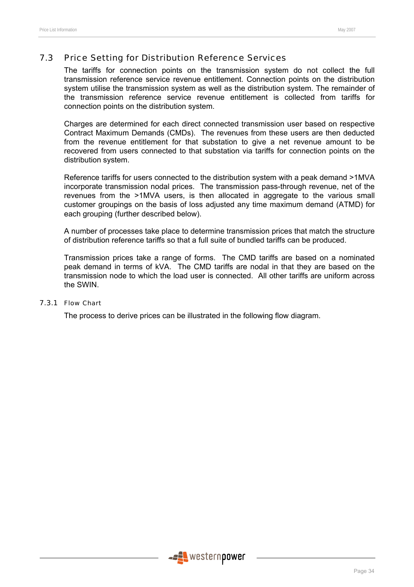### 7.3 Price Setting for Distribution Reference Services

The tariffs for connection points on the transmission system do not collect the full transmission reference service revenue entitlement. Connection points on the distribution system utilise the transmission system as well as the distribution system. The remainder of the transmission reference service revenue entitlement is collected from tariffs for connection points on the distribution system.

Charges are determined for each direct connected transmission user based on respective Contract Maximum Demands (CMDs). The revenues from these users are then deducted from the revenue entitlement for that substation to give a net revenue amount to be recovered from users connected to that substation via tariffs for connection points on the distribution system.

Reference tariffs for users connected to the distribution system with a peak demand >1MVA incorporate transmission nodal prices. The transmission pass-through revenue, net of the revenues from the >1MVA users, is then allocated in aggregate to the various small customer groupings on the basis of loss adjusted any time maximum demand (ATMD) for each grouping (further described below).

A number of processes take place to determine transmission prices that match the structure of distribution reference tariffs so that a full suite of bundled tariffs can be produced.

Transmission prices take a range of forms. The CMD tariffs are based on a nominated peak demand in terms of kVA. The CMD tariffs are nodal in that they are based on the transmission node to which the load user is connected. All other tariffs are uniform across the SWIN.

#### 7.3.1 Flow Chart

The process to derive prices can be illustrated in the following flow diagram.

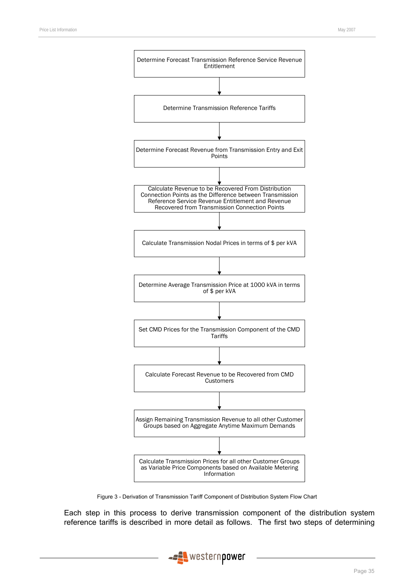

Figure 3 - Derivation of Transmission Tariff Component of Distribution System Flow Chart

Each step in this process to derive transmission component of the distribution system reference tariffs is described in more detail as follows. The first two steps of determining

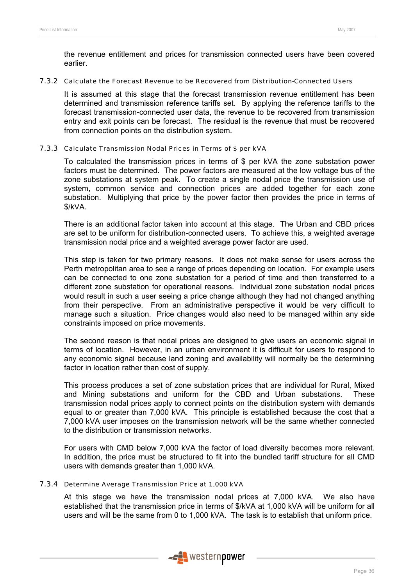the revenue entitlement and prices for transmission connected users have been covered earlier.

#### 7.3.2 Calculate the Forecast Revenue to be Recovered from Distribution-Connected Users

It is assumed at this stage that the forecast transmission revenue entitlement has been determined and transmission reference tariffs set. By applying the reference tariffs to the forecast transmission-connected user data, the revenue to be recovered from transmission entry and exit points can be forecast. The residual is the revenue that must be recovered from connection points on the distribution system.

#### 7.3.3 Calculate Transmission Nodal Prices in Terms of \$ per kVA

To calculated the transmission prices in terms of \$ per kVA the zone substation power factors must be determined. The power factors are measured at the low voltage bus of the zone substations at system peak. To create a single nodal price the transmission use of system, common service and connection prices are added together for each zone substation. Multiplying that price by the power factor then provides the price in terms of \$/kVA.

There is an additional factor taken into account at this stage. The Urban and CBD prices are set to be uniform for distribution-connected users. To achieve this, a weighted average transmission nodal price and a weighted average power factor are used.

This step is taken for two primary reasons. It does not make sense for users across the Perth metropolitan area to see a range of prices depending on location. For example users can be connected to one zone substation for a period of time and then transferred to a different zone substation for operational reasons. Individual zone substation nodal prices would result in such a user seeing a price change although they had not changed anything from their perspective. From an administrative perspective it would be very difficult to manage such a situation. Price changes would also need to be managed within any side constraints imposed on price movements.

The second reason is that nodal prices are designed to give users an economic signal in terms of location. However, in an urban environment it is difficult for users to respond to any economic signal because land zoning and availability will normally be the determining factor in location rather than cost of supply.

This process produces a set of zone substation prices that are individual for Rural, Mixed and Mining substations and uniform for the CBD and Urban substations. These transmission nodal prices apply to connect points on the distribution system with demands equal to or greater than 7,000 kVA. This principle is established because the cost that a 7,000 kVA user imposes on the transmission network will be the same whether connected to the distribution or transmission networks.

For users with CMD below 7,000 kVA the factor of load diversity becomes more relevant. In addition, the price must be structured to fit into the bundled tariff structure for all CMD users with demands greater than 1,000 kVA.

#### 7.3.4 Determine Average Transmission Price at 1,000 kVA

At this stage we have the transmission nodal prices at 7,000 kVA. We also have established that the transmission price in terms of \$/kVA at 1,000 kVA will be uniform for all users and will be the same from 0 to 1,000 kVA. The task is to establish that uniform price.

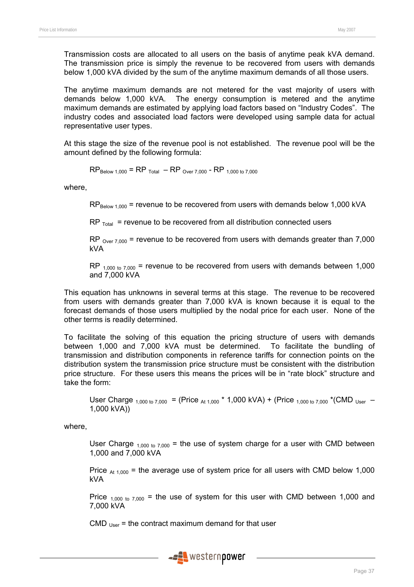Transmission costs are allocated to all users on the basis of anytime peak kVA demand. The transmission price is simply the revenue to be recovered from users with demands below 1,000 kVA divided by the sum of the anytime maximum demands of all those users.

The anytime maximum demands are not metered for the vast majority of users with demands below 1,000 kVA. The energy consumption is metered and the anytime maximum demands are estimated by applying load factors based on "Industry Codes". The industry codes and associated load factors were developed using sample data for actual representative user types.

At this stage the size of the revenue pool is not established. The revenue pool will be the amount defined by the following formula:

 $RP_{\text{Below 1,000}} = RP_{\text{Total}} - RP_{\text{Over 7,000}} - RP_{\text{ 1,000 to 7,000}}$ 

where,

 $RP_{\text{Below 1,000}}$  = revenue to be recovered from users with demands below 1,000 kVA

 $RP$ <sub>Total</sub> = revenue to be recovered from all distribution connected users

RP  $_{Over 7,000}$  = revenue to be recovered from users with demands greater than 7,000 kVA

RP  $_{1,000 \text{ to } 7,000}$  = revenue to be recovered from users with demands between 1,000 and 7,000 kVA

This equation has unknowns in several terms at this stage. The revenue to be recovered from users with demands greater than 7,000 kVA is known because it is equal to the forecast demands of those users multiplied by the nodal price for each user. None of the other terms is readily determined.

To facilitate the solving of this equation the pricing structure of users with demands between 1,000 and 7,000 kVA must be determined. To facilitate the bundling of transmission and distribution components in reference tariffs for connection points on the distribution system the transmission price structure must be consistent with the distribution price structure. For these users this means the prices will be in "rate block" structure and take the form:

User Charge  $_{1,000 \text{ to } 7,000}$  = (Price  $_{\text{At } 1,000}$  \* 1,000 kVA) + (Price  $_{1,000 \text{ to } 7,000}$  \*(CMD  $_{\text{User}}$  – 1,000 kVA))

where,

User Charge  $_{1,000 \text{ to } 7,000}$  = the use of system charge for a user with CMD between 1,000 and 7,000 kVA

Price  $_{At 1,000}$  = the average use of system price for all users with CMD below 1,000 kVA

Price  $_{1,000 \text{ to } 7,000}$  = the use of system for this user with CMD between 1,000 and 7,000 kVA

CMD  $_{Use}$  = the contract maximum demand for that user

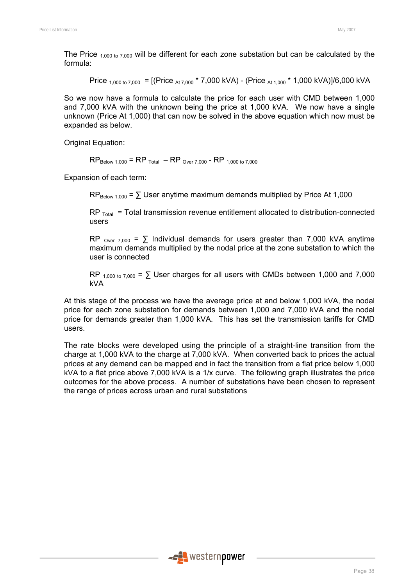The Price  $_{1,000 \text{ to } 7,000}$  will be different for each zone substation but can be calculated by the formula:

Price <sub>1,000 to</sub> 7,000 = [(Price <sub>At 7,000</sub> \* 7,000 kVA) - (Price <sub>At 1,000</sub> \* 1,000 kVA)]/6,000 kVA

So we now have a formula to calculate the price for each user with CMD between 1,000 and 7,000 kVA with the unknown being the price at 1,000 kVA. We now have a single unknown (Price At 1,000) that can now be solved in the above equation which now must be expanded as below.

Original Equation:

 $RP_{\text{Below 1,000}} = RP_{\text{Total}} - RP_{\text{Over 7,000}} - RP_{\text{ 1,000 to 7,000}}$ 

Expansion of each term:

 $RP_{\text{Relow 1,000}} = \sum \text{User anytime maximum demands multiplied by Price At 1,000}$ 

 $RP$ <sub>Total</sub> = Total transmission revenue entitlement allocated to distribution-connected users

RP  $_{\text{Over } 7,000}$  =  $\sum$  Individual demands for users greater than 7,000 kVA anytime maximum demands multiplied by the nodal price at the zone substation to which the user is connected

RP  $_{1,000 \text{ to } 7,000}$  =  $\Sigma$  User charges for all users with CMDs between 1,000 and 7,000 kVA

At this stage of the process we have the average price at and below 1,000 kVA, the nodal price for each zone substation for demands between 1,000 and 7,000 kVA and the nodal price for demands greater than 1,000 kVA. This has set the transmission tariffs for CMD users.

The rate blocks were developed using the principle of a straight-line transition from the charge at 1,000 kVA to the charge at 7,000 kVA. When converted back to prices the actual prices at any demand can be mapped and in fact the transition from a flat price below 1,000 kVA to a flat price above 7,000 kVA is a 1/x curve. The following graph illustrates the price outcomes for the above process. A number of substations have been chosen to represent the range of prices across urban and rural substations

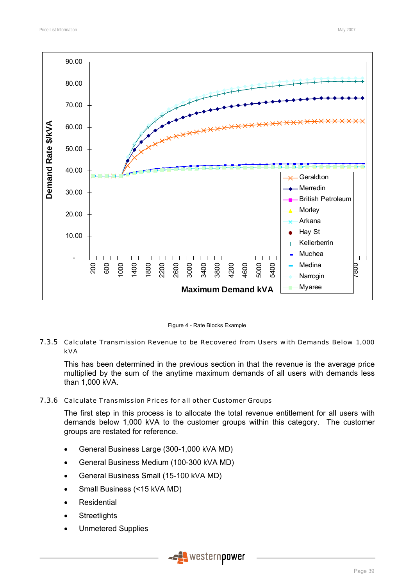



#### 7.3.5 Calculate Transmission Revenue to be Recovered from Users with Demands Below 1,000 kVA

This has been determined in the previous section in that the revenue is the average price multiplied by the sum of the anytime maximum demands of all users with demands less than 1,000 kVA.

#### 7.3.6 Calculate Transmission Prices for all other Customer Groups

The first step in this process is to allocate the total revenue entitlement for all users with demands below 1,000 kVA to the customer groups within this category. The customer groups are restated for reference.

- General Business Large (300-1,000 kVA MD)
- General Business Medium (100-300 kVA MD)
- General Business Small (15-100 kVA MD)
- Small Business (<15 kVA MD)
- **Residential**
- **Streetlights**
- Unmetered Supplies

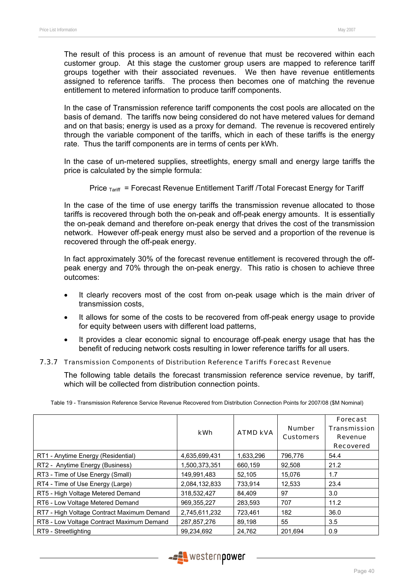The result of this process is an amount of revenue that must be recovered within each customer group. At this stage the customer group users are mapped to reference tariff groups together with their associated revenues. We then have revenue entitlements assigned to reference tariffs. The process then becomes one of matching the revenue entitlement to metered information to produce tariff components.

In the case of Transmission reference tariff components the cost pools are allocated on the basis of demand. The tariffs now being considered do not have metered values for demand and on that basis; energy is used as a proxy for demand. The revenue is recovered entirely through the variable component of the tariffs, which in each of these tariffs is the energy rate. Thus the tariff components are in terms of cents per kWh.

In the case of un-metered supplies, streetlights, energy small and energy large tariffs the price is calculated by the simple formula:

Price  $T_{\text{Ariff}}$  = Forecast Revenue Entitlement Tariff /Total Forecast Energy for Tariff

In the case of the time of use energy tariffs the transmission revenue allocated to those tariffs is recovered through both the on-peak and off-peak energy amounts. It is essentially the on-peak demand and therefore on-peak energy that drives the cost of the transmission network. However off-peak energy must also be served and a proportion of the revenue is recovered through the off-peak energy.

In fact approximately 30% of the forecast revenue entitlement is recovered through the offpeak energy and 70% through the on-peak energy. This ratio is chosen to achieve three outcomes:

- It clearly recovers most of the cost from on-peak usage which is the main driver of transmission costs,
- It allows for some of the costs to be recovered from off-peak energy usage to provide for equity between users with different load patterns,
- It provides a clear economic signal to encourage off-peak energy usage that has the benefit of reducing network costs resulting in lower reference tariffs for all users.

#### 7.3.7 Transmission Components of Distribution Reference Tariffs Forecast Revenue

The following table details the forecast transmission reference service revenue, by tariff, which will be collected from distribution connection points.

|                                            | kWh           | <b>ATMD kVA</b> | <b>Number</b><br><b>Customers</b> | Forecast<br><b>Transmission</b><br>Revenue<br><b>Recovered</b> |
|--------------------------------------------|---------------|-----------------|-----------------------------------|----------------------------------------------------------------|
| RT1 - Anytime Energy (Residential)         | 4,635,699,431 | 1,633,296       | 796,776                           | 54.4                                                           |
| RT2 - Anytime Energy (Business)            | 1,500,373,351 | 660.159         | 92.508                            | 21.2                                                           |
| RT3 - Time of Use Energy (Small)           | 149,991,483   | 52,105          | 15,076                            | 1.7                                                            |
| RT4 - Time of Use Energy (Large)           | 2,084,132,833 | 733.914         | 12,533                            | 23.4                                                           |
| RT5 - High Voltage Metered Demand          | 318,532,427   | 84.409          | 97                                | 3.0                                                            |
| RT6 - Low Voltage Metered Demand           | 969,355,227   | 283,593         | 707                               | 11.2                                                           |
| RT7 - High Voltage Contract Maximum Demand | 2,745,611,232 | 723.461         | 182                               | 36.0                                                           |
| RT8 - Low Voltage Contract Maximum Demand  | 287,857,276   | 89,198          | 55                                | 3.5                                                            |
| RT9 - Streetlighting                       | 99,234,692    | 24,762          | 201,694                           | 0.9                                                            |

Table 19 - Transmission Reference Service Revenue Recovered from Distribution Connection Points for 2007/08 (\$M Nominal)

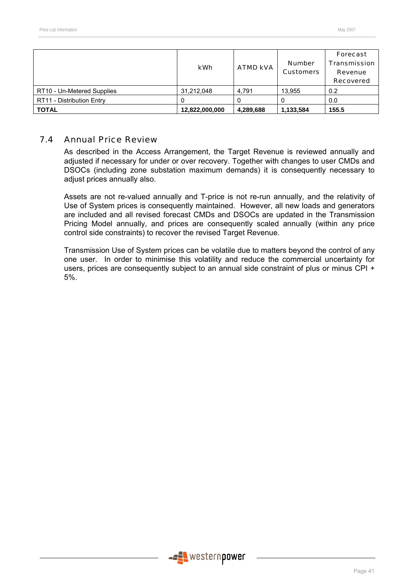|                            | kWh            | <b>ATMD kVA</b> | <b>Number</b><br><b>Customers</b> | Forecast<br><b>Transmission</b><br>Revenue<br><b>Recovered</b> |
|----------------------------|----------------|-----------------|-----------------------------------|----------------------------------------------------------------|
| RT10 - Un-Metered Supplies | 31,212,048     | 4.791           | 13.955                            | 0.2                                                            |
| RT11 - Distribution Entry  |                |                 |                                   | 0.0                                                            |
| <b>TOTAL</b>               | 12,822,000,000 | 4,289,688       | 1,133,584                         | 155.5                                                          |

### 7.4 Annual Price Review

As described in the Access Arrangement, the Target Revenue is reviewed annually and adjusted if necessary for under or over recovery. Together with changes to user CMDs and DSOCs (including zone substation maximum demands) it is consequently necessary to adjust prices annually also.

Assets are not re-valued annually and T-price is not re-run annually, and the relativity of Use of System prices is consequently maintained. However, all new loads and generators are included and all revised forecast CMDs and DSOCs are updated in the Transmission Pricing Model annually, and prices are consequently scaled annually (within any price control side constraints) to recover the revised Target Revenue.

Transmission Use of System prices can be volatile due to matters beyond the control of any one user. In order to minimise this volatility and reduce the commercial uncertainty for users, prices are consequently subject to an annual side constraint of plus or minus CPI + 5%.

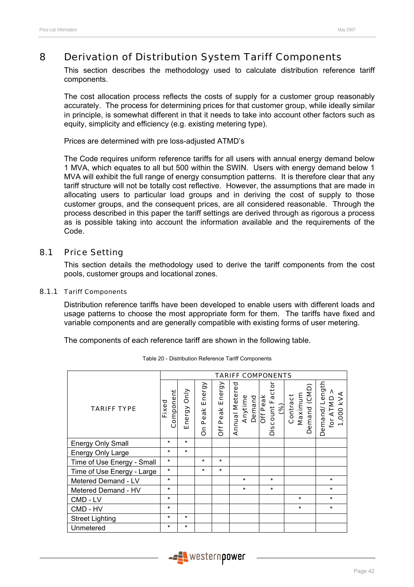# 8 Derivation of Distribution System Tariff Components

This section describes the methodology used to calculate distribution reference tariff components.

The cost allocation process reflects the costs of supply for a customer group reasonably accurately. The process for determining prices for that customer group, while ideally similar in principle, is somewhat different in that it needs to take into account other factors such as equity, simplicity and efficiency (e.g. existing metering type).

Prices are determined with pre loss-adjusted ATMD's

The Code requires uniform reference tariffs for all users with annual energy demand below 1 MVA, which equates to all but 500 within the SWIN. Users with energy demand below 1 MVA will exhibit the full range of energy consumption patterns. It is therefore clear that any tariff structure will not be totally cost reflective. However, the assumptions that are made in allocating users to particular load groups and in deriving the cost of supply to those customer groups, and the consequent prices, are all considered reasonable. Through the process described in this paper the tariff settings are derived through as rigorous a process as is possible taking into account the information available and the requirements of the Code.

### 8.1 Price Setting

This section details the methodology used to derive the tariff components from the cost pools, customer groups and locational zones.

#### 8.1.1 Tariff Components

Distribution reference tariffs have been developed to enable users with different loads and usage patterns to choose the most appropriate form for them. The tariffs have fixed and variable components and are generally compatible with existing forms of user metering.

The components of each reference tariff are shown in the following table.

|                            | <b>TARIFF COMPONENTS</b> |             |                     |                       |                                            |                                                |                                     |                                           |  |  |
|----------------------------|--------------------------|-------------|---------------------|-----------------------|--------------------------------------------|------------------------------------------------|-------------------------------------|-------------------------------------------|--|--|
| <b>TARIFF TYPE</b>         | Component<br>Fixed       | Energy Only | Energy<br>Peak<br>δ | Energy<br>Peak<br>Öff | <b>Annual Metered</b><br>Anytime<br>Demand | Discount Factor<br><b>Off Peak</b><br>$\infty$ | Demand (CMD)<br>Maximum<br>Contract | Demand/Length<br>kVA<br>for ATMD<br>1,000 |  |  |
| <b>Energy Only Small</b>   | $\star$                  | $\star$     |                     |                       |                                            |                                                |                                     |                                           |  |  |
| Energy Only Large          | $\star$                  | $\star$     |                     |                       |                                            |                                                |                                     |                                           |  |  |
| Time of Use Energy - Small | $\star$                  |             | $\star$             | $\star$               |                                            |                                                |                                     |                                           |  |  |
| Time of Use Energy - Large | $\star$                  |             | $\star$             | $\star$               |                                            |                                                |                                     |                                           |  |  |
| Metered Demand - LV        | $\star$                  |             |                     |                       | $\star$                                    | $\star$                                        |                                     | $\star$                                   |  |  |
| Metered Demand - HV        | $\star$                  |             |                     |                       | $\star$                                    | $\star$                                        |                                     | $\star$                                   |  |  |
| CMD - LV                   | $\star$                  |             |                     |                       |                                            |                                                | $\star$                             | $\star$                                   |  |  |
| $\star$<br>CMD - HV        |                          |             |                     |                       |                                            |                                                | $\star$                             | $\star$                                   |  |  |
| <b>Street Lighting</b>     | $\star$                  | $\star$     |                     |                       |                                            |                                                |                                     |                                           |  |  |
| Unmetered                  | $\star$                  | $\star$     |                     |                       |                                            |                                                |                                     |                                           |  |  |

Table 20 - Distribution Reference Tariff Components

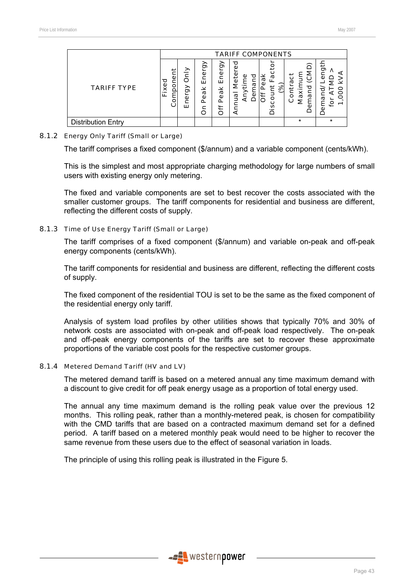|                           |                | <b>TARIFF COMPONENTS</b> |                                                    |                             |                                 |          |                                                       |                       |  |  |  |  |
|---------------------------|----------------|--------------------------|----------------------------------------------------|-----------------------------|---------------------------------|----------|-------------------------------------------------------|-----------------------|--|--|--|--|
| <b>TARIFF TYPE</b>        | Fixed<br>ampon | Only<br>ඝ<br>ner<br>ш    | ඝි<br>Ener<br>×<br>$\overline{a}$<br>$\Delta$<br>n | ඝි<br>ω<br>ш<br>×<br>ω<br>ω | о<br>ω<br>٥<br>ω<br>ω<br>ω<br>а | បា<br>ढ़ | 2<br>τ<br>ତ୍ର<br>ω<br>ਹ<br>تا<br>6<br>Maxir<br>ᡴ<br>ပ | ဥ<br>ω<br>ğ<br>ω<br>ٯ |  |  |  |  |
| <b>Distribution Entry</b> |                |                          |                                                    |                             |                                 |          | $\star$                                               | $\star$               |  |  |  |  |

#### 8.1.2 Energy Only Tariff (Small or Large)

The tariff comprises a fixed component (\$/annum) and a variable component (cents/kWh).

This is the simplest and most appropriate charging methodology for large numbers of small users with existing energy only metering.

The fixed and variable components are set to best recover the costs associated with the smaller customer groups. The tariff components for residential and business are different, reflecting the different costs of supply.

#### 8.1.3 Time of Use Energy Tariff (Small or Large)

The tariff comprises of a fixed component (\$/annum) and variable on-peak and off-peak energy components (cents/kWh).

The tariff components for residential and business are different, reflecting the different costs of supply.

The fixed component of the residential TOU is set to be the same as the fixed component of the residential energy only tariff.

Analysis of system load profiles by other utilities shows that typically 70% and 30% of network costs are associated with on-peak and off-peak load respectively. The on-peak and off-peak energy components of the tariffs are set to recover these approximate proportions of the variable cost pools for the respective customer groups.

#### 8.1.4 Metered Demand Tariff (HV and LV)

The metered demand tariff is based on a metered annual any time maximum demand with a discount to give credit for off peak energy usage as a proportion of total energy used.

The annual any time maximum demand is the rolling peak value over the previous 12 months. This rolling peak, rather than a monthly-metered peak, is chosen for compatibility with the CMD tariffs that are based on a contracted maximum demand set for a defined period. A tariff based on a metered monthly peak would need to be higher to recover the same revenue from these users due to the effect of seasonal variation in loads.

The principle of using this rolling peak is illustrated in the Figure 5.

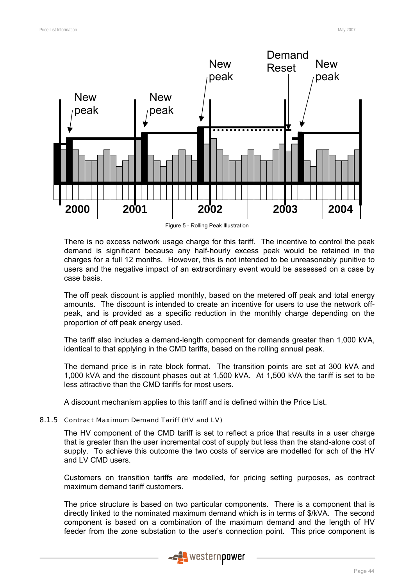

Figure 5 - Rolling Peak Illustration

There is no excess network usage charge for this tariff. The incentive to control the peak demand is significant because any half-hourly excess peak would be retained in the charges for a full 12 months. However, this is not intended to be unreasonably punitive to users and the negative impact of an extraordinary event would be assessed on a case by case basis.

The off peak discount is applied monthly, based on the metered off peak and total energy amounts. The discount is intended to create an incentive for users to use the network offpeak, and is provided as a specific reduction in the monthly charge depending on the proportion of off peak energy used.

The tariff also includes a demand-length component for demands greater than 1,000 kVA, identical to that applying in the CMD tariffs, based on the rolling annual peak.

The demand price is in rate block format. The transition points are set at 300 kVA and 1,000 kVA and the discount phases out at 1,500 kVA. At 1,500 kVA the tariff is set to be less attractive than the CMD tariffs for most users.

A discount mechanism applies to this tariff and is defined within the Price List.

### 8.1.5 Contract Maximum Demand Tariff (HV and LV)

The HV component of the CMD tariff is set to reflect a price that results in a user charge that is greater than the user incremental cost of supply but less than the stand-alone cost of supply. To achieve this outcome the two costs of service are modelled for ach of the HV and LV CMD users.

Customers on transition tariffs are modelled, for pricing setting purposes, as contract maximum demand tariff customers.

The price structure is based on two particular components. There is a component that is directly linked to the nominated maximum demand which is in terms of \$/kVA. The second component is based on a combination of the maximum demand and the length of HV feeder from the zone substation to the user's connection point. This price component is

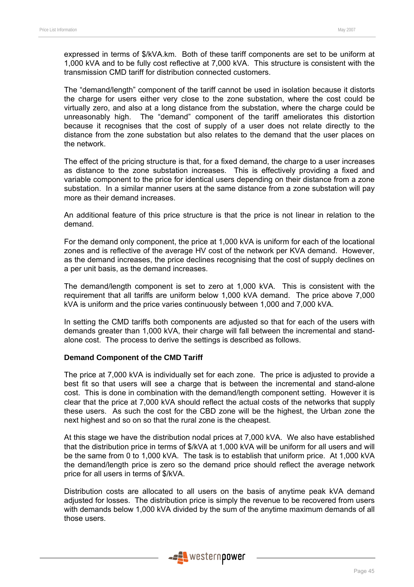expressed in terms of \$/kVA.km. Both of these tariff components are set to be uniform at 1,000 kVA and to be fully cost reflective at 7,000 kVA. This structure is consistent with the transmission CMD tariff for distribution connected customers.

The "demand/length" component of the tariff cannot be used in isolation because it distorts the charge for users either very close to the zone substation, where the cost could be virtually zero, and also at a long distance from the substation, where the charge could be unreasonably high. The "demand" component of the tariff ameliorates this distortion because it recognises that the cost of supply of a user does not relate directly to the distance from the zone substation but also relates to the demand that the user places on the network.

The effect of the pricing structure is that, for a fixed demand, the charge to a user increases as distance to the zone substation increases. This is effectively providing a fixed and variable component to the price for identical users depending on their distance from a zone substation. In a similar manner users at the same distance from a zone substation will pay more as their demand increases.

An additional feature of this price structure is that the price is not linear in relation to the demand.

For the demand only component, the price at 1,000 kVA is uniform for each of the locational zones and is reflective of the average HV cost of the network per KVA demand. However, as the demand increases, the price declines recognising that the cost of supply declines on a per unit basis, as the demand increases.

The demand/length component is set to zero at 1,000 kVA. This is consistent with the requirement that all tariffs are uniform below 1,000 kVA demand. The price above 7,000 kVA is uniform and the price varies continuously between 1,000 and 7,000 kVA.

In setting the CMD tariffs both components are adjusted so that for each of the users with demands greater than 1,000 kVA, their charge will fall between the incremental and standalone cost. The process to derive the settings is described as follows.

#### **Demand Component of the CMD Tariff**

The price at 7,000 kVA is individually set for each zone. The price is adjusted to provide a best fit so that users will see a charge that is between the incremental and stand-alone cost. This is done in combination with the demand/length component setting. However it is clear that the price at 7,000 kVA should reflect the actual costs of the networks that supply these users. As such the cost for the CBD zone will be the highest, the Urban zone the next highest and so on so that the rural zone is the cheapest.

At this stage we have the distribution nodal prices at 7,000 kVA. We also have established that the distribution price in terms of \$/kVA at 1,000 kVA will be uniform for all users and will be the same from 0 to 1,000 kVA. The task is to establish that uniform price. At 1,000 kVA the demand/length price is zero so the demand price should reflect the average network price for all users in terms of \$/kVA.

Distribution costs are allocated to all users on the basis of anytime peak kVA demand adjusted for losses. The distribution price is simply the revenue to be recovered from users with demands below 1,000 kVA divided by the sum of the anytime maximum demands of all those users.

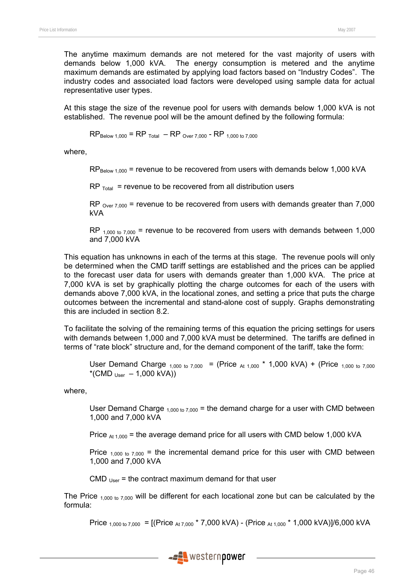The anytime maximum demands are not metered for the vast majority of users with demands below 1,000 kVA. The energy consumption is metered and the anytime maximum demands are estimated by applying load factors based on "Industry Codes". The industry codes and associated load factors were developed using sample data for actual representative user types.

At this stage the size of the revenue pool for users with demands below 1,000 kVA is not established. The revenue pool will be the amount defined by the following formula:

 $RP_{\text{Below 1,000}} = RP_{\text{Total}} - RP_{\text{Over 7,000}} - RP_{\text{1,000 to 7,000}}$ 

where,

 $RP_{\text{Below }1.000}$  = revenue to be recovered from users with demands below 1,000 kVA

 $RP$ <sub>Total</sub> = revenue to be recovered from all distribution users

RP  $_{Over 7,000}$  = revenue to be recovered from users with demands greater than 7,000 kVA

RP  $_{1,000 \text{ to } 7,000}$  = revenue to be recovered from users with demands between 1,000 and 7,000 kVA

This equation has unknowns in each of the terms at this stage. The revenue pools will only be determined when the CMD tariff settings are established and the prices can be applied to the forecast user data for users with demands greater than 1,000 kVA. The price at 7,000 kVA is set by graphically plotting the charge outcomes for each of the users with demands above 7,000 kVA, in the locational zones, and setting a price that puts the charge outcomes between the incremental and stand-alone cost of supply. Graphs demonstrating this are included in section 8.2.

To facilitate the solving of the remaining terms of this equation the pricing settings for users with demands between 1,000 and 7,000 kVA must be determined. The tariffs are defined in terms of "rate block" structure and, for the demand component of the tariff, take the form:

User Demand Charge  $_{1,000 \text{ to } 7,000}$  = (Price  $_{\text{At } 1,000}$  \* 1,000 kVA) + (Price  $_{1,000 \text{ to } 7,000}$ \*(CMD  $_{Use}$  – 1,000 kVA))

where,

User Demand Charge  $_{1,000 \text{ to } 7,000}$  = the demand charge for a user with CMD between 1,000 and 7,000 kVA

Price  $_{At 1,000}$  = the average demand price for all users with CMD below 1,000 kVA

Price  $_{1,000 \text{ to } 7,000}$  = the incremental demand price for this user with CMD between 1,000 and 7,000 kVA

CMD  $_{Use}$  = the contract maximum demand for that user

The Price  $_{1,000 \text{ to } 7,000}$  will be different for each locational zone but can be calculated by the formula:

Price  $_{1,000 \text{ to } 7,000}$  = [(Price  $_{At 7,000}$  \* 7,000 kVA) - (Price  $_{At 1,000}$  \* 1,000 kVA)]/6,000 kVA

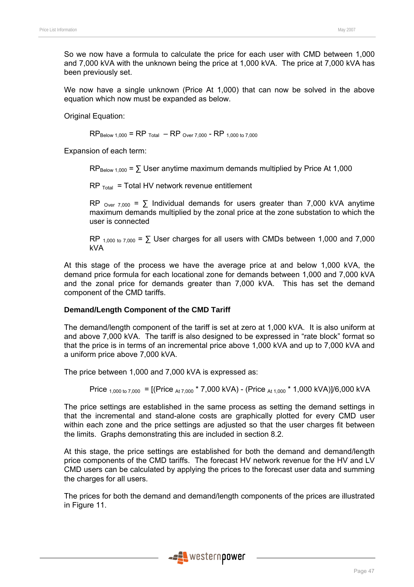So we now have a formula to calculate the price for each user with CMD between 1,000 and 7,000 kVA with the unknown being the price at 1,000 kVA. The price at 7,000 kVA has been previously set.

We now have a single unknown (Price At 1,000) that can now be solved in the above equation which now must be expanded as below.

Original Equation:

 $RP_{\text{Below 1,000}} = RP_{\text{Total}} - RP_{\text{Over 7,000}} - RP_{\text{ 1,000 to 7,000}}$ 

Expansion of each term:

 $RP_{\text{Below }1000} = \sum \text{User anything maximum demands multiplied by Price At }1,000$ 

 $RP_{\text{Total}}$  = Total HV network revenue entitlement

RP  $_{\text{Over } 7.000}$  =  $\sum$  Individual demands for users greater than 7,000 kVA anytime maximum demands multiplied by the zonal price at the zone substation to which the user is connected

RP  $_{1,000 \text{ to } 7,000}$  =  $\Sigma$  User charges for all users with CMDs between 1,000 and 7,000 kVA

At this stage of the process we have the average price at and below 1,000 kVA, the demand price formula for each locational zone for demands between 1,000 and 7,000 kVA and the zonal price for demands greater than 7,000 kVA. This has set the demand component of the CMD tariffs.

#### **Demand/Length Component of the CMD Tariff**

The demand/length component of the tariff is set at zero at 1,000 kVA. It is also uniform at and above 7,000 kVA. The tariff is also designed to be expressed in "rate block" format so that the price is in terms of an incremental price above 1,000 kVA and up to 7,000 kVA and a uniform price above 7,000 kVA.

The price between 1,000 and 7,000 kVA is expressed as:

Price 
$$
1,000 \text{ to } 7,000 = [(Price A17,000 * 7,000 kVA) - (Price A11,000 * 1,000 kVA)]/6,000 kVA]
$$

The price settings are established in the same process as setting the demand settings in that the incremental and stand-alone costs are graphically plotted for every CMD user within each zone and the price settings are adjusted so that the user charges fit between the limits. Graphs demonstrating this are included in section 8.2.

At this stage, the price settings are established for both the demand and demand/length price components of the CMD tariffs. The forecast HV network revenue for the HV and LV CMD users can be calculated by applying the prices to the forecast user data and summing the charges for all users.

The prices for both the demand and demand/length components of the prices are illustrated in Figure 11.

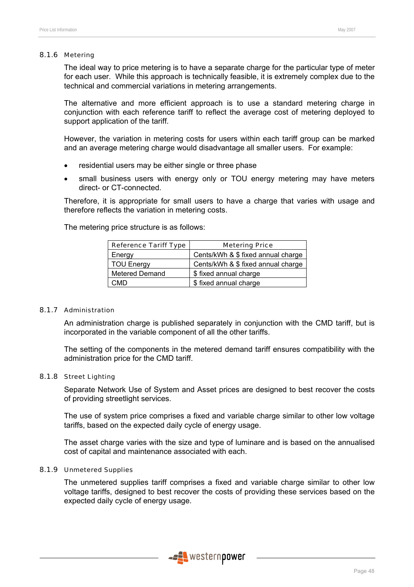#### 8.1.6 Metering

The ideal way to price metering is to have a separate charge for the particular type of meter for each user. While this approach is technically feasible, it is extremely complex due to the technical and commercial variations in metering arrangements.

The alternative and more efficient approach is to use a standard metering charge in conjunction with each reference tariff to reflect the average cost of metering deployed to support application of the tariff.

However, the variation in metering costs for users within each tariff group can be marked and an average metering charge would disadvantage all smaller users. For example:

- residential users may be either single or three phase
- small business users with energy only or TOU energy metering may have meters direct- or CT-connected.

Therefore, it is appropriate for small users to have a charge that varies with usage and therefore reflects the variation in metering costs.

The metering price structure is as follows:

| <b>Reference Tariff Type</b> | <b>Metering Price</b>              |
|------------------------------|------------------------------------|
| Energy                       | Cents/kWh & \$ fixed annual charge |
| <b>TOU Energy</b>            | Cents/kWh & \$ fixed annual charge |
| <b>Metered Demand</b>        | \$ fixed annual charge             |
| CMD                          | \$ fixed annual charge             |

#### 8.1.7 Administration

An administration charge is published separately in conjunction with the CMD tariff, but is incorporated in the variable component of all the other tariffs.

The setting of the components in the metered demand tariff ensures compatibility with the administration price for the CMD tariff.

#### 8.1.8 Street Lighting

Separate Network Use of System and Asset prices are designed to best recover the costs of providing streetlight services.

The use of system price comprises a fixed and variable charge similar to other low voltage tariffs, based on the expected daily cycle of energy usage.

The asset charge varies with the size and type of luminare and is based on the annualised cost of capital and maintenance associated with each.

#### 8.1.9 Unmetered Supplies

The unmetered supplies tariff comprises a fixed and variable charge similar to other low voltage tariffs, designed to best recover the costs of providing these services based on the expected daily cycle of energy usage.

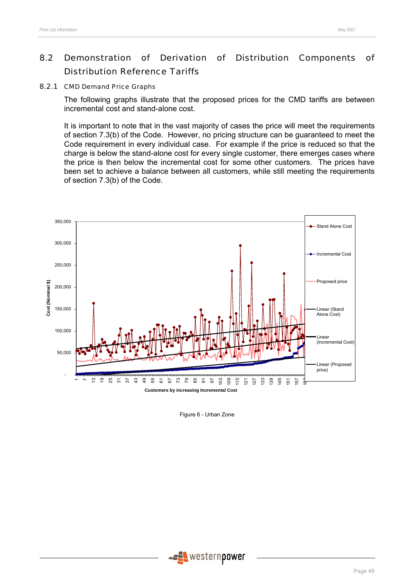# 8.2 Demonstration of Derivation of Distribution Components of Distribution Reference Tariffs

#### 8.2.1 CMD Demand Price Graphs

The following graphs illustrate that the proposed prices for the CMD tariffs are between incremental cost and stand-alone cost.

It is important to note that in the vast majority of cases the price will meet the requirements of section 7.3(b) of the Code. However, no pricing structure can be guaranteed to meet the Code requirement in every individual case. For example if the price is reduced so that the charge is below the stand-alone cost for every single customer, there emerges cases where the price is then below the incremental cost for some other customers. The prices have been set to achieve a balance between all customers, while still meeting the requirements of section 7.3(b) of the Code.



Figure 6 - Urban Zone

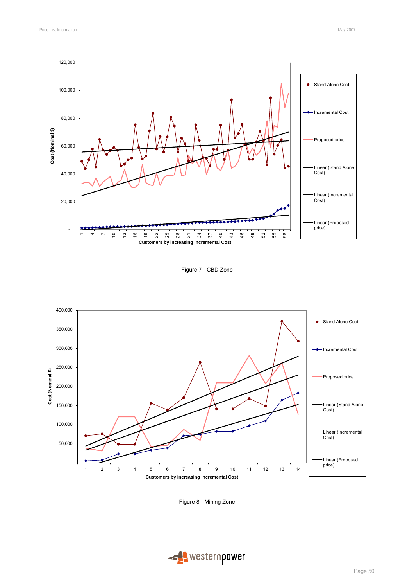

Figure 7 - CBD Zone



Figure 8 - Mining Zone

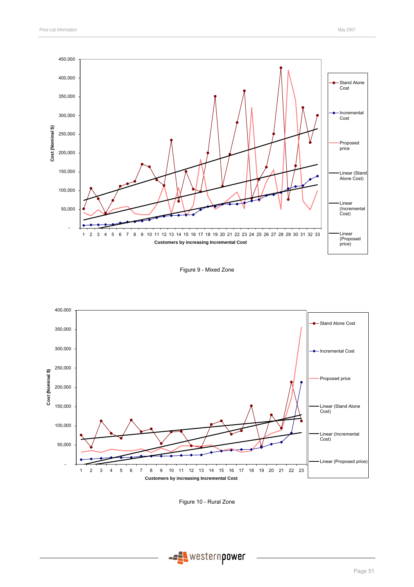

Figure 9 - Mixed Zone



Figure 10 - Rural Zone

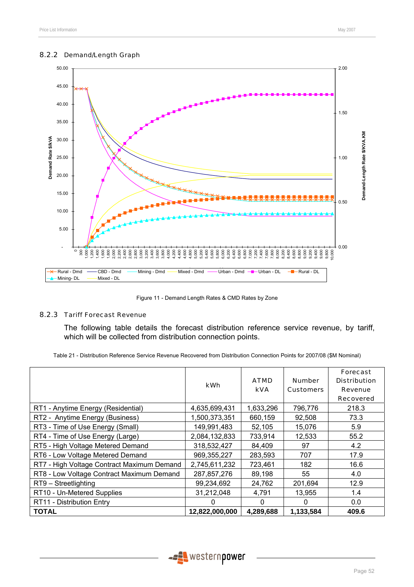#### 8.2.2 Demand/Length Graph



Figure 11 - Demand Length Rates & CMD Rates by Zone

#### 8.2.3 Tariff Forecast Revenue

The following table details the forecast distribution reference service revenue, by tariff, which will be collected from distribution connection points.

Table 21 - Distribution Reference Service Revenue Recovered from Distribution Connection Points for 2007/08 (\$M Nominal)

|                                            | kWh            | <b>ATMD</b><br><b>kVA</b> | <b>Number</b><br><b>Customers</b> | <b>Forecast</b><br><b>Distribution</b><br><b>Revenue</b><br><b>Recovered</b> |
|--------------------------------------------|----------------|---------------------------|-----------------------------------|------------------------------------------------------------------------------|
| RT1 - Anytime Energy (Residential)         | 4,635,699,431  | 1,633,296                 | 796,776                           | 218.3                                                                        |
| RT2 - Anytime Energy (Business)            | 1,500,373,351  | 660,159                   | 92,508                            | 73.3                                                                         |
| RT3 - Time of Use Energy (Small)           | 149,991,483    | 52,105                    | 15,076                            | 5.9                                                                          |
| RT4 - Time of Use Energy (Large)           | 2,084,132,833  | 733,914                   | 12,533                            | 55.2                                                                         |
| RT5 - High Voltage Metered Demand          | 318,532,427    | 84,409                    | 97                                | 4.2                                                                          |
| RT6 - Low Voltage Metered Demand           | 969,355,227    | 283,593                   | 707                               | 17.9                                                                         |
| RT7 - High Voltage Contract Maximum Demand | 2,745,611,232  | 723,461                   | 182                               | 16.6                                                                         |
| RT8 - Low Voltage Contract Maximum Demand  | 287,857,276    | 89,198                    | 55                                | 4.0                                                                          |
| RT9 - Streetlighting                       | 99,234,692     | 24,762                    | 201,694                           | 12.9                                                                         |
| RT10 - Un-Metered Supplies                 | 31,212,048     | 4,791                     | 13,955                            | 1.4                                                                          |
| RT11 - Distribution Entry                  | 0              | $\Omega$                  | $\Omega$                          | 0.0                                                                          |
| <b>TOTAL</b>                               | 12,822,000,000 | 4,289,688                 | 1,133,584                         | 409.6                                                                        |

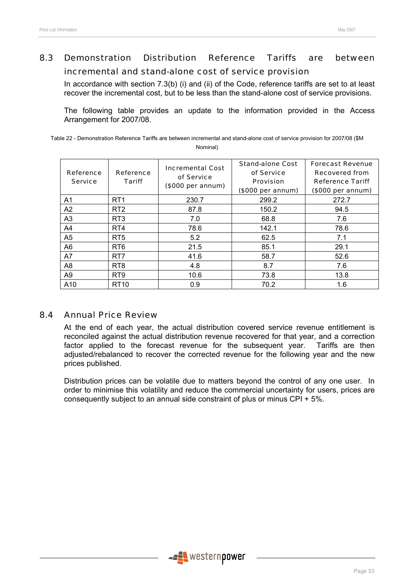# 8.3 Demonstration Distribution Reference Tariffs are between

### incremental and stand-alone cost of service provision

In accordance with section 7.3(b) (i) and (ii) of the Code, reference tariffs are set to at least recover the incremental cost, but to be less than the stand-alone cost of service provisions.

The following table provides an update to the information provided in the Access Arrangement for 2007/08.

Table 22 - Demonstration Reference Tariffs are between incremental and stand-alone cost of service provision for 2007/08 (\$M Nominal)

| <b>Reference</b><br><b>Service</b> | Reference<br>Tariff | <b>Incremental Cost</b><br>of Service<br>(\$000 per annum) | <b>Stand-alone Cost</b><br>of Service<br><b>Provision</b><br>(\$000 per annum) | <b>Forecast Revenue</b><br><b>Recovered from</b><br><b>Reference Tariff</b><br>(\$000 per annum) |
|------------------------------------|---------------------|------------------------------------------------------------|--------------------------------------------------------------------------------|--------------------------------------------------------------------------------------------------|
| A1                                 | RT <sub>1</sub>     | 230.7                                                      | 299.2                                                                          | 272.7                                                                                            |
| A2                                 | RT <sub>2</sub>     | 87.8                                                       | 150.2                                                                          | 94.5                                                                                             |
| A <sub>3</sub>                     | RT <sub>3</sub>     | 7.0                                                        | 68.8                                                                           | 7.6                                                                                              |
| A4                                 | RT4                 | 78.6                                                       | 142.1                                                                          | 78.6                                                                                             |
| A5                                 | RT <sub>5</sub>     | 5.2                                                        | 62.5                                                                           | 7.1                                                                                              |
| A6                                 | RT <sub>6</sub>     | 21.5                                                       | 85.1                                                                           | 29.1                                                                                             |
| A7                                 | RT <sub>7</sub>     | 41.6                                                       | 58.7                                                                           | 52.6                                                                                             |
| A8                                 | RT <sub>8</sub>     | 4.8                                                        | 8.7                                                                            | 7.6                                                                                              |
| A9                                 | RT <sub>9</sub>     | 10.6                                                       | 73.8                                                                           | 13.8                                                                                             |
| A10                                | RT <sub>10</sub>    | 0.9                                                        | 70.2                                                                           | 1.6                                                                                              |

### 8.4 Annual Price Review

At the end of each year, the actual distribution covered service revenue entitlement is reconciled against the actual distribution revenue recovered for that year, and a correction factor applied to the forecast revenue for the subsequent year. Tariffs are then adjusted/rebalanced to recover the corrected revenue for the following year and the new prices published.

Distribution prices can be volatile due to matters beyond the control of any one user. In order to minimise this volatility and reduce the commercial uncertainty for users, prices are consequently subject to an annual side constraint of plus or minus CPI + 5%.

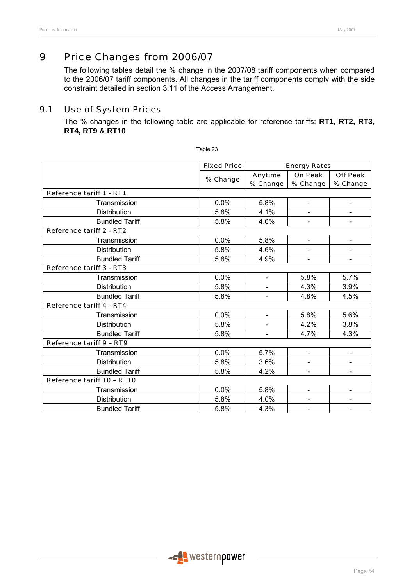# 9 Price Changes from 2006/07

The following tables detail the % change in the 2007/08 tariff components when compared to the 2006/07 tariff components. All changes in the tariff components comply with the side constraint detailed in section 3.11 of the Access Arrangement.

### 9.1 Use of System Prices

The % changes in the following table are applicable for reference tariffs: **RT1, RT2, RT3, RT4, RT9 & RT10**.

|                                 | <b>Fixed Price</b> |                          | <b>Energy Rates</b>      |                 |
|---------------------------------|--------------------|--------------------------|--------------------------|-----------------|
|                                 | % Change           | Anytime                  | On Peak                  | <b>Off Peak</b> |
|                                 |                    | % Change                 | % Change                 | % Change        |
| Reference tariff 1 - RT1        |                    |                          |                          |                 |
| Transmission                    | 0.0%               | 5.8%                     | $\overline{\phantom{0}}$ |                 |
| <b>Distribution</b>             | 5.8%               | 4.1%                     | $\blacksquare$           |                 |
| <b>Bundled Tariff</b>           | 5.8%               | 4.6%                     | $\overline{\phantom{a}}$ |                 |
| Reference tariff 2 - RT2        |                    |                          |                          |                 |
| Transmission                    | 0.0%               | 5.8%                     | $\blacksquare$           |                 |
| <b>Distribution</b>             | 5.8%               | 4.6%                     | $\blacksquare$           |                 |
| <b>Bundled Tariff</b>           | 5.8%               | 4.9%                     |                          |                 |
| Reference tariff 3 - RT3        |                    |                          |                          |                 |
| Transmission                    | 0.0%               | $\blacksquare$           | 5.8%                     | 5.7%            |
| Distribution                    | 5.8%               | $\overline{\phantom{a}}$ | 4.3%                     | 3.9%            |
| <b>Bundled Tariff</b>           | 5.8%               |                          | 4.8%                     | 4.5%            |
| <b>Reference tariff 4 - RT4</b> |                    |                          |                          |                 |
| Transmission                    | 0.0%               | $\blacksquare$           | 5.8%                     | 5.6%            |
| <b>Distribution</b>             | 5.8%               |                          | 4.2%                     | 3.8%            |
| <b>Bundled Tariff</b>           | 5.8%               |                          | 4.7%                     | 4.3%            |
| Reference tariff 9 - RT9        |                    |                          |                          |                 |
| Transmission                    | 0.0%               | 5.7%                     | $\overline{\phantom{a}}$ | $\blacksquare$  |
| <b>Distribution</b>             | 5.8%               | 3.6%                     |                          |                 |
| <b>Bundled Tariff</b>           | 5.8%               | 4.2%                     |                          |                 |
| Reference tariff 10 - RT10      |                    |                          |                          |                 |
| Transmission                    | 0.0%               | 5.8%                     | $\overline{\phantom{a}}$ |                 |
| Distribution                    | 5.8%               | 4.0%                     | -                        |                 |
| <b>Bundled Tariff</b>           | 5.8%               | 4.3%                     |                          |                 |

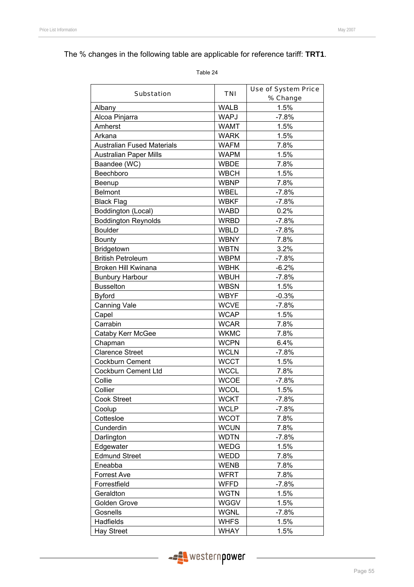# The % changes in the following table are applicable for reference tariff: **TRT1**.

|                                   |             | <b>Use of System Price</b> |
|-----------------------------------|-------------|----------------------------|
| <b>Substation</b>                 | <b>TNI</b>  | % Change                   |
| Albany                            | <b>WALB</b> | 1.5%                       |
| Alcoa Pinjarra                    | <b>WAPJ</b> | $-7.8%$                    |
| Amherst                           | <b>WAMT</b> | 1.5%                       |
| Arkana                            | <b>WARK</b> | 1.5%                       |
| <b>Australian Fused Materials</b> | <b>WAFM</b> | 7.8%                       |
| <b>Australian Paper Mills</b>     | <b>WAPM</b> | 1.5%                       |
| Baandee (WC)                      | <b>WBDE</b> | 7.8%                       |
| Beechboro                         | <b>WBCH</b> | 1.5%                       |
| Beenup                            | <b>WBNP</b> | 7.8%                       |
| <b>Belmont</b>                    | WBEL        | $-7.8%$                    |
| <b>Black Flag</b>                 | <b>WBKF</b> | $-7.8%$                    |
| Boddington (Local)                | <b>WABD</b> | 0.2%                       |
| <b>Boddington Reynolds</b>        | <b>WRBD</b> | $-7.8%$                    |
| <b>Boulder</b>                    | <b>WBLD</b> | $-7.8%$                    |
| <b>Bounty</b>                     | <b>WBNY</b> | 7.8%                       |
| Bridgetown                        | <b>WBTN</b> | 3.2%                       |
| <b>British Petroleum</b>          | <b>WBPM</b> | $-7.8%$                    |
| Broken Hill Kwinana               | <b>WBHK</b> | $-6.2%$                    |
| <b>Bunbury Harbour</b>            | <b>WBUH</b> | $-7.8%$                    |
| <b>Busselton</b>                  | <b>WBSN</b> | 1.5%                       |
| <b>Byford</b>                     | <b>WBYF</b> | $-0.3%$                    |
| <b>Canning Vale</b>               | <b>WCVE</b> | $-7.8%$                    |
| Capel                             | <b>WCAP</b> | 1.5%                       |
| Carrabin                          | <b>WCAR</b> | 7.8%                       |
| Cataby Kerr McGee                 | <b>WKMC</b> | 7.8%                       |
| Chapman                           | <b>WCPN</b> | 6.4%                       |
| <b>Clarence Street</b>            | <b>WCLN</b> | $-7.8%$                    |
| <b>Cockburn Cement</b>            | <b>WCCT</b> | 1.5%                       |
| Cockburn Cement Ltd               | <b>WCCL</b> | 7.8%                       |
| Collie                            | <b>WCOE</b> | $-7.8%$                    |
| Collier                           | <b>WCOL</b> | 1.5%                       |
| <b>Cook Street</b>                | <b>WCKT</b> | $-7.8%$                    |
| Coolup                            | <b>WCLP</b> | $-7.8%$                    |
| Cottesloe                         | <b>WCOT</b> | 7.8%                       |
| Cunderdin                         | <b>WCUN</b> | 7.8%                       |
| Darlington                        | <b>WDTN</b> | $-7.8%$                    |
| Edgewater                         | WEDG        | 1.5%                       |
| <b>Edmund Street</b>              | <b>WEDD</b> | 7.8%                       |
| Eneabba                           | <b>WENB</b> | 7.8%                       |
| <b>Forrest Ave</b>                | <b>WFRT</b> | 7.8%                       |
| Forrestfield                      | <b>WFFD</b> | $-7.8%$                    |
| Geraldton                         | <b>WGTN</b> | 1.5%                       |
| Golden Grove                      | <b>WGGV</b> | 1.5%                       |
| Gosnells                          | <b>WGNL</b> | $-7.8%$                    |
| Hadfields                         | <b>WHFS</b> | 1.5%                       |
| <b>Hay Street</b>                 | <b>WHAY</b> | 1.5%                       |

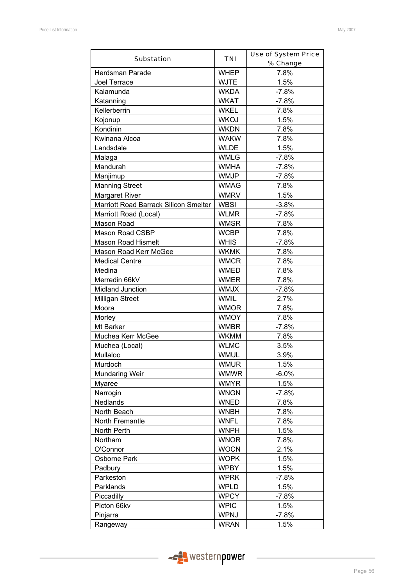| <b>Substation</b>                     | TNI         | <b>Use of System Price</b> |  |  |  |
|---------------------------------------|-------------|----------------------------|--|--|--|
|                                       |             | % Change                   |  |  |  |
| Herdsman Parade                       | <b>WHEP</b> | 7.8%                       |  |  |  |
| Joel Terrace                          | <b>WJTE</b> | 1.5%                       |  |  |  |
| Kalamunda                             | <b>WKDA</b> | $-7.8%$                    |  |  |  |
| Katanning                             | <b>WKAT</b> | $-7.8%$                    |  |  |  |
| Kellerberrin                          | <b>WKEL</b> | 7.8%                       |  |  |  |
| Kojonup                               | <b>WKOJ</b> | 1.5%                       |  |  |  |
| Kondinin                              | <b>WKDN</b> | 7.8%                       |  |  |  |
| Kwinana Alcoa                         | <b>WAKW</b> | 7.8%                       |  |  |  |
| Landsdale                             | <b>WLDE</b> | 1.5%                       |  |  |  |
| Malaga                                | <b>WMLG</b> | $-7.8%$                    |  |  |  |
| Mandurah                              | <b>WMHA</b> | $-7.8%$                    |  |  |  |
| Manjimup                              | <b>WMJP</b> | $-7.8%$                    |  |  |  |
| <b>Manning Street</b>                 | <b>WMAG</b> | 7.8%                       |  |  |  |
| <b>Margaret River</b>                 | <b>WMRV</b> | 1.5%                       |  |  |  |
| Marriott Road Barrack Silicon Smelter | <b>WBSI</b> | $-3.8%$                    |  |  |  |
| Marriott Road (Local)                 | <b>WLMR</b> | $-7.8%$                    |  |  |  |
| Mason Road                            | <b>WMSR</b> | 7.8%                       |  |  |  |
| Mason Road CSBP                       | <b>WCBP</b> | 7.8%                       |  |  |  |
| <b>Mason Road Hismelt</b>             | <b>WHIS</b> | $-7.8%$                    |  |  |  |
| Mason Road Kerr McGee                 | <b>WKMK</b> | 7.8%                       |  |  |  |
| <b>Medical Centre</b>                 | <b>WMCR</b> | 7.8%                       |  |  |  |
| Medina                                | <b>WMED</b> | 7.8%                       |  |  |  |
| Merredin 66kV                         | <b>WMER</b> | 7.8%                       |  |  |  |
| Midland Junction                      | <b>WMJX</b> | $-7.8%$                    |  |  |  |
| <b>Milligan Street</b>                | <b>WMIL</b> | 2.7%                       |  |  |  |
| Moora                                 | <b>WMOR</b> | 7.8%                       |  |  |  |
| Morley                                | <b>WMOY</b> | 7.8%                       |  |  |  |
| Mt Barker                             | <b>WMBR</b> | $-7.8%$                    |  |  |  |
| Muchea Kerr McGee                     | <b>WKMM</b> | 7.8%                       |  |  |  |
| Muchea (Local)                        | <b>WLMC</b> | 3.5%                       |  |  |  |
| Mullaloo                              | <b>WMUL</b> | 3.9%                       |  |  |  |
| Murdoch                               | <b>WMUR</b> | 1.5%                       |  |  |  |
| <b>Mundaring Weir</b>                 | <b>WMWR</b> | $-6.0%$                    |  |  |  |
| Myaree                                | <b>WMYR</b> | 1.5%                       |  |  |  |
| Narrogin                              | <b>WNGN</b> | $-7.8%$                    |  |  |  |
| Nedlands                              | <b>WNED</b> | 7.8%                       |  |  |  |
| North Beach                           | <b>WNBH</b> | 7.8%                       |  |  |  |
| North Fremantle                       | <b>WNFL</b> | 7.8%                       |  |  |  |
| North Perth                           | <b>WNPH</b> | 1.5%                       |  |  |  |
|                                       | <b>WNOR</b> |                            |  |  |  |
| Northam                               |             | 7.8%                       |  |  |  |
| O'Connor                              | <b>WOCN</b> | 2.1%                       |  |  |  |
| Osborne Park                          | <b>WOPK</b> | 1.5%                       |  |  |  |
| Padbury                               | <b>WPBY</b> | 1.5%                       |  |  |  |
| Parkeston                             | <b>WPRK</b> | $-7.8%$                    |  |  |  |
| Parklands                             | <b>WPLD</b> | 1.5%                       |  |  |  |
| Piccadilly                            | <b>WPCY</b> | $-7.8%$                    |  |  |  |
| Picton 66kv                           | <b>WPIC</b> | 1.5%                       |  |  |  |
| Pinjarra                              | <b>WPNJ</b> | $-7.8%$                    |  |  |  |
| Rangeway                              | <b>WRAN</b> | 1.5%                       |  |  |  |

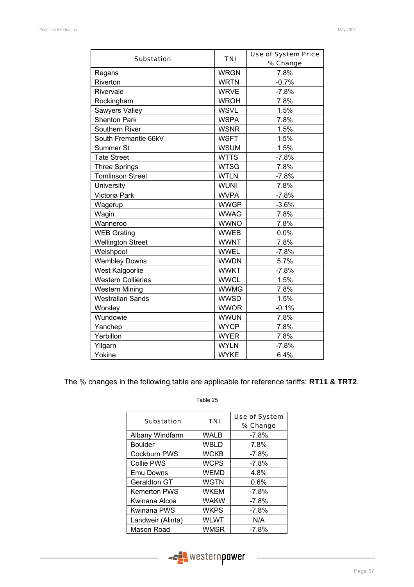| <b>Substation</b>         | <b>TNI</b>  | <b>Use of System Price</b><br>% Change |  |  |  |
|---------------------------|-------------|----------------------------------------|--|--|--|
| Regans                    | <b>WRGN</b> | 7.8%                                   |  |  |  |
| Riverton                  | <b>WRTN</b> | $-0.7%$                                |  |  |  |
| Rivervale                 | <b>WRVE</b> | $-7.8%$                                |  |  |  |
| Rockingham                | <b>WROH</b> | 7.8%                                   |  |  |  |
| Sawyers Valley            | <b>WSVL</b> | 1.5%                                   |  |  |  |
| <b>Shenton Park</b>       | <b>WSPA</b> | 7.8%                                   |  |  |  |
| Southern River            | <b>WSNR</b> | 1.5%                                   |  |  |  |
| South Fremantle 66kV      | <b>WSFT</b> | 1.5%                                   |  |  |  |
| Summer St                 | <b>WSUM</b> | 1.5%                                   |  |  |  |
| <b>Tate Street</b>        | <b>WTTS</b> | $-7.8%$                                |  |  |  |
| Three Springs             | <b>WTSG</b> | 7.8%                                   |  |  |  |
| <b>Tomlinson Street</b>   | <b>WTLN</b> | $-7.8%$                                |  |  |  |
| University                | <b>WUNI</b> | 7.8%                                   |  |  |  |
| Victoria Park             | <b>WVPA</b> | $-7.8%$                                |  |  |  |
| Wagerup                   | <b>WWGP</b> | $-3.6%$                                |  |  |  |
| Wagin                     | <b>WWAG</b> | 7.8%                                   |  |  |  |
| Wanneroo                  | <b>WWNO</b> | 7.8%                                   |  |  |  |
| <b>WEB Grating</b>        | <b>WWEB</b> | 0.0%                                   |  |  |  |
| <b>Wellington Street</b>  | <b>WWNT</b> | 7.8%                                   |  |  |  |
| Welshpool                 | <b>WWEL</b> | $-7.8%$                                |  |  |  |
| <b>Wembley Downs</b>      | <b>WWDN</b> | 5.7%                                   |  |  |  |
| West Kalgoorlie           | <b>WWKT</b> | $-7.8%$                                |  |  |  |
| <b>Western Collieries</b> | <b>WWCL</b> | 1.5%                                   |  |  |  |
| <b>Western Mining</b>     | <b>WWMG</b> | 7.8%                                   |  |  |  |
| <b>Westralian Sands</b>   | <b>WWSD</b> | 1.5%                                   |  |  |  |
| Worsley                   | <b>WWOR</b> | $-0.1%$                                |  |  |  |
| Wundowie                  | <b>WWUN</b> | 7.8%                                   |  |  |  |
| Yanchep                   | <b>WYCP</b> | 7.8%                                   |  |  |  |
| Yerbillon                 | <b>WYER</b> | 7.8%                                   |  |  |  |
| Yilgarn                   | <b>WYLN</b> | $-7.8%$                                |  |  |  |
| Yokine                    | <b>WYKE</b> | 6.4%                                   |  |  |  |

The % changes in the following table are applicable for reference tariffs: **RT11 & TRT2**.

| <b>Substation</b>   | <b>TNI</b>  | <b>Use of System</b><br>% Change |  |  |  |
|---------------------|-------------|----------------------------------|--|--|--|
| Albany Windfarm     | WALB        | $-7.8\%$                         |  |  |  |
| <b>Boulder</b>      | <b>WBLD</b> | 7.8%                             |  |  |  |
| Cockburn PWS        | <b>WCKB</b> | $-7.8%$                          |  |  |  |
| <b>Collie PWS</b>   | <b>WCPS</b> | $-7.8\%$                         |  |  |  |
| Emu Downs           | <b>WEMD</b> | 4.8%                             |  |  |  |
| Geraldton GT        | <b>WGTN</b> | $0.6\%$                          |  |  |  |
| <b>Kemerton PWS</b> | <b>WKEM</b> | $-7.8%$                          |  |  |  |
| Kwinana Alcoa       | <b>WAKW</b> | $-7.8%$                          |  |  |  |
| Kwinana PWS         | <b>WKPS</b> | $-7.8%$                          |  |  |  |
| Landweir (Alinta)   | <b>WLWT</b> | N/A                              |  |  |  |
| Mason Road          | <b>WMSR</b> | -7.8%                            |  |  |  |

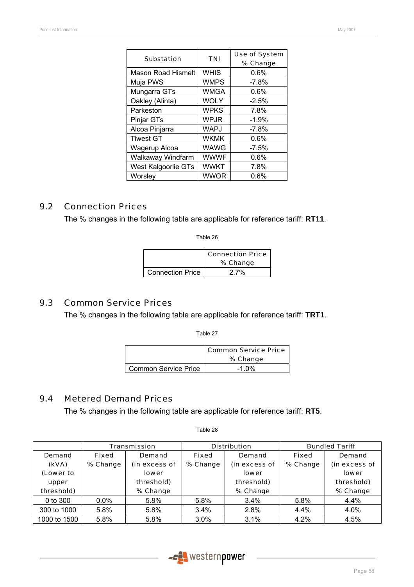| <b>Substation</b>         | <b>TNI</b>  | <b>Use of System</b> |  |  |  |
|---------------------------|-------------|----------------------|--|--|--|
|                           |             | % Change             |  |  |  |
| <b>Mason Road Hismelt</b> | <b>WHIS</b> | 0.6%                 |  |  |  |
| Muja PWS                  | <b>WMPS</b> | $-7.8\%$             |  |  |  |
| Mungarra GTs              | WMGA        | 0.6%                 |  |  |  |
| Oakley (Alinta)           | <b>WOLY</b> | $-2.5%$              |  |  |  |
| Parkeston                 | <b>WPKS</b> | 7.8%                 |  |  |  |
| Pinjar GTs                | WPJR        | $-1.9%$              |  |  |  |
| Alcoa Pinjarra            | <b>WAPJ</b> | $-7.8%$              |  |  |  |
| <b>Tiwest GT</b>          | <b>WKMK</b> | 0.6%                 |  |  |  |
| Wagerup Alcoa             | WAWG        | $-7.5%$              |  |  |  |
| Walkaway Windfarm         | <b>WWWF</b> | $0.6\%$              |  |  |  |
| West Kalgoorlie GTs       | <b>WWKT</b> | 7.8%                 |  |  |  |
| Worsley                   | <b>WWOR</b> | 0.6%                 |  |  |  |
|                           |             |                      |  |  |  |

### 9.2 Connection Prices

The % changes in the following table are applicable for reference tariff: **RT11**.

Table 26

|                         | <b>Connection Price</b><br>% Change |
|-------------------------|-------------------------------------|
| <b>Connection Price</b> | 27%                                 |

### 9.3 Common Service Prices

The % changes in the following table are applicable for reference tariff: **TRT1**.

Table 27

|                             | <b>Common Service Price</b><br>% Change |
|-----------------------------|-----------------------------------------|
| <b>Common Service Price</b> | $-1.0\%$                                |

### 9.4 Metered Demand Prices

The % changes in the following table are applicable for reference tariff: **RT5**.

|              |              | <b>Transmission</b> |              | <b>Distribution</b> |              | <b>Bundled Tariff</b> |
|--------------|--------------|---------------------|--------------|---------------------|--------------|-----------------------|
| Demand       | <b>Fixed</b> | Demand              | <b>Fixed</b> | Demand              | <b>Fixed</b> | Demand                |
| (kVA)        | % Change     | (in excess of       | % Change     |                     | % Change     | (in excess of         |
| (Lower to    |              | <b>lower</b>        |              |                     |              | <b>lower</b>          |
| upper        |              | threshold)          | threshold)   |                     |              | threshold)            |
| threshold)   |              | % Change            |              | % Change            |              | % Change              |
| 0 to 300     | $0.0\%$      | 5.8%                | 5.8%         | 3.4%                | 5.8%         | 4.4%                  |
| 300 to 1000  | 5.8%         | 5.8%                | 3.4%         | 2.8%                | 4.4%         | 4.0%                  |
| 1000 to 1500 | 5.8%         | 5.8%                | 3.0%         | 3.1%                | 4.2%         | 4.5%                  |



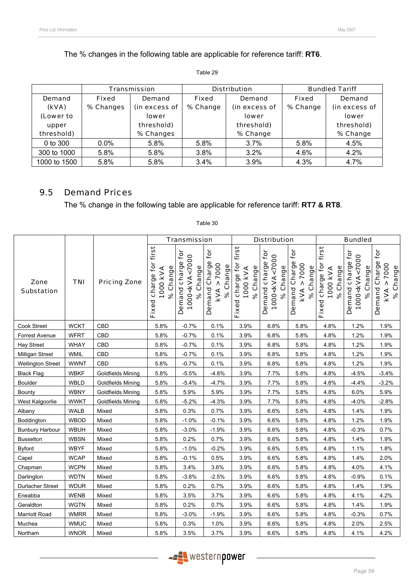The % changes in the following table are applicable for reference tariff: **RT6**.

#### Table 29

|              |              | Transmission  |              | <b>Distribution</b> | <b>Bundled Tariff</b> |               |  |
|--------------|--------------|---------------|--------------|---------------------|-----------------------|---------------|--|
| Demand       | <b>Fixed</b> | Demand        | <b>Fixed</b> | Demand              | <b>Fixed</b>          | Demand        |  |
| (kVA)        | % Changes    | (in excess of | % Change     | (in excess of       |                       | (in excess of |  |
| (Lower to    |              | <b>lower</b>  |              | lower               |                       | <b>lower</b>  |  |
| upper        |              | threshold)    | threshold)   |                     |                       | threshold)    |  |
| threshold)   |              | % Changes     |              | % Change            |                       | % Change      |  |
| 0 to 300     | $0.0\%$      | 5.8%          | 5.8%         | $3.7\%$             | 5.8%                  | 4.5%          |  |
| 300 to 1000  | 5.8%         | 5.8%          | 3.8%         | 3.2%                | 4.6%                  | 4.2%          |  |
| 1000 to 1500 | 5.8%         | 5.8%          | $3.4\%$      | 3.9%                | 4.3%                  | 4.7%          |  |

### 9.5 Demand Prices

The % change in the following table are applicable for reference tariff: **RT7 & RT8**.

|                           |             |                          |                                                         | <b>Transmission</b>                                                |                                                                                                 |                                                      | <b>Distribution</b>                                               |                                                             |                                                      | <b>Bundled</b>                                                        |                                                          |
|---------------------------|-------------|--------------------------|---------------------------------------------------------|--------------------------------------------------------------------|-------------------------------------------------------------------------------------------------|------------------------------------------------------|-------------------------------------------------------------------|-------------------------------------------------------------|------------------------------------------------------|-----------------------------------------------------------------------|----------------------------------------------------------|
| Zone<br><b>Substation</b> | <b>TNI</b>  | <b>Pricing Zone</b>      | first<br>tor<br>% Change<br>1000 kVA<br>charge<br>Fixed | Demand charge for<br>1000 <kva<7000<br>Change<br/>ಸಿ</kva<7000<br> | for<br>Charge <sup>-</sup><br>7000<br>% Change<br>$\boldsymbol{\wedge}$<br>Demand<br><b>KVA</b> | first<br>charge for<br>% Change<br>1000 KVA<br>Fixed | for<br>1000 <kva<7000<br>Demand charge<br/>% Change</kva<7000<br> | for<br>Demand Charge<br>7000<br>% Change<br>Λ<br><b>KVA</b> | first<br>charge for<br>% Change<br>1000 KVA<br>Fixed | for<br>1000 <kva<7000<br>charge<br/>% Change<br/>Demand</kva<7000<br> | for<br>Demand Charge<br>> 7000<br>% Change<br><b>KVA</b> |
| Cook Street               | <b>WCKT</b> | CBD                      | 5.8%                                                    | $-0.7%$                                                            | 0.1%                                                                                            | 3.9%                                                 | 6.8%                                                              | 5.8%                                                        | 4.8%                                                 | 1.2%                                                                  | 1.9%                                                     |
| Forrest Avenue            | <b>WFRT</b> | CBD                      | 5.8%                                                    | $-0.7%$                                                            | 0.1%                                                                                            | 3.9%                                                 | 6.8%                                                              | 5.8%                                                        | 4.8%                                                 | 1.2%                                                                  | 1.9%                                                     |
| Hay Street                | <b>WHAY</b> | CBD                      | 5.8%                                                    | $-0.7%$                                                            | 0.1%                                                                                            | 3.9%                                                 | 6.8%                                                              | 5.8%                                                        | 4.8%                                                 | 1.2%                                                                  | 1.9%                                                     |
| Milligan Street           | WMIL        | CBD                      | 5.8%                                                    | $-0.7%$                                                            | 0.1%                                                                                            | 3.9%                                                 | 6.8%                                                              | 5.8%                                                        | 4.8%                                                 | 1.2%                                                                  | 1.9%                                                     |
| <b>Wellington Street</b>  | <b>WWNT</b> | CBD                      | 5.8%                                                    | $-0.7%$                                                            | 0.1%                                                                                            | 3.9%                                                 | 6.8%                                                              | 5.8%                                                        | 4.8%                                                 | 1.2%                                                                  | 1.9%                                                     |
| <b>Black Flag</b>         | <b>WBKF</b> | <b>Goldfields Mining</b> | 5.8%                                                    | $-5.5%$                                                            | $-4.8%$                                                                                         | 3.9%                                                 | 7.7%                                                              | 5.8%                                                        | 4.8%                                                 | $-4.5%$                                                               | $-3.4%$                                                  |
| Boulder                   | WBLD        | Goldfields Mining        | 5.8%                                                    | $-5.4%$                                                            | $-4.7%$                                                                                         | 3.9%                                                 | 7.7%                                                              | 5.8%                                                        | 4.8%                                                 | $-4.4%$                                                               | $-3.2%$                                                  |
| Bounty                    | <b>WBNY</b> | Goldfields Mining        | 5.8%                                                    | 5.9%                                                               | 5.9%                                                                                            | 3.9%                                                 | 7.7%                                                              | 5.8%                                                        | 4.8%                                                 | 6.0%                                                                  | 5.9%                                                     |
| West Kalgoorlie           | <b>WWKT</b> | <b>Goldfields Mining</b> | 5.8%                                                    | $-5.2%$                                                            | $-4.3%$                                                                                         | 3.9%                                                 | 7.7%                                                              | 5.8%                                                        | 4.8%                                                 | $-4.0%$                                                               | $-2.8%$                                                  |
| Albany                    | <b>WALB</b> | Mixed                    | 5.8%                                                    | 0.3%                                                               | 0.7%                                                                                            | 3.9%                                                 | 6.6%                                                              | 5.8%                                                        | 4.8%                                                 | 1.4%                                                                  | 1.9%                                                     |
| Boddington                | <b>WBOD</b> | Mixed                    | 5.8%                                                    | $-1.0%$                                                            | $-0.1%$                                                                                         | 3.9%                                                 | 6.6%                                                              | 5.8%                                                        | 4.8%                                                 | 1.2%                                                                  | 1.9%                                                     |
| <b>Bunbury Harbour</b>    | <b>WBUH</b> | Mixed                    | 5.8%                                                    | $-3.0%$                                                            | $-1.9%$                                                                                         | 3.9%                                                 | 6.6%                                                              | 5.8%                                                        | 4.8%                                                 | $-0.3%$                                                               | 0.7%                                                     |
| <b>Busselton</b>          | <b>WBSN</b> | Mixed                    | 5.8%                                                    | 0.2%                                                               | 0.7%                                                                                            | 3.9%                                                 | 6.6%                                                              | 5.8%                                                        | 4.8%                                                 | 1.4%                                                                  | 1.9%                                                     |
| <b>Byford</b>             | <b>WBYF</b> | Mixed                    | 5.8%                                                    | $-1.0%$                                                            | $-0.2%$                                                                                         | 3.9%                                                 | 6.6%                                                              | 5.8%                                                        | 4.8%                                                 | 1.1%                                                                  | 1.8%                                                     |
| Capel                     | <b>WCAP</b> | Mixed                    | 5.8%                                                    | $-0.1%$                                                            | 0.5%                                                                                            | 3.9%                                                 | 6.6%                                                              | 5.8%                                                        | 4.8%                                                 | 1.4%                                                                  | 2.0%                                                     |
| Chapman                   | <b>WCPN</b> | Mixed                    | 5.8%                                                    | 3.4%                                                               | 3.6%                                                                                            | 3.9%                                                 | 6.6%                                                              | 5.8%                                                        | 4.8%                                                 | 4.0%                                                                  | 4.1%                                                     |
| Darlington                | <b>WDTN</b> | Mixed                    | 5.8%                                                    | $-3.6%$                                                            | $-2.5%$                                                                                         | 3.9%                                                 | 6.6%                                                              | 5.8%                                                        | 4.8%                                                 | $-0.9%$                                                               | 0.1%                                                     |
| Durlacher Street          | <b>WDUR</b> | Mixed                    | 5.8%                                                    | 0.2%                                                               | 0.7%                                                                                            | 3.9%                                                 | 6.6%                                                              | 5.8%                                                        | 4.8%                                                 | 1.4%                                                                  | 1.9%                                                     |
| Eneabba                   | <b>WENB</b> | Mixed                    | 5.8%                                                    | 3.5%                                                               | 3.7%                                                                                            | 3.9%                                                 | 6.6%                                                              | 5.8%                                                        | 4.8%                                                 | 4.1%                                                                  | 4.2%                                                     |
| Geraldton                 | <b>WGTN</b> | Mixed                    | 5.8%                                                    | 0.2%                                                               | 0.7%                                                                                            | 3.9%                                                 | 6.6%                                                              | 5.8%                                                        | 4.8%                                                 | 1.4%                                                                  | 1.9%                                                     |
| Marriott Road             | <b>WMRR</b> | Mixed                    | 5.8%                                                    | $-3.0%$                                                            | $-1.9%$                                                                                         | 3.9%                                                 | 6.6%                                                              | 5.8%                                                        | 4.8%                                                 | $-0.3%$                                                               | 0.7%                                                     |
| Muchea                    | <b>WMUC</b> | Mixed                    | 5.8%                                                    | 0.3%                                                               | 1.0%                                                                                            | 3.9%                                                 | 6.6%                                                              | 5.8%                                                        | 4.8%                                                 | 2.0%                                                                  | 2.5%                                                     |
| Northam                   | <b>WNOR</b> | Mixed                    | 5.8%                                                    | 3.5%                                                               | 3.7%                                                                                            | 3.9%                                                 | 6.6%                                                              | 5.8%                                                        | 4.8%                                                 | 4.1%                                                                  | 4.2%                                                     |

Table 30

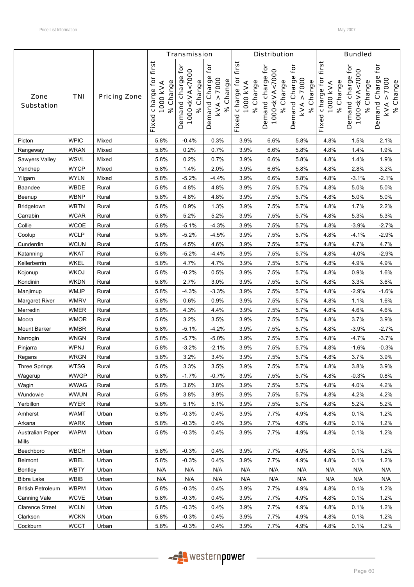|                                  |             |                     |                                                      | <b>Transmission</b>                                           |                                                        |                                                      | <b>Distribution</b>                                           |                                                             |                                                   | <b>Bundled</b>                                                |                                                |
|----------------------------------|-------------|---------------------|------------------------------------------------------|---------------------------------------------------------------|--------------------------------------------------------|------------------------------------------------------|---------------------------------------------------------------|-------------------------------------------------------------|---------------------------------------------------|---------------------------------------------------------------|------------------------------------------------|
| Zone<br><b>Substation</b>        | <b>TNI</b>  | <b>Pricing Zone</b> | first<br>charge for<br>% Change<br>1000 kVA<br>Fixed | Demand charge for<br>1000 <kva<7000<br>% Change</kva<7000<br> | Ċ<br>Demand Charge<br>> 7000<br>% Change<br><b>KVA</b> | first<br>charge for<br>% Change<br>1000 KVA<br>Fixed | Demand charge for<br>1000 <kva<7000<br>% Change</kva<7000<br> | for<br>Demand Charge<br>7000<br>% Change<br>٨<br><b>KVA</b> | first<br>Fixed charge for<br>% Change<br>1000 KVA | Demand charge for<br>1000 <kva<7000<br>% Change</kva<7000<br> | for<br>Demand Charge<br>KVA > 7000<br>% Change |
| Picton                           | <b>WPIC</b> | Mixed               | 5.8%                                                 | $-0.4%$                                                       | 0.3%                                                   | 3.9%                                                 | 6.6%                                                          | 5.8%                                                        | 4.8%                                              | 1.5%                                                          | 2.1%                                           |
| Rangeway                         | <b>WRAN</b> | Mixed               | 5.8%                                                 | 0.2%                                                          | 0.7%                                                   | 3.9%                                                 | 6.6%                                                          | 5.8%                                                        | 4.8%                                              | 1.4%                                                          | 1.9%                                           |
| Sawyers Valley                   | <b>WSVL</b> | Mixed               | 5.8%                                                 | 0.2%                                                          | 0.7%                                                   | 3.9%                                                 | 6.6%                                                          | 5.8%                                                        | 4.8%                                              | 1.4%                                                          | 1.9%                                           |
| Yanchep                          | <b>WYCP</b> | Mixed               | 5.8%                                                 | 1.4%                                                          | 2.0%                                                   | 3.9%                                                 | 6.6%                                                          | 5.8%                                                        | 4.8%                                              | 2.8%                                                          | 3.2%                                           |
| Yilgarn                          | <b>WYLN</b> | Mixed               | 5.8%                                                 | $-5.2%$                                                       | $-4.4%$                                                | 3.9%                                                 | 6.6%                                                          | 5.8%                                                        | 4.8%                                              | $-3.1%$                                                       | $-2.1%$                                        |
| Baandee                          | <b>WBDE</b> | Rural               | 5.8%                                                 | 4.8%                                                          | 4.8%                                                   | 3.9%                                                 | 7.5%                                                          | 5.7%                                                        | 4.8%                                              | 5.0%                                                          | 5.0%                                           |
| Beenup                           | <b>WBNP</b> | Rural               | 5.8%                                                 | 4.8%                                                          | 4.8%                                                   | 3.9%                                                 | 7.5%                                                          | 5.7%                                                        | 4.8%                                              | 5.0%                                                          | 5.0%                                           |
| Bridgetown                       | <b>WBTN</b> | Rural               | 5.8%                                                 | 0.9%                                                          | 1.3%                                                   | 3.9%                                                 | 7.5%                                                          | 5.7%                                                        | 4.8%                                              | 1.7%                                                          | 2.2%                                           |
| Carrabin                         | <b>WCAR</b> | Rural               | 5.8%                                                 | 5.2%                                                          | 5.2%                                                   | 3.9%                                                 | 7.5%                                                          | 5.7%                                                        | 4.8%                                              | 5.3%                                                          | 5.3%                                           |
| Collie                           | <b>WCOE</b> | Rural               | 5.8%                                                 | $-5.1%$                                                       | $-4.3%$                                                | 3.9%                                                 | 7.5%                                                          | 5.7%                                                        | 4.8%                                              | $-3.9%$                                                       | $-2.7%$                                        |
| Coolup                           | <b>WCLP</b> | Rural               | 5.8%                                                 | $-5.2%$                                                       | $-4.5%$                                                | 3.9%                                                 | 7.5%                                                          | 5.7%                                                        | 4.8%                                              | $-4.1%$                                                       | $-2.9%$                                        |
| Cunderdin                        | <b>WCUN</b> | Rural               | 5.8%                                                 | 4.5%                                                          | 4.6%                                                   | 3.9%                                                 | 7.5%                                                          | 5.7%                                                        | 4.8%                                              | 4.7%                                                          | 4.7%                                           |
| Katanning                        | <b>WKAT</b> | Rural               | 5.8%                                                 | $-5.2%$                                                       | $-4.4%$                                                | 3.9%                                                 | 7.5%                                                          | 5.7%                                                        | 4.8%                                              | $-4.0%$                                                       | $-2.9%$                                        |
| Kellerberrin                     | <b>WKEL</b> | Rural               | 5.8%                                                 | 4.7%                                                          | 4.7%                                                   | 3.9%                                                 | 7.5%                                                          | 5.7%                                                        | 4.8%                                              | 4.9%                                                          | 4.9%                                           |
| Kojonup                          | <b>WKOJ</b> | Rural               | 5.8%                                                 | $-0.2%$                                                       | 0.5%                                                   | 3.9%                                                 | 7.5%                                                          | 5.7%                                                        | 4.8%                                              | 0.9%                                                          | 1.6%                                           |
| Kondinin                         | <b>WKDN</b> | Rural               | 5.8%                                                 | 2.7%                                                          | 3.0%                                                   | 3.9%                                                 | 7.5%                                                          | 5.7%                                                        | 4.8%                                              | 3.3%                                                          | 3.6%                                           |
| Manjimup                         | <b>WMJP</b> | Rural               | 5.8%                                                 | $-4.3%$                                                       | $-3.3%$                                                | 3.9%                                                 | 7.5%                                                          | 5.7%                                                        | 4.8%                                              | $-2.9%$                                                       | $-1.6%$                                        |
| Margaret River                   | <b>WMRV</b> | Rural               | 5.8%                                                 | 0.6%                                                          | 0.9%                                                   | 3.9%                                                 | 7.5%                                                          | 5.7%                                                        | 4.8%                                              | 1.1%                                                          | 1.6%                                           |
| Merredin                         | <b>WMER</b> | Rural               | 5.8%                                                 | 4.3%                                                          | 4.4%                                                   | 3.9%                                                 | 7.5%                                                          | 5.7%                                                        | 4.8%                                              | 4.6%                                                          | 4.6%                                           |
| Moora                            | <b>WMOR</b> | Rural               | 5.8%                                                 | 3.2%                                                          | 3.5%                                                   | 3.9%                                                 | 7.5%                                                          | 5.7%                                                        | 4.8%                                              | 3.7%                                                          | 3.9%                                           |
| Mount Barker                     | <b>WMBR</b> | Rural               | 5.8%                                                 | $-5.1%$                                                       | $-4.2%$                                                | 3.9%                                                 | 7.5%                                                          | 5.7%                                                        | 4.8%                                              | $-3.9%$                                                       | $-2.7%$                                        |
| Narrogin                         | <b>WNGN</b> | Rural               | 5.8%                                                 | $-5.7%$                                                       | $-5.0%$                                                | 3.9%                                                 | 7.5%                                                          | 5.7%                                                        | 4.8%                                              | $-4.7%$                                                       | $-3.7%$                                        |
| Pinjarra                         | WPNJ        | Rural               | 5.8%                                                 | $-3.2%$                                                       | $-2.1%$                                                | 3.9%                                                 | 7.5%                                                          | 5.7%                                                        | 4.8%                                              | $-1.6%$                                                       | $-0.3%$                                        |
| Regans                           | <b>WRGN</b> | Rural               | 5.8%                                                 | 3.2%                                                          | 3.4%                                                   | 3.9%                                                 | 7.5%                                                          | 5.7%                                                        | 4.8%                                              | 3.7%                                                          | 3.9%                                           |
| <b>Three Springs</b>             | <b>WTSG</b> | Rural               | 5.8%                                                 | 3.3%                                                          | 3.5%                                                   | 3.9%                                                 | 7.5%                                                          | 5.7%                                                        | 4.8%                                              | 3.8%                                                          | 3.9%                                           |
| Wagerup                          | <b>WWGP</b> | Rural               | 5.8%                                                 | $-1.7%$                                                       | $-0.7%$                                                | 3.9%                                                 | 7.5%                                                          | 5.7%                                                        | 4.8%                                              | $-0.3%$                                                       | 0.8%                                           |
| Wagin                            | <b>WWAG</b> | Rural               | 5.8%                                                 | 3.6%                                                          | 3.8%                                                   | 3.9%                                                 | 7.5%                                                          | 5.7%                                                        | 4.8%                                              | 4.0%                                                          | 4.2%                                           |
| Wundowie                         | <b>WWUN</b> | Rural               | 5.8%                                                 | 3.8%                                                          | 3.9%                                                   | 3.9%                                                 | 7.5%                                                          | 5.7%                                                        | 4.8%                                              | 4.2%                                                          | 4.2%                                           |
| Yerbillon                        | <b>WYER</b> | Rural               | 5.8%                                                 | 5.1%                                                          | 5.1%                                                   | 3.9%                                                 | 7.5%                                                          | 5.7%                                                        | 4.8%                                              | 5.2%                                                          | 5.2%                                           |
| Amherst                          | <b>WAMT</b> | Urban               | 5.8%                                                 | $-0.3%$                                                       | 0.4%                                                   | 3.9%                                                 | 7.7%                                                          | 4.9%                                                        | 4.8%                                              | 0.1%                                                          | 1.2%                                           |
| Arkana                           | <b>WARK</b> | Urban               | 5.8%                                                 | $-0.3%$                                                       | 0.4%                                                   | 3.9%                                                 | 7.7%                                                          | 4.9%                                                        | 4.8%                                              | 0.1%                                                          | 1.2%                                           |
| <b>Australian Paper</b><br>Mills | <b>WAPM</b> | Urban               | 5.8%                                                 | $-0.3%$                                                       | 0.4%                                                   | 3.9%                                                 | 7.7%                                                          | 4.9%                                                        | 4.8%                                              | 0.1%                                                          | 1.2%                                           |
| Beechboro                        | <b>WBCH</b> | Urban               | 5.8%                                                 | $-0.3%$                                                       | 0.4%                                                   | 3.9%                                                 | 7.7%                                                          | 4.9%                                                        | 4.8%                                              | 0.1%                                                          | 1.2%                                           |
| <b>Belmont</b>                   | WBEL        | Urban               | 5.8%                                                 | $-0.3%$                                                       | 0.4%                                                   | 3.9%                                                 | 7.7%                                                          | 4.9%                                                        | 4.8%                                              | 0.1%                                                          | 1.2%                                           |
| Bentley                          | <b>WBTY</b> | Urban               | N/A                                                  | N/A                                                           | N/A                                                    | N/A                                                  | N/A                                                           | N/A                                                         | N/A                                               | N/A                                                           | N/A                                            |
| <b>Bibra Lake</b>                | <b>WBIB</b> | Urban               | N/A                                                  | N/A                                                           | N/A                                                    | N/A                                                  | N/A                                                           | N/A                                                         | N/A                                               | N/A                                                           | N/A                                            |
| <b>British Petroleum</b>         | <b>WBPM</b> | Urban               | 5.8%                                                 | $-0.3%$                                                       | 0.4%                                                   | 3.9%                                                 | 7.7%                                                          | 4.9%                                                        | 4.8%                                              | 0.1%                                                          | 1.2%                                           |
| Canning Vale                     | <b>WCVE</b> | Urban               | 5.8%                                                 | $-0.3%$                                                       | 0.4%                                                   | 3.9%                                                 | 7.7%                                                          | 4.9%                                                        | 4.8%                                              | 0.1%                                                          | 1.2%                                           |
| <b>Clarence Street</b>           | <b>WCLN</b> | Urban               | 5.8%                                                 | $-0.3%$                                                       | 0.4%                                                   | 3.9%                                                 | 7.7%                                                          | 4.9%                                                        | 4.8%                                              | 0.1%                                                          | 1.2%                                           |
| Clarkson                         | <b>WCKN</b> | Urban               | 5.8%                                                 | $-0.3%$                                                       | 0.4%                                                   | 3.9%                                                 | 7.7%                                                          | 4.9%                                                        | 4.8%                                              | 0.1%                                                          | 1.2%                                           |
| Cockburn                         | <b>WCCT</b> | Urban               | 5.8%                                                 | $-0.3%$                                                       | 0.4%                                                   | 3.9%                                                 | 7.7%                                                          | 4.9%                                                        | 4.8%                                              | 0.1%                                                          | 1.2%                                           |

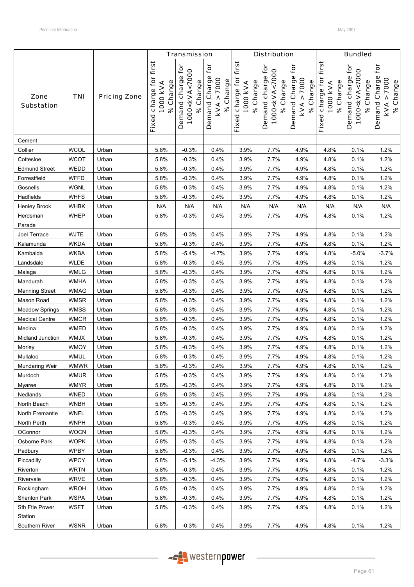|                           |             |                     |                                                      | <b>Transmission</b>                                                |                                                          |                                                                | <b>Distribution</b>                                           |                                                                                 |                                                   | <b>Bundled</b>                                                |                                                |
|---------------------------|-------------|---------------------|------------------------------------------------------|--------------------------------------------------------------------|----------------------------------------------------------|----------------------------------------------------------------|---------------------------------------------------------------|---------------------------------------------------------------------------------|---------------------------------------------------|---------------------------------------------------------------|------------------------------------------------|
| Zone<br><b>Substation</b> | <b>TNI</b>  | <b>Pricing Zone</b> | first<br>charge for<br>% Change<br>1000 kVA<br>Fixed | Demand charge for<br>1000 <kva<7000<br>Change<br/>ೢೕ</kva<7000<br> | for<br>Demand Charge<br>> 7000<br>% Change<br><b>KVA</b> | first <sup>1</sup><br>Fixed charge for<br>% Change<br>1000 kVA | Demand charge for<br>1000 <kva<7000<br>% Change</kva<7000<br> | tor<br>Demand Charge<br>7000<br>% Change<br>$\boldsymbol{\wedge}$<br><b>KVA</b> | first<br>Fixed charge for<br>% Change<br>1000 KVA | Demand charge for<br>1000 <kva<7000<br>% Change</kva<7000<br> | for<br>Demand Charge<br>KVA > 7000<br>% Change |
| Cement                    |             |                     |                                                      |                                                                    |                                                          |                                                                |                                                               |                                                                                 |                                                   |                                                               |                                                |
| Collier                   | <b>WCOL</b> | Urban               | 5.8%                                                 | $-0.3%$                                                            | 0.4%                                                     | 3.9%                                                           | 7.7%                                                          | 4.9%                                                                            | 4.8%                                              | 0.1%                                                          | 1.2%                                           |
| Cottesloe                 | <b>WCOT</b> | Urban               | 5.8%                                                 | $-0.3%$                                                            | 0.4%                                                     | 3.9%                                                           | 7.7%                                                          | 4.9%                                                                            | 4.8%                                              | 0.1%                                                          | 1.2%                                           |
| <b>Edmund Street</b>      | WEDD        | Urban               | 5.8%                                                 | $-0.3%$                                                            | 0.4%                                                     | 3.9%                                                           | 7.7%                                                          | 4.9%                                                                            | 4.8%                                              | 0.1%                                                          | 1.2%                                           |
| Forrestfield              | <b>WFFD</b> | Urban               | 5.8%                                                 | $-0.3%$                                                            | 0.4%                                                     | 3.9%                                                           | 7.7%                                                          | 4.9%                                                                            | 4.8%                                              | 0.1%                                                          | 1.2%                                           |
| Gosnells                  | <b>WGNL</b> | Urban               | 5.8%                                                 | $-0.3%$                                                            | 0.4%                                                     | 3.9%                                                           | 7.7%                                                          | 4.9%                                                                            | 4.8%                                              | 0.1%                                                          | 1.2%                                           |
| Hadfields                 | <b>WHFS</b> | Urban               | 5.8%                                                 | $-0.3%$                                                            | 0.4%                                                     | 3.9%                                                           | 7.7%                                                          | 4.9%                                                                            | 4.8%                                              | 0.1%                                                          | 1.2%                                           |
| Henley Brook              | <b>WHBK</b> | Urban               | N/A                                                  | N/A                                                                | N/A                                                      | N/A                                                            | N/A                                                           | N/A                                                                             | N/A                                               | N/A                                                           | N/A                                            |
| Herdsman<br>Parade        | <b>WHEP</b> | Urban               | 5.8%                                                 | $-0.3%$                                                            | 0.4%                                                     | 3.9%                                                           | 7.7%                                                          | 4.9%                                                                            | 4.8%                                              | 0.1%                                                          | 1.2%                                           |
| Joel Terrace              | <b>WJTE</b> | Urban               | 5.8%                                                 | $-0.3%$                                                            | 0.4%                                                     | 3.9%                                                           | 7.7%                                                          | 4.9%                                                                            | 4.8%                                              | 0.1%                                                          | 1.2%                                           |
| Kalamunda                 | <b>WKDA</b> | Urban               | 5.8%                                                 | $-0.3%$                                                            | 0.4%                                                     | 3.9%                                                           | 7.7%                                                          | 4.9%                                                                            | 4.8%                                              | 0.1%                                                          | 1.2%                                           |
| Kambalda                  | <b>WKBA</b> | Urban               | 5.8%                                                 | $-5.4%$                                                            | $-4.7%$                                                  | 3.9%                                                           | 7.7%                                                          | 4.9%                                                                            | 4.8%                                              | $-5.0%$                                                       | $-3.7%$                                        |
| Landsdale                 | <b>WLDE</b> | Urban               | 5.8%                                                 | $-0.3%$                                                            | 0.4%                                                     | 3.9%                                                           | 7.7%                                                          | 4.9%                                                                            | 4.8%                                              | 0.1%                                                          | 1.2%                                           |
| Malaga                    | <b>WMLG</b> | Urban               | 5.8%                                                 | $-0.3%$                                                            | 0.4%                                                     | 3.9%                                                           | 7.7%                                                          | 4.9%                                                                            | 4.8%                                              | 0.1%                                                          | 1.2%                                           |
| Mandurah                  | <b>WMHA</b> | Urban               | 5.8%                                                 | $-0.3%$                                                            | 0.4%                                                     | 3.9%                                                           | 7.7%                                                          | 4.9%                                                                            | 4.8%                                              | 0.1%                                                          | 1.2%                                           |
| <b>Manning Street</b>     | <b>WMAG</b> | Urban               | 5.8%                                                 | $-0.3%$                                                            | 0.4%                                                     | 3.9%                                                           | 7.7%                                                          | 4.9%                                                                            | 4.8%                                              | 0.1%                                                          | 1.2%                                           |
| Mason Road                | <b>WMSR</b> | Urban               | 5.8%                                                 | $-0.3%$                                                            | 0.4%                                                     | 3.9%                                                           | 7.7%                                                          | 4.9%                                                                            | 4.8%                                              | 0.1%                                                          | 1.2%                                           |
| <b>Meadow Springs</b>     | <b>WMSS</b> | Urban               | 5.8%                                                 | $-0.3%$                                                            | 0.4%                                                     | 3.9%                                                           | 7.7%                                                          | 4.9%                                                                            | 4.8%                                              | 0.1%                                                          | 1.2%                                           |
| <b>Medical Centre</b>     | <b>WMCR</b> | Urban               | 5.8%                                                 | $-0.3%$                                                            | 0.4%                                                     | 3.9%                                                           | 7.7%                                                          | 4.9%                                                                            | 4.8%                                              | 0.1%                                                          | 1.2%                                           |
| Medina                    | <b>WMED</b> | Urban               | 5.8%                                                 | $-0.3%$                                                            | 0.4%                                                     | 3.9%                                                           | 7.7%                                                          | 4.9%                                                                            | 4.8%                                              | 0.1%                                                          | 1.2%                                           |
| Midland Junction          | WMJX        | Urban               | 5.8%                                                 | $-0.3%$                                                            | 0.4%                                                     | 3.9%                                                           | 7.7%                                                          | 4.9%                                                                            | 4.8%                                              | 0.1%                                                          | 1.2%                                           |
| Morley                    | <b>WMOY</b> | Urban               | 5.8%                                                 | $-0.3%$                                                            | 0.4%                                                     | 3.9%                                                           | 7.7%                                                          | 4.9%                                                                            | 4.8%                                              | 0.1%                                                          | 1.2%                                           |
| Mullaloo                  | <b>WMUL</b> | Urban               | 5.8%                                                 | $-0.3%$                                                            | 0.4%                                                     | 3.9%                                                           | 7.7%                                                          | 4.9%                                                                            | 4.8%                                              | 0.1%                                                          | 1.2%                                           |
| Mundaring Weir            | <b>WMWR</b> | Urban               | 5.8%                                                 | $-0.3%$                                                            | 0.4%                                                     | 3.9%                                                           | 7.7%                                                          | 4.9%                                                                            | 4.8%                                              | 0.1%                                                          | 1.2%                                           |
| Murdoch                   | <b>WMUR</b> | Urban               | 5.8%                                                 | $-0.3%$                                                            | 0.4%                                                     | 3.9%                                                           | 7.7%                                                          | 4.9%                                                                            | 4.8%                                              | 0.1%                                                          | 1.2%                                           |
| Myaree                    | <b>WMYR</b> | Urban               | 5.8%                                                 | $-0.3%$                                                            | 0.4%                                                     | 3.9%                                                           | 7.7%                                                          | 4.9%                                                                            | 4.8%                                              | 0.1%                                                          | 1.2%                                           |
| Nedlands                  | <b>WNED</b> | Urban               | 5.8%                                                 | $-0.3%$                                                            | 0.4%                                                     | 3.9%                                                           | 7.7%                                                          | 4.9%                                                                            | 4.8%                                              | 0.1%                                                          | 1.2%                                           |
| North Beach               | <b>WNBH</b> | Urban               | 5.8%                                                 | $-0.3%$                                                            | 0.4%                                                     | 3.9%                                                           | 7.7%                                                          | 4.9%                                                                            | 4.8%                                              | 0.1%                                                          | 1.2%                                           |
| North Fremantle           | <b>WNFL</b> | Urban               | 5.8%                                                 | $-0.3%$                                                            | 0.4%                                                     | 3.9%                                                           | 7.7%                                                          | 4.9%                                                                            | 4.8%                                              | 0.1%                                                          | 1.2%                                           |
| North Perth               | <b>WNPH</b> | Urban               | 5.8%                                                 | $-0.3%$                                                            | 0.4%                                                     | 3.9%                                                           | 7.7%                                                          | 4.9%                                                                            | 4.8%                                              | 0.1%                                                          | 1.2%                                           |
| OConnor                   | <b>WOCN</b> | Urban               | 5.8%                                                 | $-0.3%$                                                            | 0.4%                                                     | 3.9%                                                           | 7.7%                                                          | 4.9%                                                                            | 4.8%                                              | 0.1%                                                          | 1.2%                                           |
| Osborne Park              | <b>WOPK</b> | Urban               | 5.8%                                                 | $-0.3%$                                                            | 0.4%                                                     | 3.9%                                                           | 7.7%                                                          | 4.9%                                                                            | 4.8%                                              | 0.1%                                                          | 1.2%                                           |
| Padbury                   | <b>WPBY</b> | Urban               | 5.8%                                                 | $-0.3%$                                                            | 0.4%                                                     | 3.9%                                                           | 7.7%                                                          | 4.9%                                                                            | 4.8%                                              | 0.1%                                                          | 1.2%                                           |
| Piccadilly                | <b>WPCY</b> | Urban               | 5.8%                                                 | $-5.1%$                                                            | $-4.3%$                                                  | 3.9%                                                           | 7.7%                                                          | 4.9%                                                                            | 4.8%                                              | $-4.7%$                                                       | $-3.3%$                                        |
| Riverton                  | <b>WRTN</b> | Urban               | 5.8%                                                 | $-0.3%$                                                            | 0.4%                                                     | 3.9%                                                           | 7.7%                                                          | 4.9%                                                                            | 4.8%                                              | 0.1%                                                          | 1.2%                                           |
| Rivervale                 | <b>WRVE</b> | Urban               | 5.8%                                                 | $-0.3%$                                                            | 0.4%                                                     | 3.9%                                                           | 7.7%                                                          | 4.9%                                                                            | 4.8%                                              | 0.1%                                                          | 1.2%                                           |
| Rockingham                | <b>WROH</b> | Urban               | 5.8%                                                 | $-0.3%$                                                            | 0.4%                                                     | 3.9%                                                           | 7.7%                                                          | 4.9%                                                                            | 4.8%                                              | 0.1%                                                          | 1.2%                                           |
| Shenton Park              | <b>WSPA</b> | Urban               | 5.8%                                                 | $-0.3%$                                                            | 0.4%                                                     | 3.9%                                                           | 7.7%                                                          | 4.9%                                                                            | 4.8%                                              | 0.1%                                                          | 1.2%                                           |
| Sth Ftle Power            | <b>WSFT</b> | Urban               | 5.8%                                                 | $-0.3%$                                                            | 0.4%                                                     | 3.9%                                                           | 7.7%                                                          | 4.9%                                                                            | 4.8%                                              | 0.1%                                                          | 1.2%                                           |
| Station                   |             |                     |                                                      |                                                                    |                                                          |                                                                |                                                               |                                                                                 |                                                   |                                                               |                                                |
| Southern River            | <b>WSNR</b> | Urban               | 5.8%                                                 | $-0.3%$                                                            | 0.4%                                                     | 3.9%                                                           | 7.7%                                                          | 4.9%                                                                            | 4.8%                                              | 0.1%                                                          | 1.2%                                           |

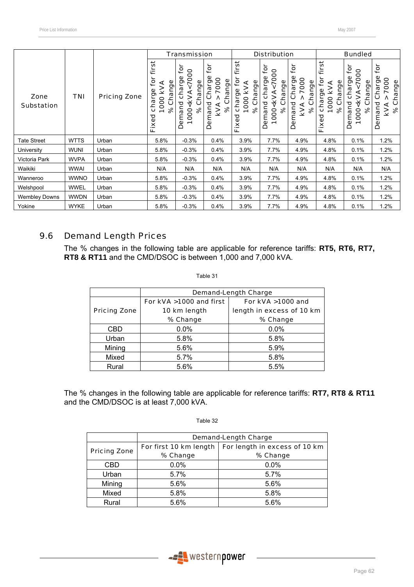|                           |             |                     |                                                                                | <b>Transmission</b>                                                                           |                                                                           |                                                                             | <b>Distribution</b><br><b>Bundled</b>                                                      |                                                                    |                                                                                    |                                                                                      |                                                                                 |
|---------------------------|-------------|---------------------|--------------------------------------------------------------------------------|-----------------------------------------------------------------------------------------------|---------------------------------------------------------------------------|-----------------------------------------------------------------------------|--------------------------------------------------------------------------------------------|--------------------------------------------------------------------|------------------------------------------------------------------------------------|--------------------------------------------------------------------------------------|---------------------------------------------------------------------------------|
| Zone<br><b>Substation</b> | TNI         | <b>Pricing Zone</b> | first<br>ၟႍ<br>Change<br><b>KVA</b><br>ŗде<br>1000<br>cha<br>$\infty$<br>Fixed | ē<br>0000<br>charge<br>ange<br><kva<br>ပ<br/>Demand<br/><math>\aleph</math><br/>1000</kva<br> | for<br>harge<br>7000<br>ange<br>ပ<br>င်<br>emand<br><b>KVA</b><br>ಸಿ<br>Ă | first<br>ڥ<br>Change<br><b>KVA</b><br>charge<br>1000<br>ಸಿ<br>ਹ<br>Ō<br>Eix | ŕō<br>1000 <kva<7000<br>charge<br/>Change<br/>Demand<br/><math>\infty</math></kva<7000<br> | for<br>٥<br>7000<br>Charge<br>Change<br>Demand<br><b>KVA</b><br>ಸಿ | first<br>ڥ<br>Change<br><b>KVA</b><br>charge<br>1000<br>$\infty$<br>ত<br>ФX.<br>ц. | <u>jo</u><br>0000<br>charge<br>Change<br><kva<br>emand<br/>ৡ<br/>1000<br/>Ó</kva<br> | $\mathbf{\tilde{e}}$<br>Charge<br>7000<br>Change<br>Demand<br><b>KVA</b><br>% C |
| <b>Tate Street</b>        | <b>WTTS</b> | Urban               | 5.8%                                                                           | $-0.3%$                                                                                       | 0.4%                                                                      | 3.9%                                                                        | 7.7%                                                                                       | 4.9%                                                               | 4.8%                                                                               | 0.1%                                                                                 | 1.2%                                                                            |
| University                | <b>WUNI</b> | Urban               | 5.8%                                                                           | $-0.3%$                                                                                       | 0.4%                                                                      | 3.9%                                                                        | 7.7%                                                                                       | 4.9%                                                               | 4.8%                                                                               | 0.1%                                                                                 | 1.2%                                                                            |
| Victoria Park             | <b>WVPA</b> | Urban               | 5.8%                                                                           | $-0.3%$                                                                                       | 0.4%                                                                      | 3.9%                                                                        | 7.7%                                                                                       | 4.9%                                                               | 4.8%                                                                               | 0.1%                                                                                 | 1.2%                                                                            |
| Waikiki                   | <b>WWAI</b> | Urban               | N/A                                                                            | N/A                                                                                           | N/A                                                                       | N/A                                                                         | N/A                                                                                        | N/A                                                                | N/A                                                                                | N/A                                                                                  | N/A                                                                             |
| Wanneroo                  | <b>WWNO</b> | Urban               | 5.8%                                                                           | $-0.3%$                                                                                       | 0.4%                                                                      | 3.9%                                                                        | $7.7\%$                                                                                    | 4.9%                                                               | 4.8%                                                                               | 0.1%                                                                                 | 1.2%                                                                            |
| Welshpool                 | <b>WWEL</b> | Urban               | 5.8%                                                                           | $-0.3%$                                                                                       | 0.4%                                                                      | 3.9%                                                                        | 7.7%                                                                                       | 4.9%                                                               | 4.8%                                                                               | 0.1%                                                                                 | 1.2%                                                                            |
| <b>Wembley Downs</b>      | <b>WWDN</b> | Urban               | 5.8%                                                                           | $-0.3%$                                                                                       | 0.4%                                                                      | 3.9%                                                                        | 7.7%                                                                                       | 4.9%                                                               | 4.8%                                                                               | 0.1%                                                                                 | 1.2%                                                                            |
| Yokine                    | <b>WYKE</b> | Urban               | 5.8%                                                                           | $-0.3%$                                                                                       | 0.4%                                                                      | 3.9%                                                                        | 7.7%                                                                                       | 4.9%                                                               | 4.8%                                                                               | 0.1%                                                                                 | 1.2%                                                                            |

## 9.6 Demand Length Prices

The % changes in the following table are applicable for reference tariffs: **RT5, RT6, RT7, RT8 & RT11** and the CMD/DSOC is between 1,000 and 7,000 kVA.

Table 31

|                     | <b>Demand-Length Charge</b> |                           |  |  |  |
|---------------------|-----------------------------|---------------------------|--|--|--|
|                     | For kVA >1000 and first     | For kVA >1000 and         |  |  |  |
| <b>Pricing Zone</b> | 10 km length                | length in excess of 10 km |  |  |  |
|                     | % Change                    | % Change                  |  |  |  |
| <b>CBD</b>          | 0.0%                        | 0.0%                      |  |  |  |
| Urban               | 5.8%                        | 5.8%                      |  |  |  |
| Mining              | 5.6%                        | 5.9%                      |  |  |  |
| Mixed               | 5.7%                        | 5.8%                      |  |  |  |
| Rural               | 5.6%                        | 5.5%                      |  |  |  |

The % changes in the following table are applicable for reference tariffs: **RT7, RT8 & RT11** and the CMD/DSOC is at least 7,000 kVA.

|                     | <b>Demand-Length Charge</b> |                               |  |  |  |
|---------------------|-----------------------------|-------------------------------|--|--|--|
|                     | For first 10 km length      | For length in excess of 10 km |  |  |  |
| <b>Pricing Zone</b> | % Change                    | % Change                      |  |  |  |
| CBD                 | 0.0%                        | 0.0%                          |  |  |  |
| Urban               | 5.7%                        | 5.7%                          |  |  |  |
| Mining              | 5.6%                        | 5.6%                          |  |  |  |
| Mixed               | 5.8%                        | 5.8%                          |  |  |  |
| Rural               | 5.6%                        | 5.6%                          |  |  |  |

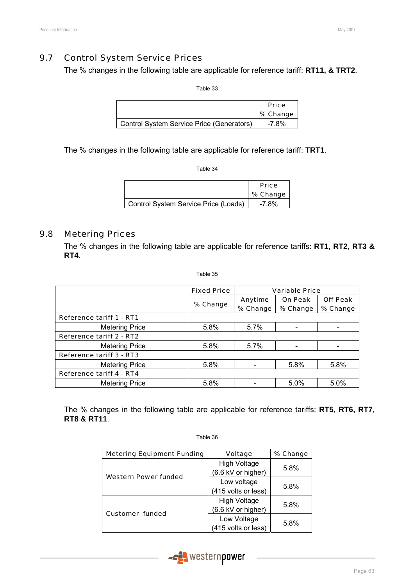### 9.7 Control System Service Prices

The % changes in the following table are applicable for reference tariff: **RT11, & TRT2**.

Table 33

|                                           | <b>Price</b><br>% Change |
|-------------------------------------------|--------------------------|
| Control System Service Price (Generators) | -7.8%                    |

The % changes in the following table are applicable for reference tariff: **TRT1**.

Table 34

|                                      | <b>Price</b> |
|--------------------------------------|--------------|
|                                      | % Change     |
| Control System Service Price (Loads) | -7.8%        |

### 9.8 Metering Prices

The % changes in the following table are applicable for reference tariffs: **RT1, RT2, RT3 & RT4**.

Table 35

|                                 | <b>Fixed Price</b><br><b>Variable Price</b> |          |                |                 |
|---------------------------------|---------------------------------------------|----------|----------------|-----------------|
|                                 |                                             | Anytime  | <b>On Peak</b> | <b>Off Peak</b> |
|                                 | % Change                                    | % Change | % Change       | % Change        |
| <b>Reference tariff 1 - RT1</b> |                                             |          |                |                 |
| <b>Metering Price</b>           | 5.8%                                        | 5.7%     |                |                 |
| Reference tariff 2 - RT2        |                                             |          |                |                 |
| <b>Metering Price</b>           | 5.8%                                        | 5.7%     |                |                 |
| <b>Reference tariff 3 - RT3</b> |                                             |          |                |                 |
| <b>Metering Price</b>           | 5.8%                                        |          | 5.8%           | 5.8%            |
| <b>Reference tariff 4 - RT4</b> |                                             |          |                |                 |
| <b>Metering Price</b>           | 5.8%                                        |          | 5.0%           | 5.0%            |

The % changes in the following table are applicable for reference tariffs: **RT5, RT6, RT7, RT8 & RT11**.

| <b>Metering Equipment Funding</b> | <b>Voltage</b>      | % Change |  |
|-----------------------------------|---------------------|----------|--|
|                                   |                     |          |  |
|                                   | <b>High Voltage</b> | 5.8%     |  |
| Western Power funded              | (6.6 kV or higher)  |          |  |
|                                   | Low voltage         | 5.8%     |  |
|                                   | (415 volts or less) |          |  |
|                                   | <b>High Voltage</b> |          |  |
| <b>Customer funded</b>            | (6.6 kV or higher)  | 5.8%     |  |
|                                   | Low Voltage         | 5.8%     |  |
|                                   | (415 volts or less) |          |  |

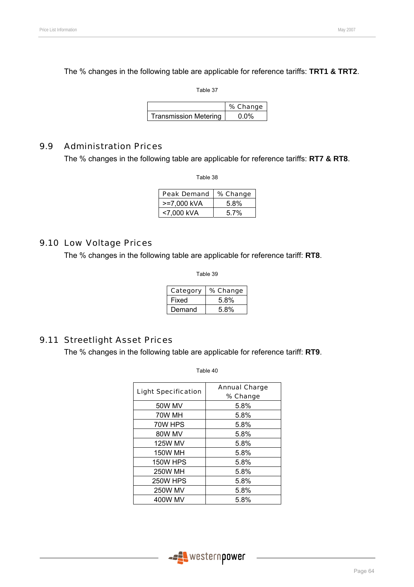The % changes in the following table are applicable for reference tariffs: **TRT1 & TRT2**.

Table 37

|                              | % Change |
|------------------------------|----------|
| <b>Transmission Metering</b> | 0. በ%    |

### 9.9 Administration Prices

The % changes in the following table are applicable for reference tariffs: **RT7 & RT8**.

Table 38

| <b>Peak Demand</b> | % Change |
|--------------------|----------|
| >=7,000 kVA        | 5.8%     |
| <7.000 kVA         | $5.7\%$  |

### 9.10 Low Voltage Prices

The % changes in the following table are applicable for reference tariff: **RT8**.

Table 39

| Category | % Change |
|----------|----------|
| Fixed    | 5.8%     |
| Demand   | 5.8%     |

### 9.11 Streetlight Asset Prices

The % changes in the following table are applicable for reference tariff: **RT9**.

| <b>Light Specification</b> | <b>Annual Charge</b><br>% Change |  |  |
|----------------------------|----------------------------------|--|--|
| <b>50W MV</b>              | 5.8%                             |  |  |
|                            |                                  |  |  |
| 70W MH                     | 5.8%                             |  |  |
| 70W HPS                    | 5.8%                             |  |  |
| 80W MV                     | 5.8%                             |  |  |
| <b>125W MV</b>             | 5.8%                             |  |  |
| <b>150W MH</b>             | 5.8%                             |  |  |
| <b>150W HPS</b>            | 5.8%                             |  |  |
| <b>250W MH</b>             | 5.8%                             |  |  |
| <b>250W HPS</b>            | 5.8%                             |  |  |
| <b>250W MV</b>             | 5.8%                             |  |  |
| 400W MV                    | 5.8%                             |  |  |

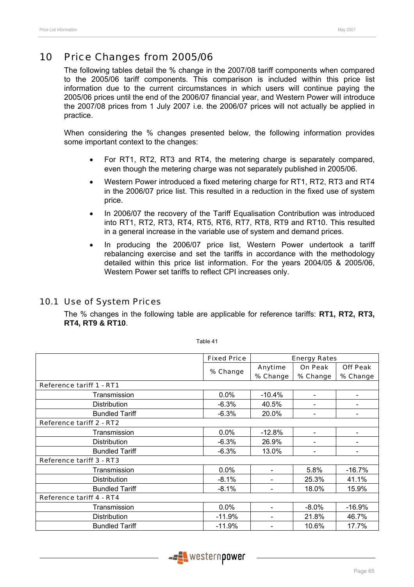# 10 Price Changes from 2005/06

The following tables detail the % change in the 2007/08 tariff components when compared to the 2005/06 tariff components. This comparison is included within this price list information due to the current circumstances in which users will continue paying the 2005/06 prices until the end of the 2006/07 financial year, and Western Power will introduce the 2007/08 prices from 1 July 2007 i.e. the 2006/07 prices will not actually be applied in practice.

When considering the % changes presented below, the following information provides some important context to the changes:

- For RT1, RT2, RT3 and RT4, the metering charge is separately compared, even though the metering charge was not separately published in 2005/06.
- Western Power introduced a fixed metering charge for RT1, RT2, RT3 and RT4 in the 2006/07 price list. This resulted in a reduction in the fixed use of system price.
- In 2006/07 the recovery of the Tariff Equalisation Contribution was introduced into RT1, RT2, RT3, RT4, RT5, RT6, RT7, RT8, RT9 and RT10. This resulted in a general increase in the variable use of system and demand prices.
- In producing the 2006/07 price list, Western Power undertook a tariff rebalancing exercise and set the tariffs in accordance with the methodology detailed within this price list information. For the years 2004/05 & 2005/06, Western Power set tariffs to reflect CPI increases only.

### 10.1 Use of System Prices

The % changes in the following table are applicable for reference tariffs: **RT1, RT2, RT3, RT4, RT9 & RT10**.

Fixed Price | Energy Rates % Change  $\Big|\begin{array}{c} \text{Anytime} \\ \text{and} \end{array}\Big|$ % Change On Peak % Change Off Peak % Change Reference tariff 1 - RT1  $\frac{1}{2}$  Transmission  $\frac{1}{2}$  0.0%  $\frac{1}{2}$  -10.4% Distribution -6.3% 40.5% - - Bundled Tariff  $\vert$  -6.3%  $\vert$  20.0%  $\vert$  -  $\vert$  -Reference tariff 2 - RT2  $\frac{1}{2}$  Transmission  $\frac{1}{2}$  0.0%  $\frac{1}{2}$  -12.8%  $\frac{1}{2}$  -  $\frac{1}{2}$  Distribution -6.3% 26.9% - - Bundled Tariff  $\vert$  -6.3% | 13.0% | - | -Reference tariff 3 - RT3 Transmission  $\vert$  0.0%  $\vert$  -  $\vert$  5.8%  $\vert$  -16.7% Distribution -8.1% - 25.3% 41.1% Bundled Tariff **15.9%** | 28.1% | 28.1% | 18.0% | 15.9% Reference tariff 4 - RT4 Transmission 1 0.0% - 1 -8.0% -16.9% Distribution -11.9% - 21.8% 46.7% Bundled Tariff  $\vert$  -11.9%  $\vert$  - 10.6% 17.7%

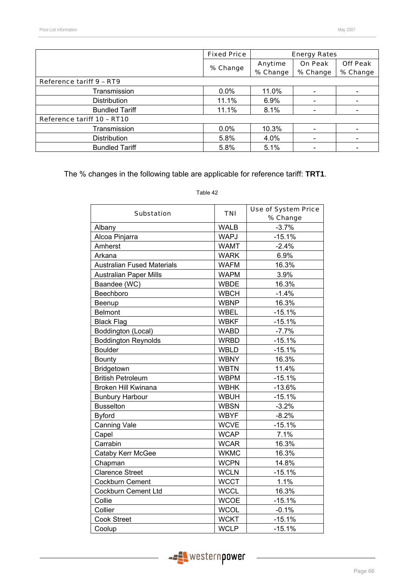|                                 | <b>Fixed Price</b> | <b>Energy Rates</b> |                |                 |  |
|---------------------------------|--------------------|---------------------|----------------|-----------------|--|
|                                 | % Change           | Anytime             | <b>On Peak</b> | <b>Off Peak</b> |  |
|                                 |                    | % Change            | % Change       | % Change        |  |
| <b>Reference tariff 9 - RT9</b> |                    |                     |                |                 |  |
| Transmission                    | $0.0\%$            | 11.0%               |                |                 |  |
| Distribution                    | 11.1%              | $6.9\%$             |                |                 |  |
| <b>Bundled Tariff</b>           | 11.1%              | 8.1%                |                |                 |  |
| Reference tariff 10 - RT10      |                    |                     |                |                 |  |
| Transmission                    | $0.0\%$            | 10.3%               |                |                 |  |
| <b>Distribution</b>             | 5.8%               | 4.0%                |                |                 |  |
| <b>Bundled Tariff</b>           | 5.8%               | 5.1%                |                |                 |  |

The % changes in the following table are applicable for reference tariff: **TRT1**.

|                                   |             | <b>Use of System Price</b> |  |  |
|-----------------------------------|-------------|----------------------------|--|--|
| <b>Substation</b>                 | <b>TNI</b>  | % Change                   |  |  |
| Albany                            | <b>WALB</b> | $-3.7%$                    |  |  |
| Alcoa Pinjarra                    | <b>WAPJ</b> | $-15.1%$                   |  |  |
| Amherst                           | <b>WAMT</b> | $-2.4%$                    |  |  |
| Arkana                            | <b>WARK</b> | 6.9%                       |  |  |
| <b>Australian Fused Materials</b> | <b>WAFM</b> | 16.3%                      |  |  |
| <b>Australian Paper Mills</b>     | <b>WAPM</b> | 3.9%                       |  |  |
| Baandee (WC)                      | <b>WBDE</b> | 16.3%                      |  |  |
| Beechboro                         | <b>WBCH</b> | $-1.4%$                    |  |  |
| Beenup                            | <b>WBNP</b> | 16.3%                      |  |  |
| <b>Belmont</b>                    | <b>WBEL</b> | $-15.1%$                   |  |  |
| <b>Black Flag</b>                 | <b>WBKF</b> | $-15.1%$                   |  |  |
| Boddington (Local)                | <b>WABD</b> | $-7.7%$                    |  |  |
| <b>Boddington Reynolds</b>        | <b>WRBD</b> | $-15.1%$                   |  |  |
| <b>Boulder</b>                    | <b>WBLD</b> | $-15.1%$                   |  |  |
| <b>Bounty</b>                     | <b>WBNY</b> | 16.3%                      |  |  |
| Bridgetown                        | <b>WBTN</b> | 11.4%                      |  |  |
| <b>British Petroleum</b>          | <b>WBPM</b> | $-15.1%$                   |  |  |
| Broken Hill Kwinana               | <b>WBHK</b> | $-13.6%$                   |  |  |
| <b>Bunbury Harbour</b>            | <b>WBUH</b> | $-15.1%$                   |  |  |
| <b>Busselton</b>                  | <b>WBSN</b> | $-3.2%$                    |  |  |
| <b>Byford</b>                     | <b>WBYF</b> | $-8.2%$                    |  |  |
| <b>Canning Vale</b>               | <b>WCVE</b> | $-15.1%$                   |  |  |
| Capel                             | <b>WCAP</b> | 7.1%                       |  |  |
| Carrabin                          | <b>WCAR</b> | 16.3%                      |  |  |
| Cataby Kerr McGee                 | <b>WKMC</b> | 16.3%                      |  |  |
| Chapman                           | <b>WCPN</b> | 14.8%                      |  |  |
| <b>Clarence Street</b>            | <b>WCLN</b> | $-15.1%$                   |  |  |
| Cockburn Cement                   | <b>WCCT</b> | 1.1%                       |  |  |
| Cockburn Cement Ltd               | <b>WCCL</b> | 16.3%                      |  |  |
| Collie                            | <b>WCOE</b> | $-15.1%$                   |  |  |
| Collier                           | <b>WCOL</b> | $-0.1%$                    |  |  |
| <b>Cook Street</b>                | <b>WCKT</b> | $-15.1%$                   |  |  |
| Coolup                            | <b>WCLP</b> | $-15.1%$                   |  |  |

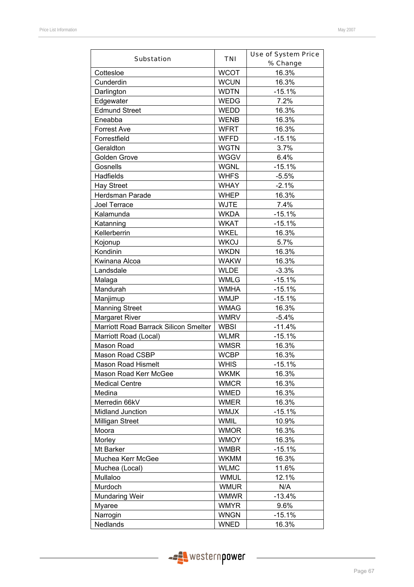|                                       |             | <b>Use of System Price</b> |
|---------------------------------------|-------------|----------------------------|
| <b>Substation</b>                     | <b>TNI</b>  | % Change                   |
| Cottesloe                             | <b>WCOT</b> | 16.3%                      |
| Cunderdin                             | <b>WCUN</b> | 16.3%                      |
| Darlington                            | <b>WDTN</b> | $-15.1%$                   |
| Edgewater                             | <b>WEDG</b> | 7.2%                       |
| <b>Edmund Street</b>                  | <b>WEDD</b> | 16.3%                      |
| Eneabba                               | <b>WENB</b> | 16.3%                      |
| <b>Forrest Ave</b>                    | <b>WFRT</b> | 16.3%                      |
| Forrestfield                          | <b>WFFD</b> | $-15.1%$                   |
| Geraldton                             | <b>WGTN</b> | 3.7%                       |
| Golden Grove                          | <b>WGGV</b> | 6.4%                       |
| Gosnells                              | <b>WGNL</b> | $-15.1%$                   |
| Hadfields                             | <b>WHFS</b> | $-5.5%$                    |
| <b>Hay Street</b>                     | <b>WHAY</b> | $-2.1%$                    |
| Herdsman Parade                       | <b>WHEP</b> | 16.3%                      |
| Joel Terrace                          | <b>WJTE</b> | 7.4%                       |
| Kalamunda                             | <b>WKDA</b> | $-15.1%$                   |
| Katanning                             | <b>WKAT</b> | $-15.1%$                   |
| Kellerberrin                          | <b>WKEL</b> | 16.3%                      |
| Kojonup                               | <b>WKOJ</b> | 5.7%                       |
| Kondinin                              | <b>WKDN</b> | 16.3%                      |
| Kwinana Alcoa                         | <b>WAKW</b> | 16.3%                      |
| Landsdale                             | <b>WLDE</b> | $-3.3%$                    |
| Malaga                                | <b>WMLG</b> | $-15.1%$                   |
| Mandurah                              | <b>WMHA</b> | $-15.1%$                   |
| Manjimup                              | <b>WMJP</b> | $-15.1%$                   |
| <b>Manning Street</b>                 | <b>WMAG</b> | 16.3%                      |
| <b>Margaret River</b>                 | <b>WMRV</b> | $-5.4%$                    |
| Marriott Road Barrack Silicon Smelter | <b>WBSI</b> | $-11.4%$                   |
| Marriott Road (Local)                 | <b>WLMR</b> | $-15.1%$                   |
| Mason Road                            | <b>WMSR</b> | 16.3%                      |
| Mason Road CSBP                       | <b>WCBP</b> | 16.3%                      |
| <b>Mason Road Hismelt</b>             | <b>WHIS</b> | $-15.1%$                   |
| Mason Road Kerr McGee                 | <b>WKMK</b> | 16.3%                      |
| <b>Medical Centre</b>                 | <b>WMCR</b> | 16.3%                      |
| Medina                                | <b>WMED</b> | 16.3%                      |
| Merredin 66kV                         | <b>WMER</b> | 16.3%                      |
| Midland Junction                      | <b>WMJX</b> | $-15.1%$                   |
| Milligan Street                       | <b>WMIL</b> | 10.9%                      |
| Moora                                 | <b>WMOR</b> | 16.3%                      |
| Morley                                | <b>WMOY</b> | 16.3%                      |
| Mt Barker                             | <b>WMBR</b> | $-15.1%$                   |
| Muchea Kerr McGee                     | <b>WKMM</b> | 16.3%                      |
| Muchea (Local)                        | <b>WLMC</b> | 11.6%                      |
| Mullaloo                              | <b>WMUL</b> | 12.1%                      |
| Murdoch                               | <b>WMUR</b> | N/A                        |
| <b>Mundaring Weir</b>                 | <b>WMWR</b> | $-13.4%$                   |
| <b>Myaree</b>                         | <b>WMYR</b> | 9.6%                       |
| Narrogin                              | <b>WNGN</b> | $-15.1%$                   |
| Nedlands                              | <b>WNED</b> | 16.3%                      |

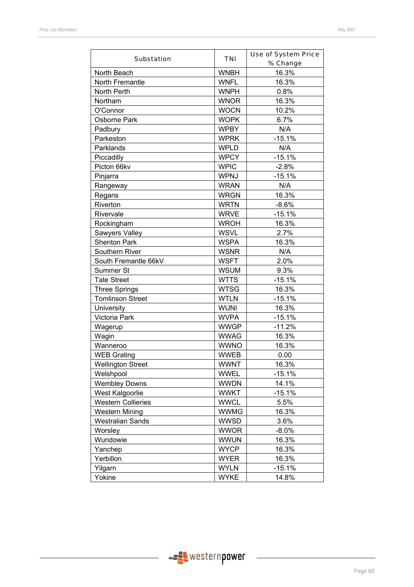| <b>Substation</b>         | <b>TNI</b>  | <b>Use of System Price</b><br>% Change |
|---------------------------|-------------|----------------------------------------|
| North Beach               | <b>WNBH</b> | 16.3%                                  |
| North Fremantle           | <b>WNFL</b> | 16.3%                                  |
| North Perth               | <b>WNPH</b> | 0.8%                                   |
| Northam                   | <b>WNOR</b> | 16.3%                                  |
| O'Connor                  | <b>WOCN</b> | 10.2%                                  |
| Osborne Park              | <b>WOPK</b> | 6.7%                                   |
| Padbury                   | <b>WPBY</b> | N/A                                    |
| Parkeston                 | <b>WPRK</b> | $-15.1%$                               |
| Parklands                 | <b>WPLD</b> | N/A                                    |
| Piccadilly                | <b>WPCY</b> | $-15.1%$                               |
| Picton 66kv               | <b>WPIC</b> | $-2.8%$                                |
| Pinjarra                  | WPNJ        | $-15.1%$                               |
| Rangeway                  | <b>WRAN</b> | N/A                                    |
| Regans                    | <b>WRGN</b> | 16.3%                                  |
| Riverton                  | <b>WRTN</b> | $-8.6%$                                |
| Rivervale                 | <b>WRVE</b> | $-15.1%$                               |
| Rockingham                | <b>WROH</b> | 16.3%                                  |
| Sawyers Valley            | <b>WSVL</b> | 2.7%                                   |
| <b>Shenton Park</b>       | <b>WSPA</b> | 16.3%                                  |
| Southern River            | <b>WSNR</b> | N/A                                    |
| South Fremantle 66kV      | <b>WSFT</b> | 2.0%                                   |
| Summer St                 | <b>WSUM</b> | 9.3%                                   |
| <b>Tate Street</b>        | <b>WTTS</b> | $-15.1%$                               |
| <b>Three Springs</b>      | <b>WTSG</b> | 16.3%                                  |
| <b>Tomlinson Street</b>   | <b>WTLN</b> | $-15.1%$                               |
| University                | <b>WUNI</b> | 16.3%                                  |
| Victoria Park             | <b>WVPA</b> | $-15.1%$                               |
| Wagerup                   | <b>WWGP</b> | $-11.2%$                               |
| Wagin                     | <b>WWAG</b> | 16.3%                                  |
| Wanneroo                  | <b>WWNO</b> | 16.3%                                  |
| <b>WEB Grating</b>        | <b>WWEB</b> | 0.00                                   |
| <b>Wellington Street</b>  | <b>WWNT</b> | 16.3%                                  |
| Welshpool                 | <b>WWEL</b> | $-15.1%$                               |
| <b>Wembley Downs</b>      | <b>WWDN</b> | 14.1%                                  |
| West Kalgoorlie           | <b>WWKT</b> | $-15.1%$                               |
| <b>Western Collieries</b> | <b>WWCL</b> | 5.5%                                   |
| <b>Western Mining</b>     | <b>WWMG</b> | 16.3%                                  |
| <b>Westralian Sands</b>   | <b>WWSD</b> | 3.6%                                   |
| Worsley                   | <b>WWOR</b> | $-8.0\%$                               |
| Wundowie                  | <b>WWUN</b> | 16.3%                                  |
| Yanchep                   | <b>WYCP</b> | 16.3%                                  |
| Yerbillon                 | <b>WYER</b> | 16.3%                                  |
| Yilgarn                   | <b>WYLN</b> | $-15.1%$                               |
| Yokine                    | <b>WYKE</b> | 14.8%                                  |

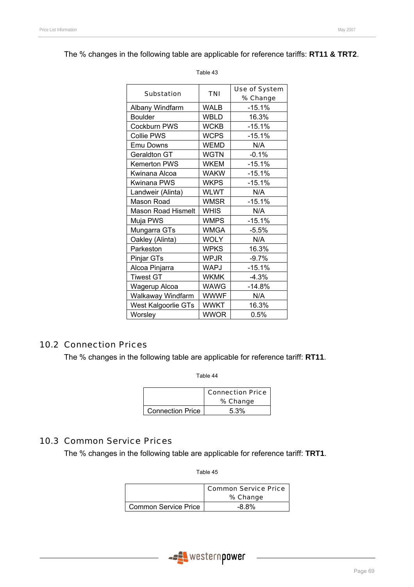The % changes in the following table are applicable for reference tariffs: **RT11 & TRT2**.

| <b>Substation</b>         | TNI         | <b>Use of System</b> |
|---------------------------|-------------|----------------------|
|                           |             | % Change             |
| Albany Windfarm           | WALB        | $-15.1%$             |
| <b>Boulder</b>            | <b>WBLD</b> | 16.3%                |
| Cockburn PWS              | <b>WCKB</b> | $-15.1%$             |
| <b>Collie PWS</b>         | <b>WCPS</b> | $-15.1%$             |
| Emu Downs                 | <b>WEMD</b> | N/A                  |
| Geraldton GT              | <b>WGTN</b> | $-0.1%$              |
| <b>Kemerton PWS</b>       | <b>WKEM</b> | $-15.1%$             |
| Kwinana Alcoa             | <b>WAKW</b> | $-15.1%$             |
| Kwinana PWS               | <b>WKPS</b> | $-15.1%$             |
| Landweir (Alinta)         | <b>WLWT</b> | N/A                  |
| Mason Road                | <b>WMSR</b> | $-15.1%$             |
| <b>Mason Road Hismelt</b> | <b>WHIS</b> | N/A                  |
| Muja PWS                  | <b>WMPS</b> | $-15.1%$             |
| Mungarra GTs              | <b>WMGA</b> | $-5.5%$              |
| Oakley (Alinta)           | <b>WOLY</b> | N/A                  |
| Parkeston                 | <b>WPKS</b> | 16.3%                |
| Pinjar GTs                | <b>WPJR</b> | $-9.7\%$             |
| Alcoa Pinjarra            | WAPJ        | -15.1%               |
| <b>Tiwest GT</b>          | <b>WKMK</b> | $-4.3%$              |
| Wagerup Alcoa             | <b>WAWG</b> | $-14.8%$             |
| Walkaway Windfarm         | <b>WWWF</b> | N/A                  |
| West Kalgoorlie GTs       | <b>WWKT</b> | 16.3%                |
| Worsley                   | WWOR        | 0.5%                 |

#### Table 43

## 10.2 Connection Prices

The % changes in the following table are applicable for reference tariff: **RT11**.

Table 44

|                         | <b>Connection Price</b> |
|-------------------------|-------------------------|
|                         | % Change                |
| <b>Connection Price</b> | 5.3%                    |

### 10.3 Common Service Prices

The % changes in the following table are applicable for reference tariff: **TRT1**.

|                      | Common Service Price<br>% Change |
|----------------------|----------------------------------|
| Common Service Price | $-8.8\%$                         |

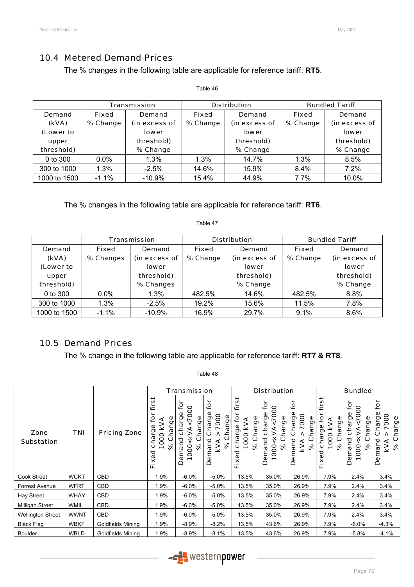## 10.4 Metered Demand Prices

The % changes in the following table are applicable for reference tariff: **RT5**.

|                                                     |                          | <b>Transmission</b>                                                      |                          | <b>Distribution</b>                                               |                          | <b>Bundled Tariff</b>                                             |
|-----------------------------------------------------|--------------------------|--------------------------------------------------------------------------|--------------------------|-------------------------------------------------------------------|--------------------------|-------------------------------------------------------------------|
| Demand<br>(kVA)<br>(Lower to<br>upper<br>threshold) | <b>Fixed</b><br>% Change | <b>Demand</b><br>(in excess of<br><b>lower</b><br>threshold)<br>% Change | <b>Fixed</b><br>% Change | Demand<br>(in excess of<br><b>lower</b><br>threshold)<br>% Change | <b>Fixed</b><br>% Change | Demand<br>(in excess of<br><b>lower</b><br>threshold)<br>% Change |
| $0$ to 300                                          | $0.0\%$                  | 1.3%                                                                     | 1.3%                     | 14.7%                                                             | 1.3%                     | 8.5%                                                              |
| 300 to 1000                                         | 1.3%                     | $-2.5%$                                                                  | 14.6%                    | 15.9%                                                             | $8.4\%$                  | 7.2%                                                              |
| 1000 to 1500                                        | $-1.1\%$                 | $-10.9%$                                                                 | 15.4%                    | 44.9%                                                             | 7.7%                     | 10.0%                                                             |

Table 46

The % changes in the following table are applicable for reference tariff: **RT6**.

|               | Transmission |               |              | <b>Distribution</b> | <b>Bundled Tariff</b> |               |  |
|---------------|--------------|---------------|--------------|---------------------|-----------------------|---------------|--|
| <b>Demand</b> | Fixed        | Demand        | <b>Fixed</b> | Demand              | Fixed                 | Demand        |  |
| (kVA)         | % Changes    | (in excess of | % Change     | (in excess of       | % Change              | (in excess of |  |
| (Lower to     |              | <b>lower</b>  |              | <b>lower</b>        |                       | <b>lower</b>  |  |
| upper         |              | threshold)    |              | threshold)          |                       | threshold)    |  |
| threshold)    |              | % Changes     |              | % Change            |                       | % Change      |  |
| 0 to 300      | $0.0\%$      | 1.3%          | 482.5%       | 14.6%               | 482.5%                | 8.8%          |  |
| 300 to 1000   | 1.3%         | $-2.5%$       | 19.2%        | 15.6%               | 11.5%                 | 7.8%          |  |
| 1000 to 1500  | $-1.1%$      | $-10.9%$      | 16.9%        | 29.7%               | 9.1%                  | 8.6%          |  |

Table 47

## 10.5 Demand Prices

The % change in the following table are applicable for reference tariff: **RT7 & RT8**.

|                           |             |                     |                                                                       | <b>Transmission</b>                                                        |                                                                    | <b>Distribution</b>                                             |                                                                                    |                                                                 | <b>Bundled</b>                                                                         |                                                                                                                       |                                                                 |
|---------------------------|-------------|---------------------|-----------------------------------------------------------------------|----------------------------------------------------------------------------|--------------------------------------------------------------------|-----------------------------------------------------------------|------------------------------------------------------------------------------------|-----------------------------------------------------------------|----------------------------------------------------------------------------------------|-----------------------------------------------------------------------------------------------------------------------|-----------------------------------------------------------------|
| Zone<br><b>Substation</b> | TNI         | <b>Pricing Zone</b> | پ<br>n<br>ڡۣ<br>Change<br>ΚVΑ<br>rge<br>1000<br>chai<br>వి<br>ъ<br>L. | ğ<br>0000<br>Φ<br>hange<br>ರಾ<br>cha<br>⋚<br>₹<br>ပ<br>Demand<br>×<br>1000 | č<br>7000<br>Change<br>ă<br>S<br>ပ<br>mand<br>KVA<br>$\aleph$<br>≏ | ۰<br>n<br>Change<br>ڥ<br>kVA<br>charge<br>1000<br>ಸಿ<br>ъ<br>ц. | ق<br>80<br>Change<br>ס.<br>ŕ<br><kva<br>듕<br/>and<br/>ಸಿ<br/>1000<br/>Dem</kva<br> | ίōι<br>Charge<br>7000<br>hange<br>mand<br>KVA<br>ని<br>$\Omega$ | $\overline{5}$<br>⋷<br>ల్లి<br>Change<br>∡<br>≫<br>charge<br>1000<br>೫<br>ಠ<br>×<br>L. | ē<br>000<br>9e<br>Change<br>5<br><b>IRS</b><br><kva<br>mand<br/>ಸಿ<br/><math>\overline{0}</math><br/>Φ<br/>۵</kva<br> | tor<br>Charge<br>7000<br>Change<br>mand<br>kVA<br>% C<br>Φ<br>Ă |
| Cook Street               | <b>WCKT</b> | <b>CBD</b>          | 1.9%                                                                  | $-6.0\%$                                                                   | $-5.0%$                                                            | 13.5%                                                           | 35.0%                                                                              | 26.9%                                                           | 7.9%                                                                                   | 2.4%                                                                                                                  | 3.4%                                                            |
| Forrest Avenue            | <b>WFRT</b> | <b>CBD</b>          | 1.9%                                                                  | $-6.0\%$                                                                   | $-5.0%$                                                            | 13.5%                                                           | 35.0%                                                                              | 26.9%                                                           | 7.9%                                                                                   | 2.4%                                                                                                                  | 3.4%                                                            |
| Hay Street                | <b>WHAY</b> | <b>CBD</b>          | 1.9%                                                                  | $-6.0\%$                                                                   | $-5.0%$                                                            | 13.5%                                                           | 35.0%                                                                              | 26.9%                                                           | 7.9%                                                                                   | 2.4%                                                                                                                  | 3.4%                                                            |
| Milligan Street           | <b>WMIL</b> | CBD                 | 1.9%                                                                  | $-6.0\%$                                                                   | $-5.0%$                                                            | 13.5%                                                           | 35.0%                                                                              | 26.9%                                                           | 7.9%                                                                                   | 2.4%                                                                                                                  | 3.4%                                                            |
| <b>Wellington Street</b>  | <b>WWNT</b> | <b>CBD</b>          | 1.9%                                                                  | $-6.0\%$                                                                   | $-5.0%$                                                            | 13.5%                                                           | 35.0%                                                                              | 26.9%                                                           | 7.9%                                                                                   | 2.4%                                                                                                                  | 3.4%                                                            |
| <b>Black Flag</b>         | <b>WBKF</b> | Goldfields Mining   | 1.9%                                                                  | $-8.9\%$                                                                   | $-8.2%$                                                            | 13.5%                                                           | 43.6%                                                                              | 26.9%                                                           | 7.9%                                                                                   | $-6.0\%$                                                                                                              | $-4.3%$                                                         |
| <b>Boulder</b>            | <b>WBLD</b> | Goldfields Mining   | 1.9%                                                                  | $-8.9\%$                                                                   | $-8.1%$                                                            | 13.5%                                                           | 43.6%                                                                              | 26.9%                                                           | 7.9%                                                                                   | $-5.8%$                                                                                                               | $-4.1%$                                                         |

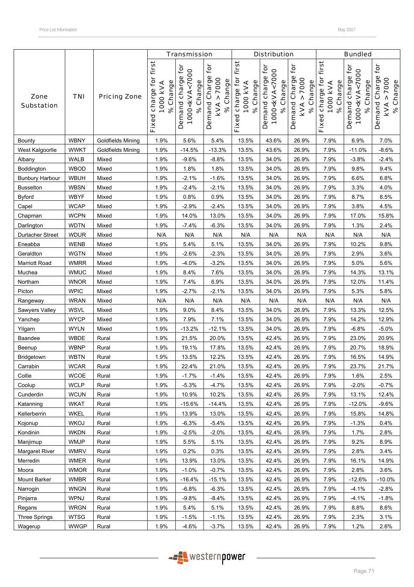|                           |             |                          |                                                      | <b>Transmission</b>                                               |                                                |                                                      | <b>Distribution</b>                                           |                                                                          |                                                      | <b>Bundled</b>                                                           |                                                |
|---------------------------|-------------|--------------------------|------------------------------------------------------|-------------------------------------------------------------------|------------------------------------------------|------------------------------------------------------|---------------------------------------------------------------|--------------------------------------------------------------------------|------------------------------------------------------|--------------------------------------------------------------------------|------------------------------------------------|
| Zone<br><b>Substation</b> | <b>TNI</b>  | <b>Pricing Zone</b>      | first<br>charge for<br>% Change<br>1000 kVA<br>Fixed | Demand charge for<br>1000 <kva<7000<br>Change<br/>ৡ</kva<7000<br> | tor<br>Demand Charge<br>KVA > 7000<br>% Change | first<br>charge for<br>% Change<br>1000 KVA<br>Fixed | Demand charge for<br>1000 <kva<7000<br>% Change</kva<7000<br> | for<br>Demand Charge<br>7000<br>% Change<br>$\boldsymbol{\wedge}$<br>KVA | first<br>charge for<br>% Change<br>1000 KVA<br>Fixed | <b>jor</b><br>1000 <kva<7000<br>Demand charge<br/>% Change</kva<7000<br> | for<br>Demand Charge<br>KVA > 7000<br>% Change |
| Bounty                    | <b>WBNY</b> | Goldfields Mining        | 1.9%                                                 | 5.6%                                                              | 5.4%                                           | 13.5%                                                | 43.6%                                                         | 26.9%                                                                    | 7.9%                                                 | 6.9%                                                                     | 7.0%                                           |
| West Kalgoorlie           | <b>WWKT</b> | <b>Goldfields Mining</b> | 1.9%                                                 | $-14.5%$                                                          | $-13.3%$                                       | 13.5%                                                | 43.6%                                                         | 26.9%                                                                    | 7.9%                                                 | $-11.0%$                                                                 | $-8.6%$                                        |
| Albany                    | WALB        | Mixed                    | 1.9%                                                 | $-9.6%$                                                           | $-8.8%$                                        | 13.5%                                                | 34.0%                                                         | 26.9%                                                                    | 7.9%                                                 | $-3.8%$                                                                  | $-2.4%$                                        |
| Boddington                | WBOD        | Mixed                    | 1.9%                                                 | 1.8%                                                              | 1.8%                                           | 13.5%                                                | 34.0%                                                         | 26.9%                                                                    | 7.9%                                                 | 9.8%                                                                     | 9.4%                                           |
| <b>Bunbury Harbour</b>    | <b>WBUH</b> | Mixed                    | 1.9%                                                 | $-2.1%$                                                           | $-1.6%$                                        | 13.5%                                                | 34.0%                                                         | 26.9%                                                                    | 7.9%                                                 | 6.6%                                                                     | 6.8%                                           |
| <b>Busselton</b>          | <b>WBSN</b> | Mixed                    | 1.9%                                                 | $-2.4%$                                                           | $-2.1%$                                        | 13.5%                                                | 34.0%                                                         | 26.9%                                                                    | 7.9%                                                 | 3.3%                                                                     | 4.0%                                           |
| Byford                    | <b>WBYF</b> | Mixed                    | 1.9%                                                 | 0.8%                                                              | 0.9%                                           | 13.5%                                                | 34.0%                                                         | 26.9%                                                                    | 7.9%                                                 | 8.7%                                                                     | 8.5%                                           |
| Capel                     | <b>WCAP</b> | Mixed                    | 1.9%                                                 | $-2.9%$                                                           | $-2.4%$                                        | 13.5%                                                | 34.0%                                                         | 26.9%                                                                    | 7.9%                                                 | 3.8%                                                                     | 4.5%                                           |
| Chapman                   | <b>WCPN</b> | Mixed                    | 1.9%                                                 | 14.0%                                                             | 13.0%                                          | 13.5%                                                | 34.0%                                                         | 26.9%                                                                    | 7.9%                                                 | 17.0%                                                                    | 15.8%                                          |
| Darlington                | <b>WDTN</b> | Mixed                    | 1.9%                                                 | $-7.4%$                                                           | $-6.3%$                                        | 13.5%                                                | 34.0%                                                         | 26.9%                                                                    | 7.9%                                                 | 1.3%                                                                     | 2.4%                                           |
| <b>Durlacher Street</b>   | <b>WDUR</b> | Mixed                    | N/A                                                  | N/A                                                               | N/A                                            | N/A                                                  | N/A                                                           | N/A                                                                      | N/A                                                  | N/A                                                                      | N/A                                            |
| Eneabba                   | <b>WENB</b> | Mixed                    | 1.9%                                                 | 5.4%                                                              | 5.1%                                           | 13.5%                                                | 34.0%                                                         | 26.9%                                                                    | 7.9%                                                 | 10.2%                                                                    | 9.8%                                           |
| Geraldton                 | <b>WGTN</b> | Mixed                    | 1.9%                                                 | $-2.6%$                                                           | $-2.3%$                                        | 13.5%                                                | 34.0%                                                         | 26.9%                                                                    | 7.9%                                                 | 2.9%                                                                     | 3.6%                                           |
| Marriott Road             | <b>WMRR</b> | Mixed                    | 1.9%                                                 | $-4.0%$                                                           | $-3.2%$                                        | 13.5%                                                | 34.0%                                                         | 26.9%                                                                    | 7.9%                                                 | 5.0%                                                                     | 5.6%                                           |
| Muchea                    | <b>WMUC</b> | Mixed                    | 1.9%                                                 | 8.4%                                                              | 7.6%                                           | 13.5%                                                | 34.0%                                                         | 26.9%                                                                    | 7.9%                                                 | 14.3%                                                                    | 13.1%                                          |
| Northam                   | <b>WNOR</b> | Mixed                    | 1.9%                                                 | 7.4%                                                              | 6.9%                                           | 13.5%                                                | 34.0%                                                         | 26.9%                                                                    | 7.9%                                                 | 12.0%                                                                    | 11.4%                                          |
| Picton                    | <b>WPIC</b> | Mixed                    | 1.9%                                                 | $-2.7%$                                                           | $-2.1%$                                        | 13.5%                                                | 34.0%                                                         | 26.9%                                                                    | 7.9%                                                 | 5.3%                                                                     | 5.8%                                           |
| Rangeway                  | <b>WRAN</b> | Mixed                    | N/A                                                  | N/A                                                               | N/A                                            | N/A                                                  | N/A                                                           | N/A                                                                      | N/A                                                  | N/A                                                                      | N/A                                            |
| Sawyers Valley            | <b>WSVL</b> | Mixed                    | 1.9%                                                 | 9.0%                                                              | 8.4%                                           | 13.5%                                                | 34.0%                                                         | 26.9%                                                                    | 7.9%                                                 | 13.3%                                                                    | 12.5%                                          |
| Yanchep                   | <b>WYCP</b> | Mixed                    | 1.9%                                                 | 7.9%                                                              | 7.1%                                           | 13.5%                                                | 34.0%                                                         | 26.9%                                                                    | 7.9%                                                 | 14.2%                                                                    | 12.9%                                          |
| Yilgarn                   | <b>WYLN</b> | Mixed                    | 1.9%                                                 | $-13.2%$                                                          | $-12.1%$                                       | 13.5%                                                | 34.0%                                                         | 26.9%                                                                    | 7.9%                                                 | $-6.8%$                                                                  | $-5.0%$                                        |
| Baandee                   | <b>WBDE</b> | Rural                    | 1.9%                                                 | 21.5%                                                             | 20.0%                                          | 13.5%                                                | 42.4%                                                         | 26.9%                                                                    | 7.9%                                                 | 23.0%                                                                    | 20.9%                                          |
| Beenup                    | <b>WBNP</b> | Rural                    | 1.9%                                                 | 19.1%                                                             | 17.8%                                          | 13.5%                                                | 42.4%                                                         | 26.9%                                                                    | 7.9%                                                 | 20.7%                                                                    | 18.9%                                          |
| Bridgetown                | <b>WBTN</b> | Rural                    | 1.9%                                                 | 13.5%                                                             | 12.2%                                          | 13.5%                                                | 42.4%                                                         | 26.9%                                                                    | 7.9%                                                 | 16.5%                                                                    | 14.9%                                          |
| Carrabin                  | <b>WCAR</b> | Rural                    | 1.9%                                                 | 22.4%                                                             | 21.0%                                          | 13.5%                                                | 42.4%                                                         | 26.9%                                                                    | 7.9%                                                 | 23.7%                                                                    | 21.7%                                          |
| Collie                    | <b>WCOE</b> | Rural                    | 1.9%                                                 | $-1.7%$                                                           | $-1.4%$                                        | 13.5%                                                | 42.4%                                                         | 26.9%                                                                    | 7.9%                                                 | 1.6%                                                                     | 2.5%                                           |
| Coolup                    | <b>WCLP</b> | Rural                    | 1.9%                                                 | $-5.3%$                                                           | $-4.7%$                                        | 13.5%                                                | 42.4%                                                         | 26.9%                                                                    | 7.9%                                                 | $-2.0%$                                                                  | $-0.7%$                                        |
| Cunderdin                 | <b>WCUN</b> | Rural                    | 1.9%                                                 | 10.9%                                                             | 10.2%                                          | 13.5%                                                | 42.4%                                                         | 26.9%                                                                    | 7.9%                                                 | 13.1%                                                                    | 12.4%                                          |
| Katanning                 | <b>WKAT</b> | Rural                    | 1.9%                                                 | $-15.6%$                                                          | $-14.4%$                                       | 13.5%                                                | 42.4%                                                         | 26.9%                                                                    | 7.9%                                                 | $-12.0%$                                                                 | $-9.6%$                                        |
| Kellerberrin              | <b>WKEL</b> | Rural                    | 1.9%                                                 | 13.9%                                                             | 13.0%                                          | 13.5%                                                | 42.4%                                                         | 26.9%                                                                    | 7.9%                                                 | 15.8%                                                                    | 14.8%                                          |
| Kojonup                   | <b>WKOJ</b> | Rural                    | 1.9%                                                 | $-6.3%$                                                           | $-5.4%$                                        | 13.5%                                                | 42.4%                                                         | 26.9%                                                                    | 7.9%                                                 | $-1.3%$                                                                  | 0.4%                                           |
| Kondinin                  | <b>WKDN</b> | Rural                    | 1.9%                                                 | $-2.5%$                                                           | $-2.0%$                                        | 13.5%                                                | 42.4%                                                         | 26.9%                                                                    | 7.9%                                                 | 1.7%                                                                     | 2.8%                                           |
| Manjimup                  | <b>WMJP</b> | Rural                    | 1.9%                                                 | 5.5%                                                              | 5.1%                                           | 13.5%                                                | 42.4%                                                         | 26.9%                                                                    | 7.9%                                                 | 9.2%                                                                     | 8.9%                                           |
| Margaret River            | <b>WMRV</b> | Rural                    | 1.9%                                                 | 0.2%                                                              | 0.3%                                           | 13.5%                                                | 42.4%                                                         | 26.9%                                                                    | 7.9%                                                 | 2.8%                                                                     | 3.4%                                           |
| Merredin                  | WMER        | Rural                    | 1.9%                                                 | 13.9%                                                             | 13.0%                                          | 13.5%                                                | 42.4%                                                         | 26.9%                                                                    | 7.9%                                                 | 16.1%                                                                    | 14.9%                                          |
| Moora                     | <b>WMOR</b> | Rural                    | 1.9%                                                 | $-1.0%$                                                           | $-0.7%$                                        | 13.5%                                                | 42.4%                                                         | 26.9%                                                                    | 7.9%                                                 | 2.8%                                                                     | 3.6%                                           |
| Mount Barker              | <b>WMBR</b> | Rural                    | 1.9%                                                 | $-16.4%$                                                          | $-15.1%$                                       | 13.5%                                                | 42.4%                                                         | 26.9%                                                                    | 7.9%                                                 | $-12.6%$                                                                 | $-10.0\%$                                      |
| Narrogin                  | <b>WNGN</b> | Rural                    | 1.9%                                                 | $-6.8%$                                                           | $-6.3%$                                        | 13.5%                                                | 42.4%                                                         | 26.9%                                                                    | 7.9%                                                 | $-4.1%$                                                                  | $-2.8%$                                        |
| Pinjarra                  | WPNJ        | Rural                    | 1.9%                                                 | $-9.8%$                                                           | $-8.4%$                                        | 13.5%                                                | 42.4%                                                         | 26.9%                                                                    | 7.9%                                                 | $-4.1%$                                                                  | $-1.8%$                                        |
| Regans                    | <b>WRGN</b> | Rural                    | 1.9%                                                 | 5.4%                                                              | 5.1%                                           | 13.5%                                                | 42.4%                                                         | 26.9%                                                                    | 7.9%                                                 | 8.8%                                                                     | 8.6%                                           |
| <b>Three Springs</b>      | <b>WTSG</b> | Rural                    | 1.9%                                                 | $-1.5%$                                                           | $-1.1%$                                        | 13.5%                                                | 42.4%                                                         | 26.9%                                                                    | 7.9%                                                 | 2.3%                                                                     | 3.1%                                           |
| Wagerup                   | <b>WWGP</b> | Rural                    | 1.9%                                                 | $-4.6%$                                                           | $-3.7%$                                        | 13.5%                                                | 42.4%                                                         | 26.9%                                                                    | 7.9%                                                 | 1.2%                                                                     | 2.6%                                           |

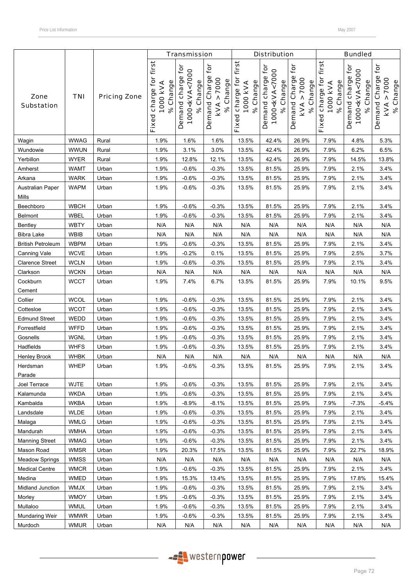|                           |             |                     |                                                      | <b>Transmission</b>                                           |                                                          |                                                   | <b>Distribution</b>                                           |                                                                |                                                | <b>Bundled</b>                                                |                                                |
|---------------------------|-------------|---------------------|------------------------------------------------------|---------------------------------------------------------------|----------------------------------------------------------|---------------------------------------------------|---------------------------------------------------------------|----------------------------------------------------------------|------------------------------------------------|---------------------------------------------------------------|------------------------------------------------|
| Zone<br><b>Substation</b> | <b>TNI</b>  | <b>Pricing Zone</b> | first<br>charge for<br>% Change<br>1000 KVA<br>Fixed | Demand charge for<br>1000 <kva<7000<br>% Change</kva<7000<br> | for<br>Demand Charge<br>> 7000<br>% Change<br><b>KVA</b> | first<br>Fixed charge for<br>% Change<br>1000 kVA | Demand charge for<br>1000 <kva<7000<br>% Change</kva<7000<br> | Demand Charge for<br>7000<br>% Change<br>$\pmb{\wedge}$<br>kVA | Fixed charge for first<br>% Change<br>1000 KVA | Demand charge for<br>1000 <kva<7000<br>% Change</kva<7000<br> | for<br>Demand Charge<br>KVA > 7000<br>% Change |
| Wagin                     | <b>WWAG</b> | Rural               | 1.9%                                                 | 1.6%                                                          | 1.6%                                                     | 13.5%                                             | 42.4%                                                         | 26.9%                                                          | 7.9%                                           | 4.8%                                                          | 5.3%                                           |
| Wundowie                  | <b>WWUN</b> | Rural               | 1.9%                                                 | 3.1%                                                          | 3.0%                                                     | 13.5%                                             | 42.4%                                                         | 26.9%                                                          | 7.9%                                           | 6.2%                                                          | 6.5%                                           |
| Yerbillon                 | <b>WYER</b> | Rural               | 1.9%                                                 | 12.8%                                                         | 12.1%                                                    | 13.5%                                             | 42.4%                                                         | 26.9%                                                          | 7.9%                                           | 14.5%                                                         | 13.8%                                          |
| Amherst                   | <b>WAMT</b> | Urban               | 1.9%                                                 | $-0.6%$                                                       | $-0.3%$                                                  | 13.5%                                             | 81.5%                                                         | 25.9%                                                          | 7.9%                                           | 2.1%                                                          | 3.4%                                           |
| Arkana                    | <b>WARK</b> | Urban               | 1.9%                                                 | $-0.6%$                                                       | $-0.3%$                                                  | 13.5%                                             | 81.5%                                                         | 25.9%                                                          | 7.9%                                           | 2.1%                                                          | 3.4%                                           |
| Australian Paper<br>Mills | <b>WAPM</b> | Urban               | 1.9%                                                 | $-0.6%$                                                       | $-0.3%$                                                  | 13.5%                                             | 81.5%                                                         | 25.9%                                                          | 7.9%                                           | 2.1%                                                          | 3.4%                                           |
| Beechboro                 | <b>WBCH</b> | Urban               | 1.9%                                                 | $-0.6%$                                                       | $-0.3%$                                                  | 13.5%                                             | 81.5%                                                         | 25.9%                                                          | 7.9%                                           | 2.1%                                                          | 3.4%                                           |
| Belmont                   | <b>WBEL</b> | Urban               | 1.9%                                                 | $-0.6%$                                                       | $-0.3%$                                                  | 13.5%                                             | 81.5%                                                         | 25.9%                                                          | 7.9%                                           | 2.1%                                                          | 3.4%                                           |
| Bentley                   | <b>WBTY</b> | Urban               | N/A                                                  | N/A                                                           | N/A                                                      | N/A                                               | N/A                                                           | N/A                                                            | N/A                                            | N/A                                                           | N/A                                            |
| <b>Bibra Lake</b>         | <b>WBIB</b> | Urban               | N/A                                                  | N/A                                                           | N/A                                                      | N/A                                               | N/A                                                           | N/A                                                            | N/A                                            | N/A                                                           | N/A                                            |
| <b>British Petroleum</b>  | <b>WBPM</b> | Urban               | 1.9%                                                 | $-0.6%$                                                       | $-0.3%$                                                  | 13.5%                                             | 81.5%                                                         | 25.9%                                                          | 7.9%                                           | 2.1%                                                          | 3.4%                                           |
| Canning Vale              | <b>WCVE</b> | Urban               | 1.9%                                                 | $-0.2%$                                                       | 0.1%                                                     | 13.5%                                             | 81.5%                                                         | 25.9%                                                          | 7.9%                                           | 2.5%                                                          | 3.7%                                           |
| <b>Clarence Street</b>    | <b>WCLN</b> | Urban               | 1.9%                                                 | $-0.6%$                                                       | $-0.3%$                                                  | 13.5%                                             | 81.5%                                                         | 25.9%                                                          | 7.9%                                           | 2.1%                                                          | 3.4%                                           |
| Clarkson                  | <b>WCKN</b> | Urban               | N/A                                                  | N/A                                                           | N/A                                                      | N/A                                               | N/A                                                           | N/A                                                            | N/A                                            | N/A                                                           | N/A                                            |
| Cockburn<br>Cement        | <b>WCCT</b> | Urban               | 1.9%                                                 | 7.4%                                                          | 6.7%                                                     | 13.5%                                             | 81.5%                                                         | 25.9%                                                          | 7.9%                                           | 10.1%                                                         | 9.5%                                           |
| Collier                   | <b>WCOL</b> | Urban               | 1.9%                                                 | $-0.6%$                                                       | $-0.3%$                                                  | 13.5%                                             | 81.5%                                                         | 25.9%                                                          | 7.9%                                           | 2.1%                                                          | 3.4%                                           |
| Cottesloe                 | <b>WCOT</b> | Urban               | 1.9%                                                 | $-0.6%$                                                       | $-0.3%$                                                  | 13.5%                                             | 81.5%                                                         | 25.9%                                                          | 7.9%                                           | 2.1%                                                          | 3.4%                                           |
| <b>Edmund Street</b>      | WEDD        | Urban               | 1.9%                                                 | $-0.6%$                                                       | $-0.3%$                                                  | 13.5%                                             | 81.5%                                                         | 25.9%                                                          | 7.9%                                           | 2.1%                                                          | 3.4%                                           |
| Forrestfield              | <b>WFFD</b> | Urban               | 1.9%                                                 | $-0.6%$                                                       | $-0.3%$                                                  | 13.5%                                             | 81.5%                                                         | 25.9%                                                          | 7.9%                                           | 2.1%                                                          | 3.4%                                           |
| Gosnells                  | <b>WGNL</b> | Urban               | 1.9%                                                 | $-0.6%$                                                       | $-0.3%$                                                  | 13.5%                                             | 81.5%                                                         | 25.9%                                                          | 7.9%                                           | 2.1%                                                          | 3.4%                                           |
| Hadfields                 | <b>WHFS</b> | Urban               | 1.9%                                                 | $-0.6%$                                                       | $-0.3%$                                                  | 13.5%                                             | 81.5%                                                         | 25.9%                                                          | 7.9%                                           | 2.1%                                                          | 3.4%                                           |
| Henley Brook              | <b>WHBK</b> | Urban               | N/A                                                  | N/A                                                           | N/A                                                      | N/A                                               | N/A                                                           | N/A                                                            | N/A                                            | N/A                                                           | N/A                                            |
| Herdsman<br>Parade        | <b>WHEP</b> | Urban               | 1.9%                                                 | $-0.6%$                                                       | $-0.3%$                                                  | 13.5%                                             | 81.5%                                                         | 25.9%                                                          | 7.9%                                           | 2.1%                                                          | 3.4%                                           |
| Joel Terrace              | <b>WJTE</b> | Urban               | 1.9%                                                 | $-0.6%$                                                       | $-0.3%$                                                  | 13.5%                                             | 81.5%                                                         | 25.9%                                                          | 7.9%                                           | 2.1%                                                          | 3.4%                                           |
| Kalamunda                 | <b>WKDA</b> | Urban               | 1.9%                                                 | $-0.6%$                                                       | $-0.3%$                                                  | 13.5%                                             | 81.5%                                                         | 25.9%                                                          | 7.9%                                           | 2.1%                                                          | 3.4%                                           |
| Kambalda                  | <b>WKBA</b> | Urban               | 1.9%                                                 | $-8.9%$                                                       | $-8.1%$                                                  | 13.5%                                             | 81.5%                                                         | 25.9%                                                          | 7.9%                                           | $-7.3%$                                                       | $-5.4%$                                        |
| Landsdale                 | WLDE        | Urban               | 1.9%                                                 | $-0.6%$                                                       | $-0.3%$                                                  | 13.5%                                             | 81.5%                                                         | 25.9%                                                          | 7.9%                                           | 2.1%                                                          | 3.4%                                           |
| Malaga                    | <b>WMLG</b> | Urban               | 1.9%                                                 | $-0.6%$                                                       | $-0.3%$                                                  | 13.5%                                             | 81.5%                                                         | 25.9%                                                          | 7.9%                                           | 2.1%                                                          | 3.4%                                           |
| Mandurah                  | <b>WMHA</b> | Urban               | 1.9%                                                 | $-0.6%$                                                       | $-0.3%$                                                  | 13.5%                                             | 81.5%                                                         | 25.9%                                                          | 7.9%                                           | 2.1%                                                          | 3.4%                                           |
| <b>Manning Street</b>     | <b>WMAG</b> | Urban               | 1.9%                                                 | $-0.6%$                                                       | $-0.3%$                                                  | 13.5%                                             | 81.5%                                                         | 25.9%                                                          | 7.9%                                           | 2.1%                                                          | 3.4%                                           |
| Mason Road                | <b>WMSR</b> | Urban               | 1.9%                                                 | 20.3%                                                         | 17.5%                                                    | 13.5%                                             | 81.5%                                                         | 25.9%                                                          | 7.9%                                           | 22.7%                                                         | 18.9%                                          |
| <b>Meadow Springs</b>     | <b>WMSS</b> | Urban               | N/A                                                  | N/A                                                           | N/A                                                      | N/A                                               | N/A                                                           | N/A                                                            | N/A                                            | N/A                                                           | N/A                                            |
| <b>Medical Centre</b>     | <b>WMCR</b> | Urban               | 1.9%                                                 | $-0.6%$                                                       | $-0.3%$                                                  | 13.5%                                             | 81.5%                                                         | 25.9%                                                          | 7.9%                                           | 2.1%                                                          | 3.4%                                           |
| Medina                    | <b>WMED</b> | Urban               | 1.9%                                                 | 15.3%                                                         | 13.4%                                                    | 13.5%                                             | 81.5%                                                         | 25.9%                                                          | 7.9%                                           | 17.8%                                                         | 15.4%                                          |
| Midland Junction          | WMJX        | Urban               | 1.9%                                                 | $-0.6%$                                                       | $-0.3%$                                                  | 13.5%                                             | 81.5%                                                         | 25.9%                                                          | 7.9%                                           | 2.1%                                                          | 3.4%                                           |
| Morley                    | <b>WMOY</b> | Urban               | 1.9%                                                 | $-0.6%$                                                       | $-0.3%$                                                  | 13.5%                                             | 81.5%                                                         | 25.9%                                                          | 7.9%                                           | 2.1%                                                          | 3.4%                                           |
| Mullaloo                  | <b>WMUL</b> | Urban               | 1.9%                                                 | $-0.6%$                                                       | $-0.3%$                                                  | 13.5%                                             | 81.5%                                                         | 25.9%                                                          | 7.9%                                           | 2.1%                                                          | 3.4%                                           |
| Mundaring Weir            | <b>WMWR</b> | Urban               | 1.9%                                                 | $-0.6%$                                                       | $-0.3%$                                                  | 13.5%                                             | 81.5%                                                         | 25.9%                                                          | 7.9%                                           | 2.1%                                                          | 3.4%                                           |
| Murdoch                   | <b>WMUR</b> | Urban               | N/A                                                  | N/A                                                           | N/A                                                      | N/A                                               | N/A                                                           | N/A                                                            | N/A                                            | N/A                                                           | N/A                                            |

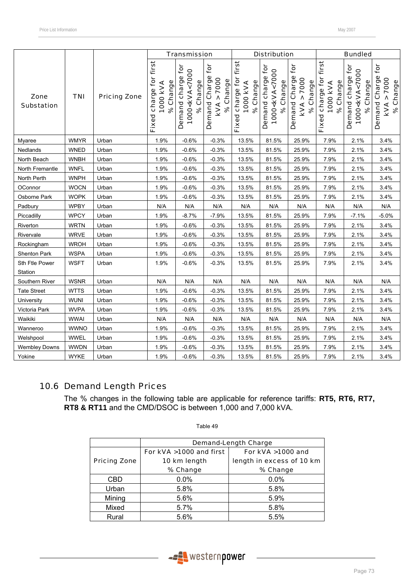|                           |             |                     |                                                                   | <b>Transmission</b>                                           |                                                        |                                                             | <b>Distribution</b>                                                   |                                                          |                                                   | <b>Bundled</b>                                                                        |                                                          |
|---------------------------|-------------|---------------------|-------------------------------------------------------------------|---------------------------------------------------------------|--------------------------------------------------------|-------------------------------------------------------------|-----------------------------------------------------------------------|----------------------------------------------------------|---------------------------------------------------|---------------------------------------------------------------------------------------|----------------------------------------------------------|
| Zone<br><b>Substation</b> | <b>TNI</b>  | <b>Pricing Zone</b> | first <sup>1</sup><br>charge for<br>% Change<br>1000 KVA<br>Fixed | Demand charge for<br>1000 <kva<7000<br>% Change</kva<7000<br> | Ċ<br>Demand Charge<br>> 7000<br>% Change<br><b>KVA</b> | first<br>Fixed charge for<br>Change<br>1000 KVA<br>$\infty$ | tor<br>1000 <kva<7000<br>charge<br/>% Change<br/>Demand</kva<7000<br> | Demand Charge for<br>7000<br>% Change<br>٨<br><b>KVA</b> | first<br>Fixed charge for<br>% Change<br>1000 kVA | è<br>1000 <kva<7000<br>Demand charge<br/>Change<br/><math>\infty</math></kva<7000<br> | for<br>Demand Charge<br>> 7000<br>% Change<br><b>KVA</b> |
| Myaree                    | <b>WMYR</b> | Urban               | 1.9%                                                              | $-0.6%$                                                       | $-0.3%$                                                | 13.5%                                                       | 81.5%                                                                 | 25.9%                                                    | 7.9%                                              | 2.1%                                                                                  | 3.4%                                                     |
| Nedlands                  | <b>WNED</b> | Urban               | 1.9%                                                              | $-0.6%$                                                       | $-0.3%$                                                | 13.5%                                                       | 81.5%                                                                 | 25.9%                                                    | 7.9%                                              | 2.1%                                                                                  | 3.4%                                                     |
| North Beach               | <b>WNBH</b> | Urban               | 1.9%                                                              | $-0.6%$                                                       | $-0.3%$                                                | 13.5%                                                       | 81.5%                                                                 | 25.9%                                                    | 7.9%                                              | 2.1%                                                                                  | 3.4%                                                     |
| North Fremantle           | <b>WNFL</b> | Urban               | 1.9%                                                              | $-0.6%$                                                       | $-0.3%$                                                | 13.5%                                                       | 81.5%                                                                 | 25.9%                                                    | 7.9%                                              | 2.1%                                                                                  | 3.4%                                                     |
| North Perth               | <b>WNPH</b> | Urban               | 1.9%                                                              | $-0.6%$                                                       | $-0.3%$                                                | 13.5%                                                       | 81.5%                                                                 | 25.9%                                                    | 7.9%                                              | 2.1%                                                                                  | 3.4%                                                     |
| OConnor                   | <b>WOCN</b> | Urban               | 1.9%                                                              | $-0.6%$                                                       | $-0.3%$                                                | 13.5%                                                       | 81.5%                                                                 | 25.9%                                                    | 7.9%                                              | 2.1%                                                                                  | 3.4%                                                     |
| Osborne Park              | <b>WOPK</b> | Urban               | 1.9%                                                              | $-0.6%$                                                       | $-0.3%$                                                | 13.5%                                                       | 81.5%                                                                 | 25.9%                                                    | 7.9%                                              | 2.1%                                                                                  | 3.4%                                                     |
| Padbury                   | <b>WPBY</b> | Urban               | N/A                                                               | N/A                                                           | N/A                                                    | N/A                                                         | N/A                                                                   | N/A                                                      | N/A                                               | N/A                                                                                   | N/A                                                      |
| Piccadilly                | <b>WPCY</b> | Urban               | 1.9%                                                              | $-8.7%$                                                       | $-7.9%$                                                | 13.5%                                                       | 81.5%                                                                 | 25.9%                                                    | 7.9%                                              | $-7.1%$                                                                               | $-5.0%$                                                  |
| Riverton                  | <b>WRTN</b> | Urban               | 1.9%                                                              | $-0.6%$                                                       | $-0.3%$                                                | 13.5%                                                       | 81.5%                                                                 | 25.9%                                                    | 7.9%                                              | 2.1%                                                                                  | 3.4%                                                     |
| Rivervale                 | <b>WRVE</b> | Urban               | 1.9%                                                              | $-0.6%$                                                       | $-0.3%$                                                | 13.5%                                                       | 81.5%                                                                 | 25.9%                                                    | 7.9%                                              | 2.1%                                                                                  | 3.4%                                                     |
| Rockingham                | <b>WROH</b> | Urban               | 1.9%                                                              | $-0.6%$                                                       | $-0.3%$                                                | 13.5%                                                       | 81.5%                                                                 | 25.9%                                                    | 7.9%                                              | 2.1%                                                                                  | 3.4%                                                     |
| Shenton Park              | <b>WSPA</b> | Urban               | 1.9%                                                              | $-0.6%$                                                       | $-0.3%$                                                | 13.5%                                                       | 81.5%                                                                 | 25.9%                                                    | 7.9%                                              | 2.1%                                                                                  | 3.4%                                                     |
| Sth Ftle Power<br>Station | <b>WSFT</b> | Urban               | 1.9%                                                              | $-0.6%$                                                       | $-0.3%$                                                | 13.5%                                                       | 81.5%                                                                 | 25.9%                                                    | 7.9%                                              | 2.1%                                                                                  | 3.4%                                                     |
| Southern River            | <b>WSNR</b> | Urban               | N/A                                                               | N/A                                                           | N/A                                                    | N/A                                                         | N/A                                                                   | N/A                                                      | N/A                                               | N/A                                                                                   | N/A                                                      |
| <b>Tate Street</b>        | <b>WTTS</b> | Urban               | 1.9%                                                              | $-0.6%$                                                       | $-0.3%$                                                | 13.5%                                                       | 81.5%                                                                 | 25.9%                                                    | 7.9%                                              | 2.1%                                                                                  | 3.4%                                                     |
| University                | <b>WUNI</b> | Urban               | 1.9%                                                              | $-0.6%$                                                       | $-0.3%$                                                | 13.5%                                                       | 81.5%                                                                 | 25.9%                                                    | 7.9%                                              | 2.1%                                                                                  | 3.4%                                                     |
| Victoria Park             | <b>WVPA</b> | Urban               | 1.9%                                                              | $-0.6%$                                                       | $-0.3%$                                                | 13.5%                                                       | 81.5%                                                                 | 25.9%                                                    | 7.9%                                              | 2.1%                                                                                  | 3.4%                                                     |
| Waikiki                   | <b>WWAI</b> | Urban               | N/A                                                               | N/A                                                           | N/A                                                    | N/A                                                         | N/A                                                                   | N/A                                                      | N/A                                               | N/A                                                                                   | N/A                                                      |
| Wanneroo                  | <b>WWNO</b> | Urban               | 1.9%                                                              | $-0.6%$                                                       | $-0.3%$                                                | 13.5%                                                       | 81.5%                                                                 | 25.9%                                                    | 7.9%                                              | 2.1%                                                                                  | 3.4%                                                     |
| Welshpool                 | <b>WWEL</b> | Urban               | 1.9%                                                              | $-0.6%$                                                       | $-0.3%$                                                | 13.5%                                                       | 81.5%                                                                 | 25.9%                                                    | 7.9%                                              | 2.1%                                                                                  | 3.4%                                                     |
| <b>Wembley Downs</b>      | <b>WWDN</b> | Urban               | 1.9%                                                              | $-0.6%$                                                       | $-0.3%$                                                | 13.5%                                                       | 81.5%                                                                 | 25.9%                                                    | 7.9%                                              | 2.1%                                                                                  | 3.4%                                                     |
| Yokine                    | <b>WYKE</b> | Urban               | 1.9%                                                              | $-0.6%$                                                       | $-0.3%$                                                | 13.5%                                                       | 81.5%                                                                 | 25.9%                                                    | 7.9%                                              | 2.1%                                                                                  | 3.4%                                                     |

# 10.6 Demand Length Prices

The % changes in the following table are applicable for reference tariffs: **RT5, RT6, RT7, RT8 & RT11** and the CMD/DSOC is between 1,000 and 7,000 kVA.

|                     | <b>Demand-Length Charge</b> |                           |  |  |  |  |  |  |  |
|---------------------|-----------------------------|---------------------------|--|--|--|--|--|--|--|
|                     | For kVA >1000 and first     | For kVA >1000 and         |  |  |  |  |  |  |  |
| <b>Pricing Zone</b> | 10 km length                | length in excess of 10 km |  |  |  |  |  |  |  |
|                     | % Change                    | % Change                  |  |  |  |  |  |  |  |
| <b>CBD</b>          | 0.0%                        | 0.0%                      |  |  |  |  |  |  |  |
| Urban               | 5.8%                        | 5.8%                      |  |  |  |  |  |  |  |
| Mining              | 5.6%                        | 5.9%                      |  |  |  |  |  |  |  |
| Mixed               | 5.7%                        | 5.8%                      |  |  |  |  |  |  |  |
| Rural               | 5.6%                        | 5.5%                      |  |  |  |  |  |  |  |

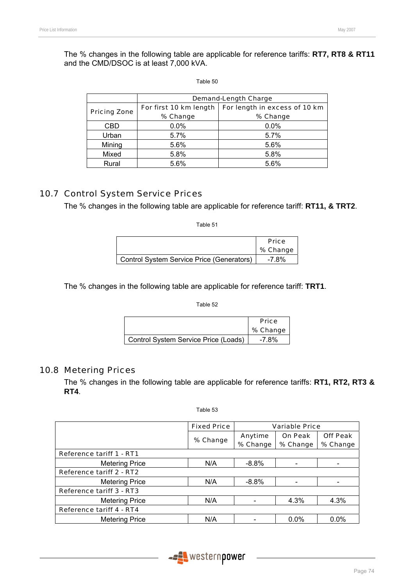The % changes in the following table are applicable for reference tariffs: **RT7, RT8 & RT11** and the CMD/DSOC is at least 7,000 kVA.

#### Table 50

|                     | <b>Demand-Length Charge</b> |                               |
|---------------------|-----------------------------|-------------------------------|
| <b>Pricing Zone</b> | For first 10 km length      | For length in excess of 10 km |
|                     | % Change                    | % Change                      |
| CBD                 | 0.0%                        | 0.0%                          |
| Urban               | 5.7%                        | 5.7%                          |
| Mining              | 5.6%                        | 5.6%                          |
| Mixed               | 5.8%                        | 5.8%                          |
| Rural               | 5.6%                        | 5.6%                          |

## 10.7 Control System Service Prices

The % changes in the following table are applicable for reference tariff: **RT11, & TRT2**.

Table 51

|                                           | <b>Price</b> |
|-------------------------------------------|--------------|
|                                           | % Change     |
| Control System Service Price (Generators) | -7.8%        |

The % changes in the following table are applicable for reference tariff: **TRT1**.

Table 52

|                                      | <b>Price</b> |
|--------------------------------------|--------------|
|                                      | % Change     |
| Control System Service Price (Loads) | -7.8%        |

#### 10.8 Metering Prices

The % changes in the following table are applicable for reference tariffs: **RT1, RT2, RT3 & RT4**.

| `able f |  |
|---------|--|
|---------|--|

|                                 | <b>Fixed Price</b> | <b>Variable Price</b> |                |                 |
|---------------------------------|--------------------|-----------------------|----------------|-----------------|
|                                 |                    | Anytime               | <b>On Peak</b> | <b>Off Peak</b> |
|                                 | % Change           | % Change              | % Change       | % Change        |
| <b>Reference tariff 1 - RT1</b> |                    |                       |                |                 |
| <b>Metering Price</b>           | N/A                | $-8.8%$               |                |                 |
| <b>Reference tariff 2 - RT2</b> |                    |                       |                |                 |
| <b>Metering Price</b>           | N/A                | $-8.8\%$              |                |                 |
| Reference tariff 3 - RT3        |                    |                       |                |                 |
| <b>Metering Price</b>           | N/A                |                       | 4.3%           | 4.3%            |
| <b>Reference tariff 4 - RT4</b> |                    |                       |                |                 |
| <b>Metering Price</b>           | N/A                |                       | $0.0\%$        | $0.0\%$         |

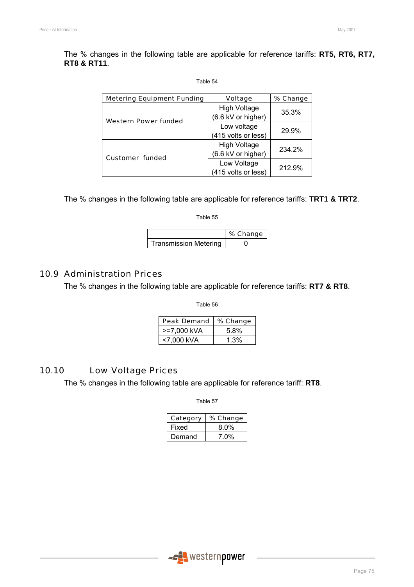The % changes in the following table are applicable for reference tariffs: **RT5, RT6, RT7, RT8 & RT11**.

| able 5 |  |
|--------|--|
|--------|--|

| <b>Metering Equipment Funding</b> | <b>Voltage</b>      | % Change |  |
|-----------------------------------|---------------------|----------|--|
|                                   | <b>High Voltage</b> | 35.3%    |  |
| Western Power funded              | (6.6 kV or higher)  |          |  |
|                                   | Low voltage         | 29.9%    |  |
|                                   | (415 volts or less) |          |  |
|                                   | <b>High Voltage</b> | 234.2%   |  |
| <b>Customer funded</b>            | (6.6 kV or higher)  |          |  |
|                                   | Low Voltage         | 212.9%   |  |
|                                   | (415 volts or less) |          |  |

The % changes in the following table are applicable for reference tariffs: **TRT1 & TRT2**.

Table 55

|                       | % Change |
|-----------------------|----------|
| Transmission Metering |          |

## 10.9 Administration Prices

The % changes in the following table are applicable for reference tariffs: **RT7 & RT8**.

Table 56

| <b>Peak Demand</b> | % Change |
|--------------------|----------|
| >=7.000 kVA        | 5.8%     |
| <7.000 kVA         | 1.3%     |

## 10.10 Low Voltage Prices

The % changes in the following table are applicable for reference tariff: **RT8**.

| Category | % Change |
|----------|----------|
| Fixed    | $8.0\%$  |
| Demand   | $7.0\%$  |

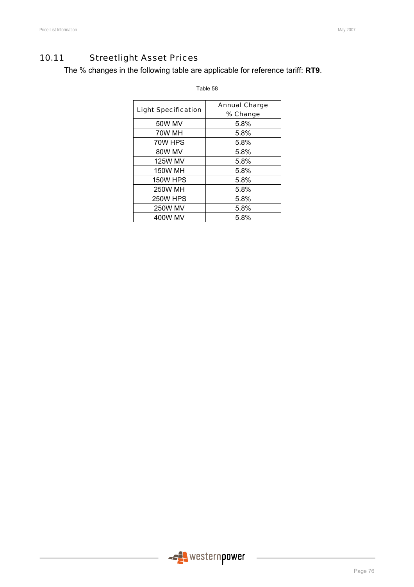# 10.11 Streetlight Asset Prices

The % changes in the following table are applicable for reference tariff: **RT9**.

| <b>Light Specification</b> | <b>Annual Charge</b> |
|----------------------------|----------------------|
|                            | % Change             |
| 50W MV                     | 5.8%                 |
| 70W MH                     | 5.8%                 |
| 70W HPS                    | 5.8%                 |
| 80W MV                     | 5.8%                 |
| <b>125W MV</b>             | 5.8%                 |
| <b>150W MH</b>             | 5.8%                 |
| <b>150W HPS</b>            | 5.8%                 |
| <b>250W MH</b>             | 5.8%                 |
| <b>250W HPS</b>            | 5.8%                 |
| <b>250W MV</b>             | 5.8%                 |
| 400W MV                    | 5.8%                 |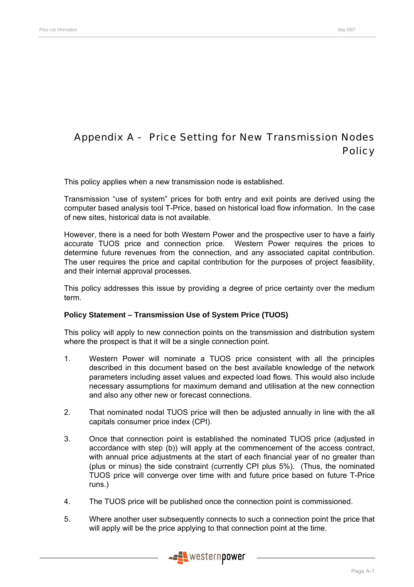# Appendix A - Price Setting for New Transmission Nodes **Policy**

This policy applies when a new transmission node is established.

Transmission "use of system" prices for both entry and exit points are derived using the computer based analysis tool T-Price, based on historical load flow information. In the case of new sites, historical data is not available.

However, there is a need for both Western Power and the prospective user to have a fairly accurate TUOS price and connection price. Western Power requires the prices to determine future revenues from the connection, and any associated capital contribution. The user requires the price and capital contribution for the purposes of project feasibility, and their internal approval processes.

This policy addresses this issue by providing a degree of price certainty over the medium term.

#### **Policy Statement – Transmission Use of System Price (TUOS)**

This policy will apply to new connection points on the transmission and distribution system where the prospect is that it will be a single connection point.

- 1. Western Power will nominate a TUOS price consistent with all the principles described in this document based on the best available knowledge of the network parameters including asset values and expected load flows. This would also include necessary assumptions for maximum demand and utilisation at the new connection and also any other new or forecast connections.
- 2. That nominated nodal TUOS price will then be adjusted annually in line with the all capitals consumer price index (CPI).
- 3. Once that connection point is established the nominated TUOS price (adjusted in accordance with step (b)) will apply at the commencement of the access contract, with annual price adjustments at the start of each financial year of no greater than (plus or minus) the side constraint (currently CPI plus 5%). (Thus, the nominated TUOS price will converge over time with and future price based on future T-Price runs.)
- 4. The TUOS price will be published once the connection point is commissioned.
- 5. Where another user subsequently connects to such a connection point the price that will apply will be the price applying to that connection point at the time.